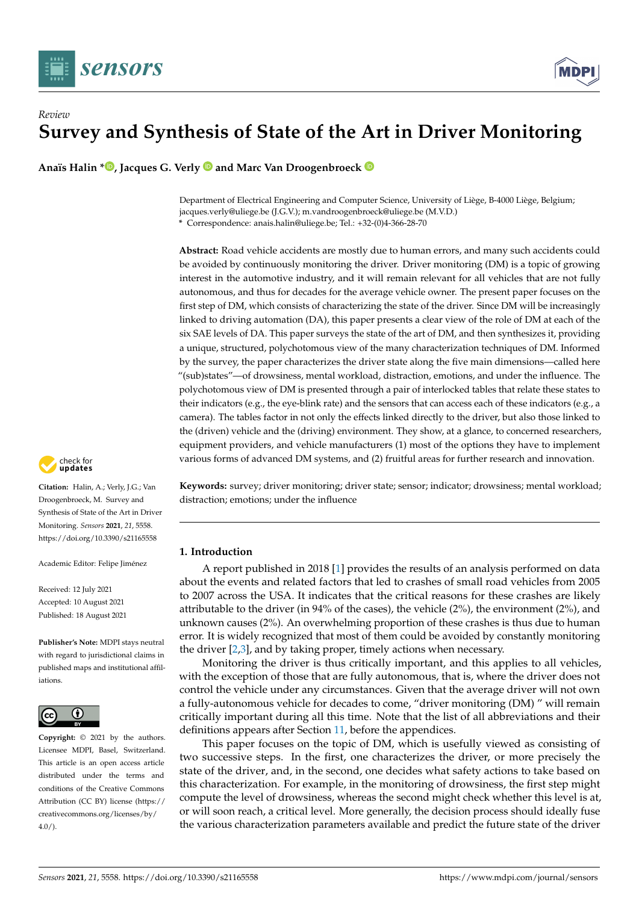



**Anaïs Halin \* [,](https://orcid.org/0000-0003-3743-2969) Jacques G. Verly and Marc Van Droogenbroeck**

Department of Electrical Engineering and Computer Science, University of Liège, B-4000 Liège, Belgium; jacques.verly@uliege.be (J.G.V.); m.vandroogenbroeck@uliege.be (M.V.D.) **\*** Correspondence: anais.halin@uliege.be; Tel.: +32-(0)4-366-28-70

**Abstract:** Road vehicle accidents are mostly due to human errors, and many such accidents could be avoided by continuously monitoring the driver. Driver monitoring (DM) is a topic of growing interest in the automotive industry, and it will remain relevant for all vehicles that are not fully autonomous, and thus for decades for the average vehicle owner. The present paper focuses on the first step of DM, which consists of characterizing the state of the driver. Since DM will be increasingly linked to driving automation (DA), this paper presents a clear view of the role of DM at each of the six SAE levels of DA. This paper surveys the state of the art of DM, and then synthesizes it, providing a unique, structured, polychotomous view of the many characterization techniques of DM. Informed by the survey, the paper characterizes the driver state along the five main dimensions—called here "(sub)states"—of drowsiness, mental workload, distraction, emotions, and under the influence. The polychotomous view of DM is presented through a pair of interlocked tables that relate these states to their indicators (e.g., the eye-blink rate) and the sensors that can access each of these indicators (e.g., a camera). The tables factor in not only the effects linked directly to the driver, but also those linked to the (driven) vehicle and the (driving) environment. They show, at a glance, to concerned researchers, equipment providers, and vehicle manufacturers (1) most of the options they have to implement various forms of advanced DM systems, and (2) fruitful areas for further research and innovation.



## <span id="page-0-0"></span>**1. Introduction**

A report published in 2018 [\[1\]](#page-38-0) provides the results of an analysis performed on data about the events and related factors that led to crashes of small road vehicles from 2005 to 2007 across the USA. It indicates that the critical reasons for these crashes are likely attributable to the driver (in 94% of the cases), the vehicle (2%), the environment (2%), and unknown causes (2%). An overwhelming proportion of these crashes is thus due to human error. It is widely recognized that most of them could be avoided by constantly monitoring the driver  $[2,3]$  $[2,3]$ , and by taking proper, timely actions when necessary.

Monitoring the driver is thus critically important, and this applies to all vehicles, with the exception of those that are fully autonomous, that is, where the driver does not control the vehicle under any circumstances. Given that the average driver will not own a fully-autonomous vehicle for decades to come, "driver monitoring (DM) " will remain critically important during all this time. Note that the list of all abbreviations and their definitions appears after Section [11,](#page-33-0) before the appendices.

This paper focuses on the topic of DM, which is usefully viewed as consisting of two successive steps. In the first, one characterizes the driver, or more precisely the state of the driver, and, in the second, one decides what safety actions to take based on this characterization. For example, in the monitoring of drowsiness, the first step might compute the level of drowsiness, whereas the second might check whether this level is at, or will soon reach, a critical level. More generally, the decision process should ideally fuse the various characterization parameters available and predict the future state of the driver



**Citation:** Halin, A.; Verly, J.G.; Van Droogenbroeck, M. Survey and Synthesis of State of the Art in Driver Monitoring. *Sensors* **2021**, *21*, 5558. <https://doi.org/10.3390/s21165558>

Academic Editor: Felipe Jiménez

Received: 12 July 2021 Accepted: 10 August 2021 Published: 18 August 2021

**Publisher's Note:** MDPI stays neutral with regard to jurisdictional claims in published maps and institutional affiliations.



**Copyright:** © 2021 by the authors. Licensee MDPI, Basel, Switzerland. This article is an open access article distributed under the terms and conditions of the Creative Commons Attribution (CC BY) license (https:/[/](https://creativecommons.org/licenses/by/4.0/) [creativecommons.org/licenses/by/](https://creativecommons.org/licenses/by/4.0/)  $4.0/$ ).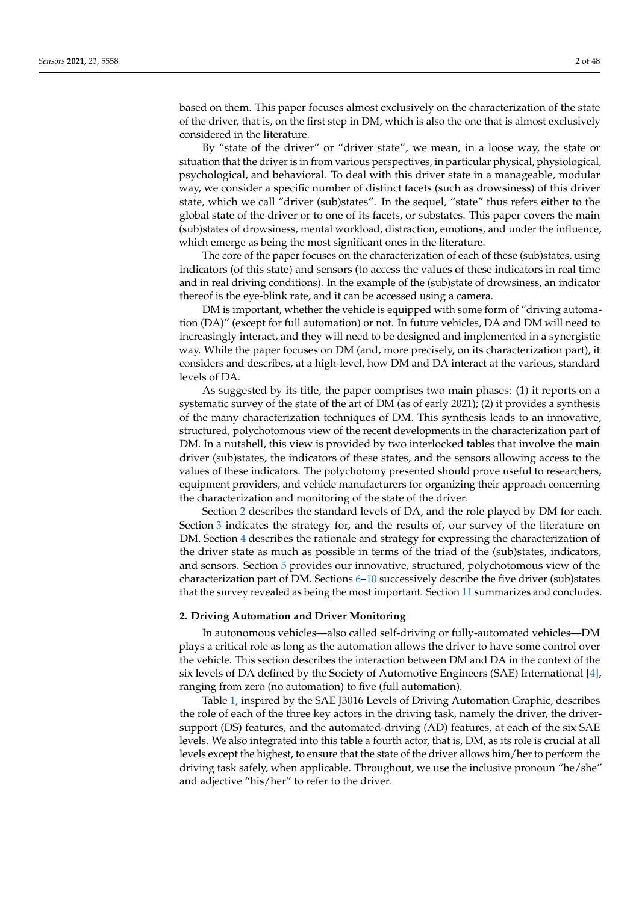based on them. This paper focuses almost exclusively on the characterization of the state of the driver, that is, on the first step in DM, which is also the one that is almost exclusively considered in the literature.

By "state of the driver" or "driver state", we mean, in a loose way, the state or situation that the driver is in from various perspectives, in particular physical, physiological, psychological, and behavioral. To deal with this driver state in a manageable, modular way, we consider a specific number of distinct facets (such as drowsiness) of this driver state, which we call "driver (sub)states". In the sequel, "state" thus refers either to the global state of the driver or to one of its facets, or substates. This paper covers the main (sub)states of drowsiness, mental workload, distraction, emotions, and under the influence, which emerge as being the most significant ones in the literature.

The core of the paper focuses on the characterization of each of these (sub)states, using indicators (of this state) and sensors (to access the values of these indicators in real time and in real driving conditions). In the example of the (sub)state of drowsiness, an indicator thereof is the eye-blink rate, and it can be accessed using a camera.

DM is important, whether the vehicle is equipped with some form of "driving automation (DA)" (except for full automation) or not. In future vehicles, DA and DM will need to increasingly interact, and they will need to be designed and implemented in a synergistic way. While the paper focuses on DM (and, more precisely, on its characterization part), it considers and describes, at a high-level, how DM and DA interact at the various, standard levels of DA.

As suggested by its title, the paper comprises two main phases: (1) it reports on a systematic survey of the state of the art of DM (as of early 2021); (2) it provides a synthesis of the many characterization techniques of DM. This synthesis leads to an innovative, structured, polychotomous view of the recent developments in the characterization part of DM. In a nutshell, this view is provided by two interlocked tables that involve the main driver (sub)states, the indicators of these states, and the sensors allowing access to the values of these indicators. The polychotomy presented should prove useful to researchers, equipment providers, and vehicle manufacturers for organizing their approach concerning the characterization and monitoring of the state of the driver.

Section [2](#page-1-0) describes the standard levels of DA, and the role played by DM for each. Section [3](#page-3-0) indicates the strategy for, and the results of, our survey of the literature on DM. Section [4](#page-9-0) describes the rationale and strategy for expressing the characterization of the driver state as much as possible in terms of the triad of the (sub)states, indicators, and sensors. Section [5](#page-11-0) provides our innovative, structured, polychotomous view of the characterization part of DM. Sections [6](#page-13-0)[–10](#page-27-0) successively describe the five driver (sub)states that the survey revealed as being the most important. Section [11](#page-32-0) summarizes and concludes.

### <span id="page-1-0"></span>**2. Driving Automation and Driver Monitoring**

In autonomous vehicles—also called self-driving or fully-automated vehicles—DM plays a critical role as long as the automation allows the driver to have some control over the vehicle. This section describes the interaction between DM and DA in the context of the six levels of DA defined by the Society of Automotive Engineers (SAE) International [\[4\]](#page-38-3), ranging from zero (no automation) to five (full automation).

Table [1,](#page-2-0) inspired by the SAE J3016 Levels of Driving Automation Graphic, describes the role of each of the three key actors in the driving task, namely the driver, the driversupport (DS) features, and the automated-driving (AD) features, at each of the six SAE levels. We also integrated into this table a fourth actor, that is, DM, as its role is crucial at all levels except the highest, to ensure that the state of the driver allows him/her to perform the driving task safely, when applicable. Throughout, we use the inclusive pronoun "he/she" and adjective "his/her" to refer to the driver.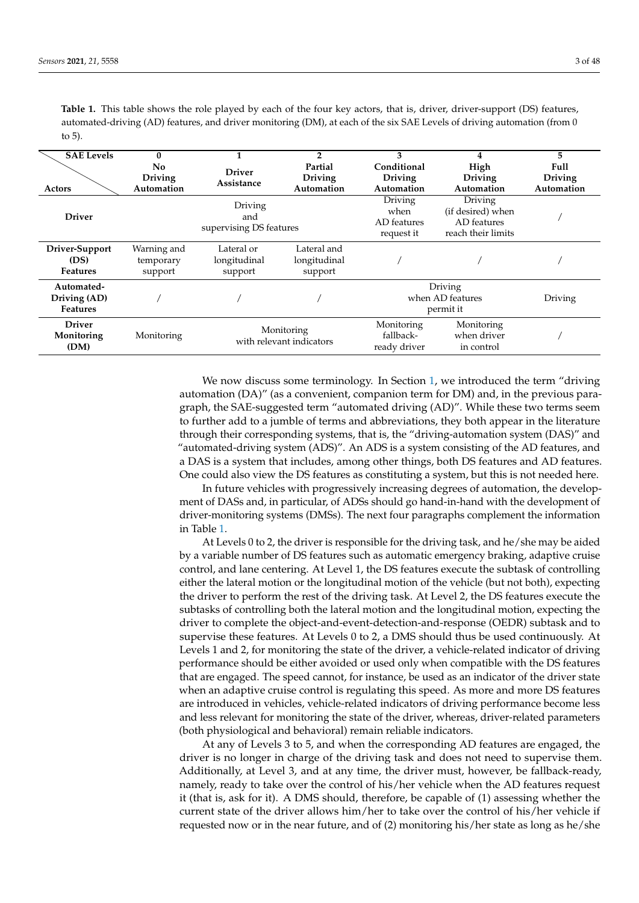| <b>SAE Levels</b><br>Actors                   | 0<br>No<br><b>Driving</b><br>Automation | <b>Driver</b><br>Assistance               | 2<br>Partial<br><b>Driving</b><br>Automation | 3<br>Conditional<br><b>Driving</b><br>Automation | 4<br>High<br><b>Driving</b><br>Automation                         | 5<br>Full<br><b>Driving</b><br>Automation |
|-----------------------------------------------|-----------------------------------------|-------------------------------------------|----------------------------------------------|--------------------------------------------------|-------------------------------------------------------------------|-------------------------------------------|
| <b>Driver</b>                                 |                                         | Driving<br>and<br>supervising DS features |                                              | Driving<br>when<br>AD features<br>request it     | Driving<br>(if desired) when<br>AD features<br>reach their limits |                                           |
| Driver-Support<br>(DS)<br><b>Features</b>     | Warning and<br>temporary<br>support     | Lateral or<br>longitudinal<br>support     | Lateral and<br>longitudinal<br>support       |                                                  |                                                                   |                                           |
| Automated-<br>Driving (AD)<br><b>Features</b> |                                         |                                           |                                              | Driving<br>when AD features<br>permit it         | Driving                                                           |                                           |
| <b>Driver</b><br>Monitoring<br>(DM)           | Monitoring                              | Monitoring<br>with relevant indicators    |                                              | Monitoring<br>fallback-<br>ready driver          | Monitoring<br>when driver<br>in control                           |                                           |

<span id="page-2-0"></span>**Table 1.** This table shows the role played by each of the four key actors, that is, driver, driver-support (DS) features, automated-driving (AD) features, and driver monitoring (DM), at each of the six SAE Levels of driving automation (from 0 to 5).

> We now discuss some terminology. In Section [1,](#page-0-0) we introduced the term "driving automation (DA)" (as a convenient, companion term for DM) and, in the previous paragraph, the SAE-suggested term "automated driving (AD)". While these two terms seem to further add to a jumble of terms and abbreviations, they both appear in the literature through their corresponding systems, that is, the "driving-automation system (DAS)" and "automated-driving system (ADS)". An ADS is a system consisting of the AD features, and a DAS is a system that includes, among other things, both DS features and AD features. One could also view the DS features as constituting a system, but this is not needed here.

> In future vehicles with progressively increasing degrees of automation, the development of DASs and, in particular, of ADSs should go hand-in-hand with the development of driver-monitoring systems (DMSs). The next four paragraphs complement the information in Table [1.](#page-2-0)

> At Levels 0 to 2, the driver is responsible for the driving task, and he/she may be aided by a variable number of DS features such as automatic emergency braking, adaptive cruise control, and lane centering. At Level 1, the DS features execute the subtask of controlling either the lateral motion or the longitudinal motion of the vehicle (but not both), expecting the driver to perform the rest of the driving task. At Level 2, the DS features execute the subtasks of controlling both the lateral motion and the longitudinal motion, expecting the driver to complete the object-and-event-detection-and-response (OEDR) subtask and to supervise these features. At Levels 0 to 2, a DMS should thus be used continuously. At Levels 1 and 2, for monitoring the state of the driver, a vehicle-related indicator of driving performance should be either avoided or used only when compatible with the DS features that are engaged. The speed cannot, for instance, be used as an indicator of the driver state when an adaptive cruise control is regulating this speed. As more and more DS features are introduced in vehicles, vehicle-related indicators of driving performance become less and less relevant for monitoring the state of the driver, whereas, driver-related parameters (both physiological and behavioral) remain reliable indicators.

> At any of Levels 3 to 5, and when the corresponding AD features are engaged, the driver is no longer in charge of the driving task and does not need to supervise them. Additionally, at Level 3, and at any time, the driver must, however, be fallback-ready, namely, ready to take over the control of his/her vehicle when the AD features request it (that is, ask for it). A DMS should, therefore, be capable of (1) assessing whether the current state of the driver allows him/her to take over the control of his/her vehicle if requested now or in the near future, and of (2) monitoring his/her state as long as he/she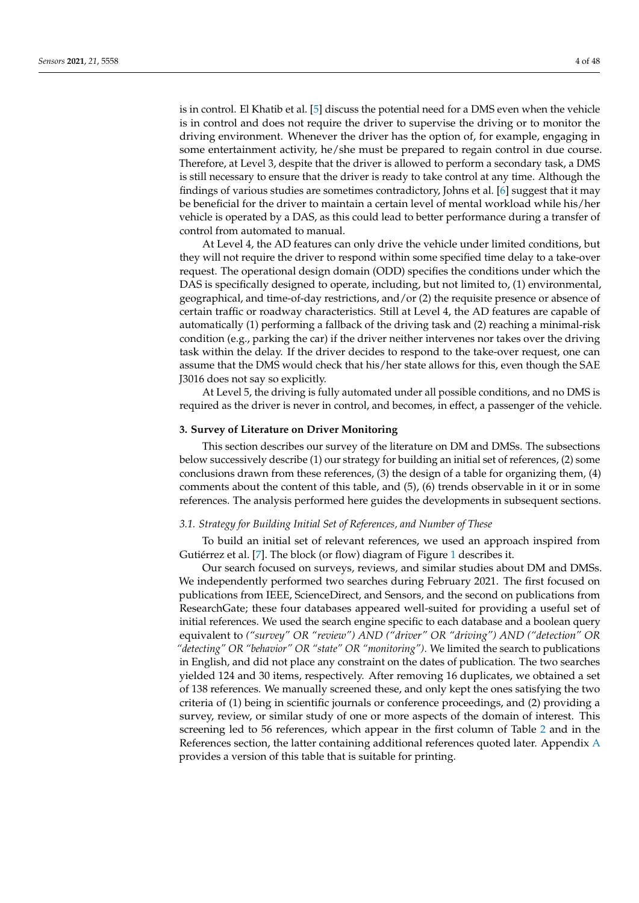is in control. El Khatib et al. [\[5\]](#page-38-4) discuss the potential need for a DMS even when the vehicle is in control and does not require the driver to supervise the driving or to monitor the driving environment. Whenever the driver has the option of, for example, engaging in some entertainment activity, he/she must be prepared to regain control in due course. Therefore, at Level 3, despite that the driver is allowed to perform a secondary task, a DMS is still necessary to ensure that the driver is ready to take control at any time. Although the findings of various studies are sometimes contradictory, Johns et al. [\[6\]](#page-38-5) suggest that it may be beneficial for the driver to maintain a certain level of mental workload while his/her vehicle is operated by a DAS, as this could lead to better performance during a transfer of control from automated to manual.

At Level 4, the AD features can only drive the vehicle under limited conditions, but they will not require the driver to respond within some specified time delay to a take-over request. The operational design domain (ODD) specifies the conditions under which the DAS is specifically designed to operate, including, but not limited to, (1) environmental, geographical, and time-of-day restrictions, and/or (2) the requisite presence or absence of certain traffic or roadway characteristics. Still at Level 4, the AD features are capable of automatically (1) performing a fallback of the driving task and (2) reaching a minimal-risk condition (e.g., parking the car) if the driver neither intervenes nor takes over the driving task within the delay. If the driver decides to respond to the take-over request, one can assume that the DMS would check that his/her state allows for this, even though the SAE J3016 does not say so explicitly.

At Level 5, the driving is fully automated under all possible conditions, and no DMS is required as the driver is never in control, and becomes, in effect, a passenger of the vehicle.

## <span id="page-3-0"></span>**3. Survey of Literature on Driver Monitoring**

This section describes our survey of the literature on DM and DMSs. The subsections below successively describe (1) our strategy for building an initial set of references, (2) some conclusions drawn from these references, (3) the design of a table for organizing them, (4) comments about the content of this table, and (5), (6) trends observable in it or in some references. The analysis performed here guides the developments in subsequent sections.

### *3.1. Strategy for Building Initial Set of References, and Number of These*

To build an initial set of relevant references, we used an approach inspired from Gutiérrez et al. [\[7\]](#page-38-6). The block (or flow) diagram of Figure [1](#page-4-0) describes it.

Our search focused on surveys, reviews, and similar studies about DM and DMSs. We independently performed two searches during February 2021. The first focused on publications from IEEE, ScienceDirect, and Sensors, and the second on publications from ResearchGate; these four databases appeared well-suited for providing a useful set of initial references. We used the search engine specific to each database and a boolean query equivalent to *("survey" OR "review") AND ("driver" OR "driving") AND ("detection" OR "detecting" OR "behavior" OR "state" OR "monitoring")*. We limited the search to publications in English, and did not place any constraint on the dates of publication. The two searches yielded 124 and 30 items, respectively. After removing 16 duplicates, we obtained a set of 138 references. We manually screened these, and only kept the ones satisfying the two criteria of (1) being in scientific journals or conference proceedings, and (2) providing a survey, review, or similar study of one or more aspects of the domain of interest. This screening led to 56 references, which appear in the first column of Table [2](#page-5-0) and in the References section, the latter containing additional references quoted later. Appendix [A](#page-34-0) provides a version of this table that is suitable for printing.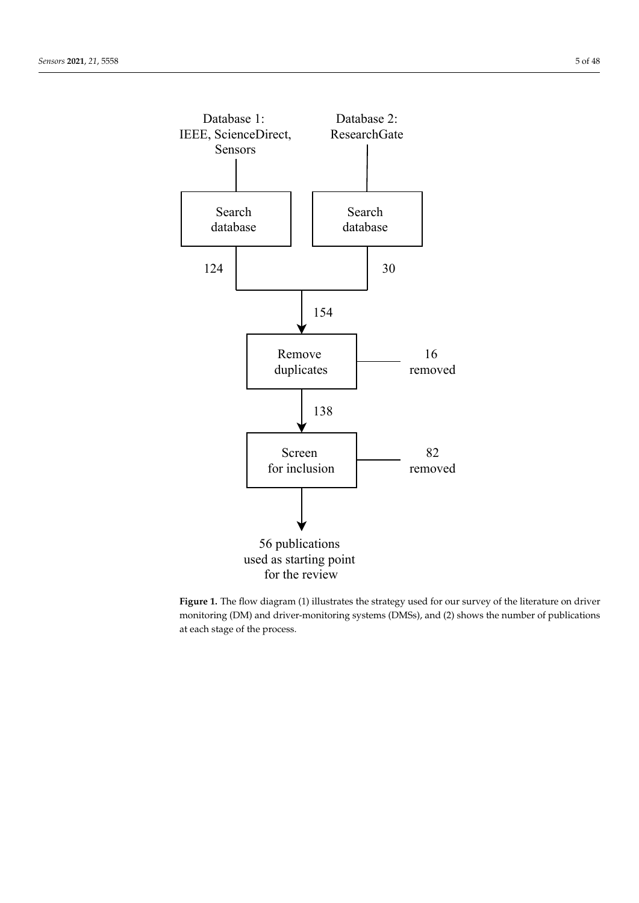<span id="page-4-0"></span>

Figure 1. The flow diagram (1) illustrates the strategy used for our survey of the literature on driver monitoring (DM) and driver-monitoring systems (DMSs), and (2) shows the number of publications at each stage of the process.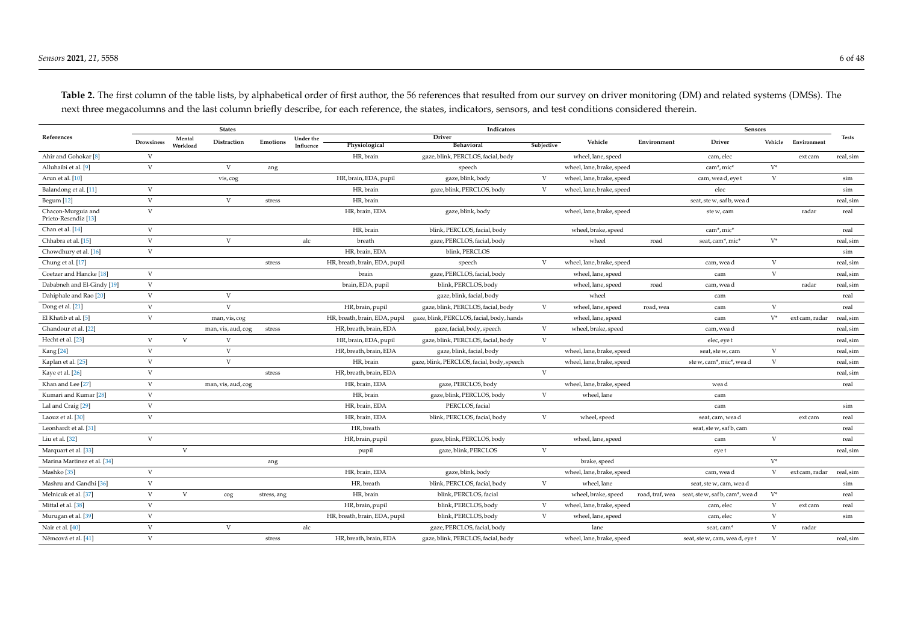<span id="page-5-0"></span>

| References                                 |                   |                    | <b>States</b>      |             |                        |                               | Indicators                                 |              |                           |             | Sensors                                         |              |                | <b>Tests</b> |
|--------------------------------------------|-------------------|--------------------|--------------------|-------------|------------------------|-------------------------------|--------------------------------------------|--------------|---------------------------|-------------|-------------------------------------------------|--------------|----------------|--------------|
|                                            | <b>Drowsiness</b> | Mental<br>Workload | Distraction        | Emotions    | Under the<br>Influence | Physiological                 | <b>Driver</b><br><b>Behavioral</b>         | Subjective   | Vehicle                   | Environment | Driver                                          | Vehicle      | Environment    |              |
| Ahir and Gohokar <sup>[8]</sup>            | V                 |                    |                    |             |                        | HR, brain                     | gaze, blink, PERCLOS, facial, body         |              | wheel, lane, speed        |             | cam, elec                                       |              | ext cam        | real, sim    |
| Alluhaibi et al. [9]                       | $\mathbf{V}$      |                    | $\mathbf{V}$       | ang         |                        |                               | speech                                     |              | wheel, lane, brake, speed |             | cam*, mic*                                      | $V^*$        |                |              |
| Arun et al. [10]                           |                   |                    | vis, cog           |             |                        | HR, brain, EDA, pupil         | gaze, blink, body                          | V            | wheel, lane, brake, speed |             | cam, wea d, eye t                               | V            |                | sim          |
| Balandong et al. [11]                      | $\mathbf{V}$      |                    |                    |             |                        | HR, brain                     | gaze, blink, PERCLOS, body                 | V            | wheel, lane, brake, speed |             | elec                                            |              |                | sim          |
| Begum [12]                                 | V                 |                    | V                  | stress      |                        | HR, brain                     |                                            |              |                           |             | seat, ste w, saf b, wea d                       |              |                | real, sim    |
| Chacon-Murguia and<br>Prieto-Resendiz [13] | $\mathbf{V}$      |                    |                    |             |                        | HR, brain, EDA                | gaze, blink, body                          |              | wheel, lane, brake, speed |             | ste w, cam                                      |              | radar          | real         |
| Chan et al. [14]                           | V                 |                    |                    |             |                        | HR, brain                     | blink, PERCLOS, facial, body               |              | wheel, brake, speed       |             | cam*, mic*                                      |              |                | real         |
| Chhabra et al. [15]                        | V                 |                    | V                  |             | alc                    | breath                        | gaze, PERCLOS, facial, body                |              | wheel                     | road        | seat, cam*, mic*                                | $V^*$        |                | real, sim    |
| Chowdhury et al. [16]                      | $\mathbf V$       |                    |                    |             |                        | HR, brain, EDA                | blink, PERCLOS                             |              |                           |             |                                                 |              |                | sim          |
| Chung et al. [17]                          |                   |                    |                    | stress      |                        | HR, breath, brain, EDA, pupil | speech                                     | V            | wheel, lane, brake, speed |             | cam, wea d                                      | V            |                | real, sim    |
| Coetzer and Hancke <sup>[18]</sup>         | V                 |                    |                    |             |                        | brain                         | gaze, PERCLOS, facial, body                |              | wheel, lane, speed        |             | cam                                             | V            |                | real, sim    |
| Dababneh and El-Gindy [19]                 | V                 |                    |                    |             |                        | brain, EDA, pupil             | blink, PERCLOS, body                       |              | wheel, lane, speed        | road        | cam, wea d                                      |              | radar          | real, sim    |
| Dahiphale and Rao [20]                     | V                 |                    | $\mathbf{V}$       |             |                        |                               | gaze, blink, facial, body                  |              | wheel                     |             | cam                                             |              |                | real         |
| Dong et al. [21]                           | V                 |                    | $\mathbf{V}$       |             |                        | HR, brain, pupil              | gaze, blink, PERCLOS, facial, body         | V            | wheel, lane, speed        | road, wea   | cam                                             | V            |                | real         |
| El Khatib et al. [5]                       | V                 |                    | man, vis, cog      |             |                        | HR, breath, brain, EDA, pupil | gaze, blink, PERCLOS, facial, body, hands  |              | wheel, lane, speed        |             | cam                                             | $V^*$        | ext cam, radar | real, sim    |
| Ghandour et al. [22]                       |                   |                    | man, vis, aud, cog | stress      |                        | HR, breath, brain, EDA        | gaze, facial, body, speech                 | V            | wheel, brake, speed       |             | cam, wea d                                      |              |                | real, sim    |
| Hecht et al. [23]                          | V                 | V                  | V                  |             |                        | HR, brain, EDA, pupil         | gaze, blink, PERCLOS, facial, body         | V            |                           |             | elec, eye t                                     |              |                | real, sim    |
| Kang [24]                                  | V                 |                    | V                  |             |                        | HR, breath, brain, EDA        | gaze, blink, facial, body                  |              | wheel, lane, brake, speed |             | seat, ste w, cam                                | V            |                | real, sim    |
| Kaplan et al. [25]                         | $\mathbf V$       |                    | $\mathbf{V}$       |             |                        | HR, brain                     | gaze, blink, PERCLOS, facial, body, speech |              | wheel, lane, brake, speed |             | ste w, cam*, mic*, wea d                        | $\mathbf{V}$ |                | real, sim    |
| Kaye et al. [26]                           | V                 |                    |                    | stress      |                        | HR, breath, brain, EDA        |                                            | V            |                           |             |                                                 |              |                | real, sim    |
| Khan and Lee [27]                          | $\mathbf{V}$      |                    | man, vis, aud, cog |             |                        | HR, brain, EDA                | gaze, PERCLOS, body                        |              | wheel, lane, brake, speed |             | wea d                                           |              |                | real         |
| Kumari and Kumar <sup>[28]</sup>           | V                 |                    |                    |             |                        | HR, brain                     | gaze, blink, PERCLOS, body                 | V            | wheel, lane               |             | cam                                             |              |                |              |
| Lal and Craig [29]                         | V                 |                    |                    |             |                        | HR, brain, EDA                | PERCLOS, facial                            |              |                           |             | cam                                             |              |                | sim          |
| Laouz et al. [30]                          | V                 |                    |                    |             |                        | HR, brain, EDA                | blink, PERCLOS, facial, body               | V            | wheel, speed              |             | seat, cam, wea d                                |              | ext cam        | real         |
| Leonhardt et al. [31]                      |                   |                    |                    |             |                        | HR, breath                    |                                            |              |                           |             | seat, ste w, saf b, cam                         |              |                | real         |
| Liu et al. $[32]$                          | V                 |                    |                    |             |                        | HR, brain, pupil              | gaze, blink, PERCLOS, body                 |              | wheel, lane, speed        |             | cam                                             | V            |                | real         |
| Marquart et al. [33]                       |                   | $\mathbf{V}$       |                    |             |                        | pupil                         | gaze, blink, PERCLOS                       | $\mathbf{V}$ |                           |             | eye t                                           |              |                | real, sim    |
| Marina Martinez et al. [34]                |                   |                    |                    | ang         |                        |                               |                                            |              | brake, speed              |             |                                                 | $V^*$        |                |              |
| Mashko <sup>[35]</sup>                     | V                 |                    |                    |             |                        | HR, brain, EDA                | gaze, blink, body                          |              | wheel, lane, brake, speed |             | cam, wea d                                      | V            | ext cam, radar | real, sim    |
| Mashru and Gandhi [36]                     | V                 |                    |                    |             |                        | HR, breath                    | blink, PERCLOS, facial, body               | V            | wheel, lane               |             | seat, ste w, cam, wea d                         |              |                | sim          |
| Melnicuk et al. [37]                       | V                 | V                  | cog                | stress, ang |                        | HR, brain                     | blink, PERCLOS, facial                     |              | wheel, brake, speed       |             | road, traf, wea seat, ste w, saf b, cam*, wea d | $V^*$        |                | real         |
| Mittal et al. [38]                         | V                 |                    |                    |             |                        | HR, brain, pupil              | blink, PERCLOS, body                       | V            | wheel, lane, brake, speed |             | cam, elec                                       | V            | ext cam        | real         |
| Murugan et al. [39]                        | V                 |                    |                    |             |                        | HR, breath, brain, EDA, pupil | blink, PERCLOS, body                       | V            | wheel, lane, speed        |             | cam, elec                                       | V            |                | sim          |
| Nair et al. [40]                           | $\mathbf{V}$      |                    | V                  |             | alc                    |                               | gaze, PERCLOS, facial, body                |              | lane                      |             | seat, cam <sup>*</sup>                          | V            | radar          |              |
| Němcová et al. [41]                        | V                 |                    |                    | stress      |                        | HR, breath, brain, EDA        | gaze, blink, PERCLOS, facial, body         |              | wheel, lane, brake, speed |             | seat, ste w, cam, wea d, eye t                  | V            |                | real, sim    |

Table 2. The first column of the table lists, by alphabetical order of first author, the 56 references that resulted from our survey on driver monitoring (DM) and related systems (DMSs). The next three megacolumns and the last column briefly describe, for each reference, the states, indicators, sensors, and test conditions considered therein.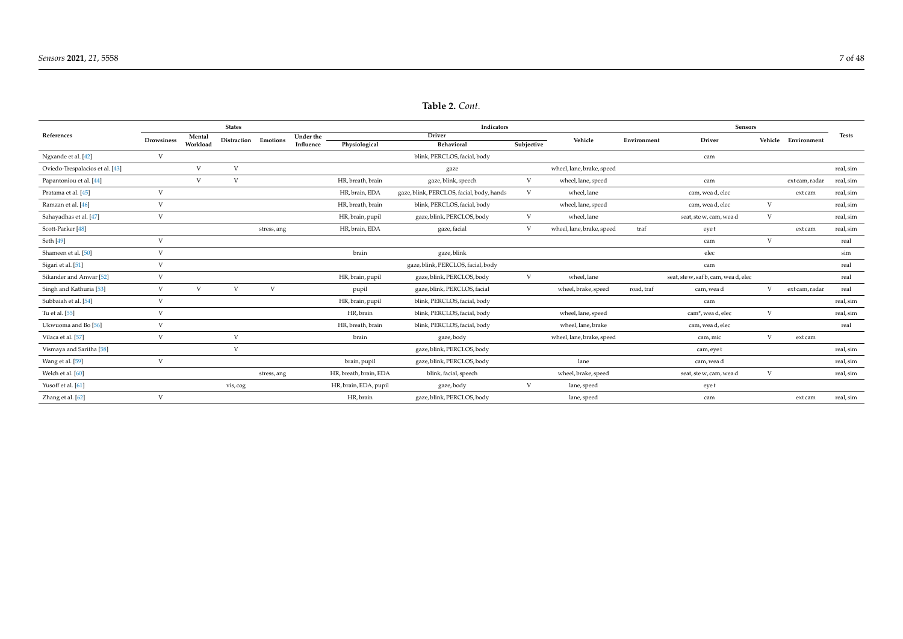|                                    |              |          | <b>States</b> |                      |           |                        | Indicators                                |            |                           |             | <b>Sensors</b>                       |   |                     |              |
|------------------------------------|--------------|----------|---------------|----------------------|-----------|------------------------|-------------------------------------------|------------|---------------------------|-------------|--------------------------------------|---|---------------------|--------------|
| References                         | Drowsiness   | Mental   |               | Distraction Emotions | Under the |                        | Driver                                    |            | Vehicle                   | Environment | Driver                               |   | Vehicle Environment | <b>Tests</b> |
|                                    |              | Workload |               |                      | Influence | Physiological          | Behavioral                                | Subjective |                           |             |                                      |   |                     |              |
| Ngxande et al. [42]                | V            |          |               |                      |           |                        | blink, PERCLOS, facial, body              |            |                           |             | cam                                  |   |                     |              |
| Oviedo-Trespalacios et al. [43]    |              | V        | $\mathbf{V}$  |                      |           |                        | gaze                                      |            | wheel, lane, brake, speed |             |                                      |   |                     | real, sim    |
| Papantoniou et al. [44]            |              | V        | V             |                      |           | HR, breath, brain      | gaze, blink, speech                       | V          | wheel, lane, speed        |             | cam                                  |   | ext cam, radar      | real, sim    |
| Pratama et al. [45]                | V            |          |               |                      |           | HR, brain, EDA         | gaze, blink, PERCLOS, facial, body, hands | V          | wheel, lane               |             | cam, wea d, elec                     |   | ext cam             | real, sim    |
| Ramzan et al. [46]                 | V            |          |               |                      |           | HR, breath, brain      | blink, PERCLOS, facial, body              |            | wheel, lane, speed        |             | cam, wea d, elec                     | V |                     | real, sim    |
| Sahayadhas et al. [47]             | V            |          |               |                      |           | HR, brain, pupil       | gaze, blink, PERCLOS, body                | V          | wheel, lane               |             | seat, ste w, cam, wea d              | V |                     | real, sim    |
| Scott-Parker <sup>[48]</sup>       |              |          |               | stress, ang          |           | HR, brain, EDA         | gaze, facial                              | V          | wheel, lane, brake, speed | traf        | eyet                                 |   | ext cam             | real, sim    |
| Seth [49]                          | V            |          |               |                      |           |                        |                                           |            |                           |             | cam                                  | V |                     | real         |
| Shameen et al. [50]                | $\mathbf{V}$ |          |               |                      |           | brain                  | gaze, blink                               |            |                           |             | elec                                 |   |                     | sim          |
| Sigari et al. [51]                 | V            |          |               |                      |           |                        | gaze, blink, PERCLOS, facial, body        |            |                           |             | cam                                  |   |                     | real         |
| Sikander and Anwar <sup>[52]</sup> | $\mathbf{V}$ |          |               |                      |           | HR, brain, pupil       | gaze, blink, PERCLOS, body                | V          | wheel, lane               |             | seat, ste w, saf b, cam, wea d, elec |   |                     | real         |
| Singh and Kathuria [53]            | V            | V        | $\mathbf{V}$  | V                    |           | pupil                  | gaze, blink, PERCLOS, facial              |            | wheel, brake, speed       | road, traf  | cam, wea d                           | V | ext cam, radar      | real         |
| Subbaiah et al. [54]               | V            |          |               |                      |           | HR, brain, pupil       | blink, PERCLOS, facial, body              |            |                           |             | cam                                  |   |                     | real, sim    |
| Tu et al. [55]                     | $\mathbf{V}$ |          |               |                      |           | HR, brain              | blink, PERCLOS, facial, body              |            | wheel, lane, speed        |             | cam*, wea d, elec                    | V |                     | real, sim    |
| Ukwuoma and Bo [56]                | V            |          |               |                      |           | HR, breath, brain      | blink, PERCLOS, facial, body              |            | wheel, lane, brake        |             | cam, wea d, elec                     |   |                     | real         |
| Vilaca et al. [57]                 | V            |          | $\mathbf{V}$  |                      |           | brain                  | gaze, body                                |            | wheel, lane, brake, speed |             | cam, mic                             | V | ext cam             |              |
| Vismaya and Saritha [58]           |              |          | V             |                      |           |                        | gaze, blink, PERCLOS, body                |            |                           |             | cam, eye t                           |   |                     | real, sim    |
| Wang et al. [59]                   | V            |          |               |                      |           | brain, pupil           | gaze, blink, PERCLOS, body                |            | lane                      |             | cam, wea d                           |   |                     | real, sim    |
| Welch et al. [60]                  |              |          |               | stress, ang          |           | HR, breath, brain, EDA | blink, facial, speech                     |            | wheel, brake, speed       |             | seat, ste w, cam, wea d              | V |                     | real, sim    |
| Yusoff et al. [61]                 |              |          | vis, cog      |                      |           | HR, brain, EDA, pupil  | gaze, body                                | V          | lane, speed               |             | eye t                                |   |                     |              |
| Zhang et al. [62]                  | $\mathbf{V}$ |          |               |                      |           | HR, brain              | gaze, blink, PERCLOS, body                |            | lane, speed               |             | cam                                  |   | ext cam             | real, sim    |

# **Table 2.** *Cont.*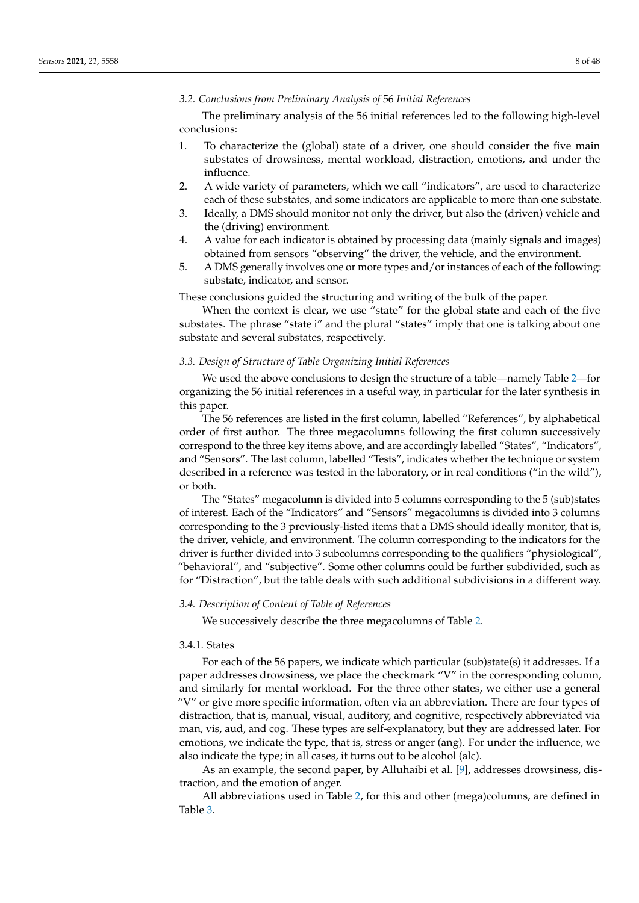### *3.2. Conclusions from Preliminary Analysis of* 56 *Initial References*

The preliminary analysis of the 56 initial references led to the following high-level conclusions:

- 1. To characterize the (global) state of a driver, one should consider the five main substates of drowsiness, mental workload, distraction, emotions, and under the influence.
- 2. A wide variety of parameters, which we call "indicators", are used to characterize each of these substates, and some indicators are applicable to more than one substate.
- 3. Ideally, a DMS should monitor not only the driver, but also the (driven) vehicle and the (driving) environment.
- 4. A value for each indicator is obtained by processing data (mainly signals and images) obtained from sensors "observing" the driver, the vehicle, and the environment.
- 5. A DMS generally involves one or more types and/or instances of each of the following: substate, indicator, and sensor.

These conclusions guided the structuring and writing of the bulk of the paper.

When the context is clear, we use "state" for the global state and each of the five substates. The phrase "state i" and the plural "states" imply that one is talking about one substate and several substates, respectively.

## *3.3. Design of Structure of Table Organizing Initial References*

We used the above conclusions to design the structure of a table—namely Table [2—](#page-5-0)for organizing the 56 initial references in a useful way, in particular for the later synthesis in this paper.

The 56 references are listed in the first column, labelled "References", by alphabetical order of first author. The three megacolumns following the first column successively correspond to the three key items above, and are accordingly labelled "States", "Indicators", and "Sensors". The last column, labelled "Tests", indicates whether the technique or system described in a reference was tested in the laboratory, or in real conditions ("in the wild"), or both.

The "States" megacolumn is divided into 5 columns corresponding to the 5 (sub)states of interest. Each of the "Indicators" and "Sensors" megacolumns is divided into 3 columns corresponding to the 3 previously-listed items that a DMS should ideally monitor, that is, the driver, vehicle, and environment. The column corresponding to the indicators for the driver is further divided into 3 subcolumns corresponding to the qualifiers "physiological", "behavioral", and "subjective". Some other columns could be further subdivided, such as for "Distraction", but the table deals with such additional subdivisions in a different way.

### *3.4. Description of Content of Table of References*

We successively describe the three megacolumns of Table [2.](#page-5-0)

# 3.4.1. States

For each of the 56 papers, we indicate which particular (sub)state(s) it addresses. If a paper addresses drowsiness, we place the checkmark "V" in the corresponding column, and similarly for mental workload. For the three other states, we either use a general "V" or give more specific information, often via an abbreviation. There are four types of distraction, that is, manual, visual, auditory, and cognitive, respectively abbreviated via man, vis, aud, and cog. These types are self-explanatory, but they are addressed later. For emotions, we indicate the type, that is, stress or anger (ang). For under the influence, we also indicate the type; in all cases, it turns out to be alcohol (alc).

As an example, the second paper, by Alluhaibi et al. [\[9\]](#page-38-15), addresses drowsiness, distraction, and the emotion of anger.

All abbreviations used in Table [2,](#page-5-0) for this and other (mega)columns, are defined in Table [3.](#page-8-0)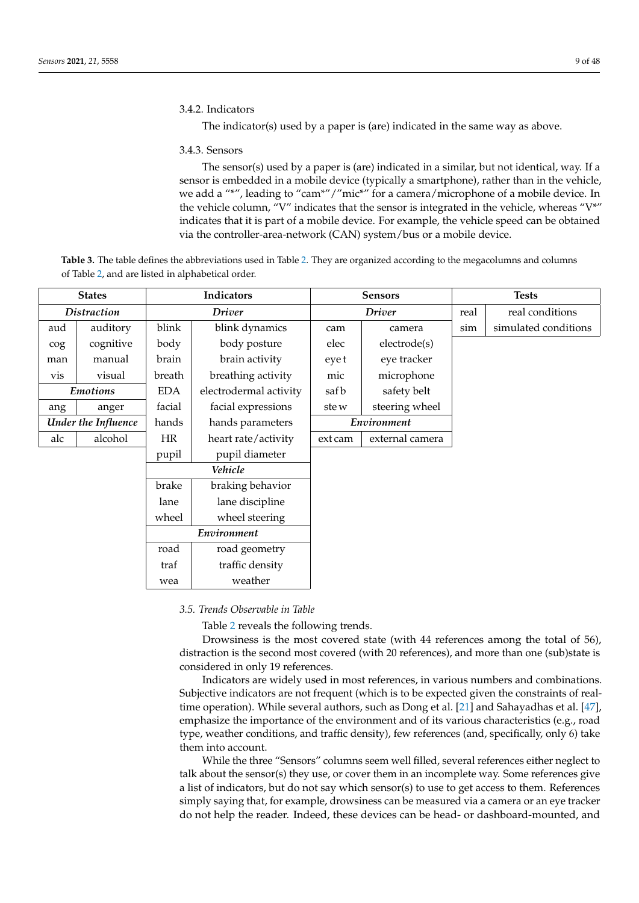# 3.4.2. Indicators

The indicator(s) used by a paper is (are) indicated in the same way as above.

## 3.4.3. Sensors

The sensor(s) used by a paper is (are) indicated in a similar, but not identical, way. If a sensor is embedded in a mobile device (typically a smartphone), rather than in the vehicle, we add a "\*", leading to "cam\*"/"mic\*" for a camera/microphone of a mobile device. In the vehicle column, "V" indicates that the sensor is integrated in the vehicle, whereas "V\*" indicates that it is part of a mobile device. For example, the vehicle speed can be obtained via the controller-area-network (CAN) system/bus or a mobile device.

<span id="page-8-0"></span>**Table 3.** The table defines the abbreviations used in Table [2.](#page-5-0) They are organized according to the megacolumns and columns of Table [2,](#page-5-0) and are listed in alphabetical order.

|     | <b>States</b>                         |            | Indicators             |                | <b>Sensors</b>  |      | <b>Tests</b>         |
|-----|---------------------------------------|------------|------------------------|----------------|-----------------|------|----------------------|
|     | <b>Distraction</b>                    |            | <b>Driver</b>          |                | <b>Driver</b>   | real | real conditions      |
| aud | auditory                              | blink      | blink dynamics         | cam            | camera          | sim  | simulated conditions |
| cog | cognitive                             | body       | body posture           | elec           | electrode(s)    |      |                      |
| man | manual                                | brain      | brain activity         | eye t          | eye tracker     |      |                      |
| vis | visual                                | breath     | breathing activity     | mic            | microphone      |      |                      |
|     | <b>Emotions</b>                       | <b>EDA</b> | electrodermal activity | safb           | safety belt     |      |                      |
| ang | facial<br>facial expressions<br>anger |            | ste w                  | steering wheel |                 |      |                      |
|     | Under the Influence                   |            | hands parameters       | Environment    |                 |      |                      |
| alc | alcohol                               | <b>HR</b>  | heart rate/activity    | ext cam        | external camera |      |                      |
|     |                                       | pupil      | pupil diameter         |                |                 |      |                      |
|     |                                       |            | Vehicle                |                |                 |      |                      |
|     |                                       | brake      | braking behavior       |                |                 |      |                      |
|     |                                       | lane       | lane discipline        |                |                 |      |                      |
|     |                                       | wheel      | wheel steering         |                |                 |      |                      |
|     |                                       |            | Environment            |                |                 |      |                      |
|     | road<br>road geometry                 |            |                        |                |                 |      |                      |
|     |                                       | traf       | traffic density        |                |                 |      |                      |
|     |                                       | wea        | weather                |                |                 |      |                      |

## *3.5. Trends Observable in Table*

Table [2](#page-5-0) reveals the following trends.

Drowsiness is the most covered state (with 44 references among the total of 56), distraction is the second most covered (with 20 references), and more than one (sub)state is considered in only 19 references.

Indicators are widely used in most references, in various numbers and combinations. Subjective indicators are not frequent (which is to be expected given the constraints of realtime operation). While several authors, such as Dong et al. [\[21\]](#page-39-26) and Sahayadhas et al. [\[47\]](#page-40-22), emphasize the importance of the environment and of its various characteristics (e.g., road type, weather conditions, and traffic density), few references (and, specifically, only 6) take them into account.

While the three "Sensors" columns seem well filled, several references either neglect to talk about the sensor(s) they use, or cover them in an incomplete way. Some references give a list of indicators, but do not say which sensor(s) to use to get access to them. References simply saying that, for example, drowsiness can be measured via a camera or an eye tracker do not help the reader. Indeed, these devices can be head- or dashboard-mounted, and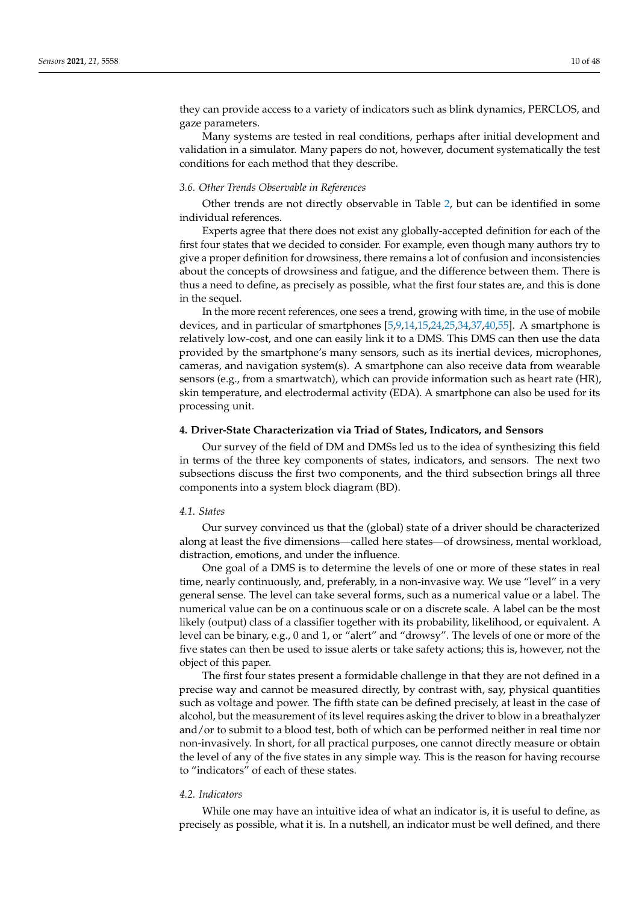they can provide access to a variety of indicators such as blink dynamics, PERCLOS, and gaze parameters.

Many systems are tested in real conditions, perhaps after initial development and validation in a simulator. Many papers do not, however, document systematically the test conditions for each method that they describe.

### *3.6. Other Trends Observable in References*

Other trends are not directly observable in Table [2,](#page-5-0) but can be identified in some individual references.

Experts agree that there does not exist any globally-accepted definition for each of the first four states that we decided to consider. For example, even though many authors try to give a proper definition for drowsiness, there remains a lot of confusion and inconsistencies about the concepts of drowsiness and fatigue, and the difference between them. There is thus a need to define, as precisely as possible, what the first four states are, and this is done in the sequel.

In the more recent references, one sees a trend, growing with time, in the use of mobile devices, and in particular of smartphones [\[5,](#page-38-4)[9,](#page-38-15)[14,](#page-38-16)[15,](#page-39-27)[24,](#page-39-28)[25,](#page-39-29)[34,](#page-39-30)[37,](#page-39-31)[40,](#page-39-32)[55\]](#page-40-23). A smartphone is relatively low-cost, and one can easily link it to a DMS. This DMS can then use the data provided by the smartphone's many sensors, such as its inertial devices, microphones, cameras, and navigation system(s). A smartphone can also receive data from wearable sensors (e.g., from a smartwatch), which can provide information such as heart rate (HR), skin temperature, and electrodermal activity (EDA). A smartphone can also be used for its processing unit.

## <span id="page-9-0"></span>**4. Driver-State Characterization via Triad of States, Indicators, and Sensors**

Our survey of the field of DM and DMSs led us to the idea of synthesizing this field in terms of the three key components of states, indicators, and sensors. The next two subsections discuss the first two components, and the third subsection brings all three components into a system block diagram (BD).

## *4.1. States*

Our survey convinced us that the (global) state of a driver should be characterized along at least the five dimensions—called here states—of drowsiness, mental workload, distraction, emotions, and under the influence.

One goal of a DMS is to determine the levels of one or more of these states in real time, nearly continuously, and, preferably, in a non-invasive way. We use "level" in a very general sense. The level can take several forms, such as a numerical value or a label. The numerical value can be on a continuous scale or on a discrete scale. A label can be the most likely (output) class of a classifier together with its probability, likelihood, or equivalent. A level can be binary, e.g., 0 and 1, or "alert" and "drowsy". The levels of one or more of the five states can then be used to issue alerts or take safety actions; this is, however, not the object of this paper.

The first four states present a formidable challenge in that they are not defined in a precise way and cannot be measured directly, by contrast with, say, physical quantities such as voltage and power. The fifth state can be defined precisely, at least in the case of alcohol, but the measurement of its level requires asking the driver to blow in a breathalyzer and/or to submit to a blood test, both of which can be performed neither in real time nor non-invasively. In short, for all practical purposes, one cannot directly measure or obtain the level of any of the five states in any simple way. This is the reason for having recourse to "indicators" of each of these states.

### *4.2. Indicators*

While one may have an intuitive idea of what an indicator is, it is useful to define, as precisely as possible, what it is. In a nutshell, an indicator must be well defined, and there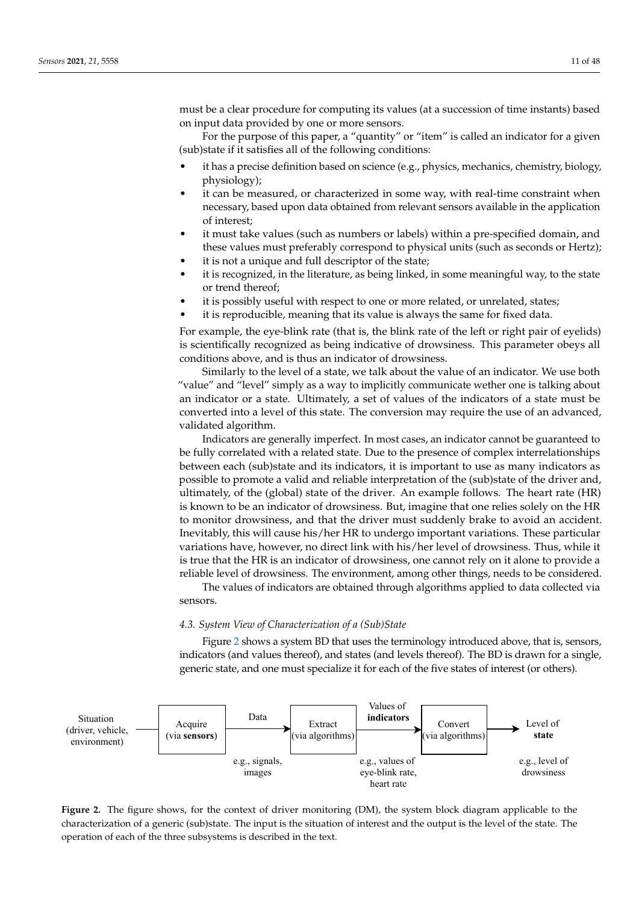must be a clear procedure for computing its values (at a succession of time instants) based on input data provided by one or more sensors.

For the purpose of this paper, a "quantity" or "item" is called an indicator for a given (sub)state if it satisfies all of the following conditions:

- it has a precise definition based on science (e.g., physics, mechanics, chemistry, biology, physiology);
- it can be measured, or characterized in some way, with real-time constraint when necessary, based upon data obtained from relevant sensors available in the application of interest;
- it must take values (such as numbers or labels) within a pre-specified domain, and these values must preferably correspond to physical units (such as seconds or Hertz);
- it is not a unique and full descriptor of the state;
- it is recognized, in the literature, as being linked, in some meaningful way, to the state or trend thereof;
- it is possibly useful with respect to one or more related, or unrelated, states;
- it is reproducible, meaning that its value is always the same for fixed data.

For example, the eye-blink rate (that is, the blink rate of the left or right pair of eyelids) is scientifically recognized as being indicative of drowsiness. This parameter obeys all conditions above, and is thus an indicator of drowsiness.

Similarly to the level of a state, we talk about the value of an indicator. We use both "value" and "level" simply as a way to implicitly communicate wether one is talking about an indicator or a state. Ultimately, a set of values of the indicators of a state must be converted into a level of this state. The conversion may require the use of an advanced, validated algorithm.

Indicators are generally imperfect. In most cases, an indicator cannot be guaranteed to be fully correlated with a related state. Due to the presence of complex interrelationships between each (sub)state and its indicators, it is important to use as many indicators as possible to promote a valid and reliable interpretation of the (sub)state of the driver and, ultimately, of the (global) state of the driver. An example follows. The heart rate (HR) is known to be an indicator of drowsiness. But, imagine that one relies solely on the HR to monitor drowsiness, and that the driver must suddenly brake to avoid an accident. Inevitably, this will cause his/her HR to undergo important variations. These particular variations have, however, no direct link with his/her level of drowsiness. Thus, while it is true that the HR is an indicator of drowsiness, one cannot rely on it alone to provide a reliable level of drowsiness. The environment, among other things, needs to be considered.

The values of indicators are obtained through algorithms applied to data collected via sensors.

### *4.3. System View of Characterization of a (Sub)State*

Figure [2](#page-10-0) shows a system BD that uses the terminology introduced above, that is, sensors, indicators (and values thereof), and states (and levels thereof). The BD is drawn for a single, generic state, and one must specialize it for each of the five states of interest (or others).

<span id="page-10-0"></span>

Figure 2. The figure shows, for the context of driver monitoring (DM), the system block diagram applicable to the characterization of a generic (sub)state. The input is the situation of interest and the output is the level of the state. The operation of each of the three subsystems is described in the text.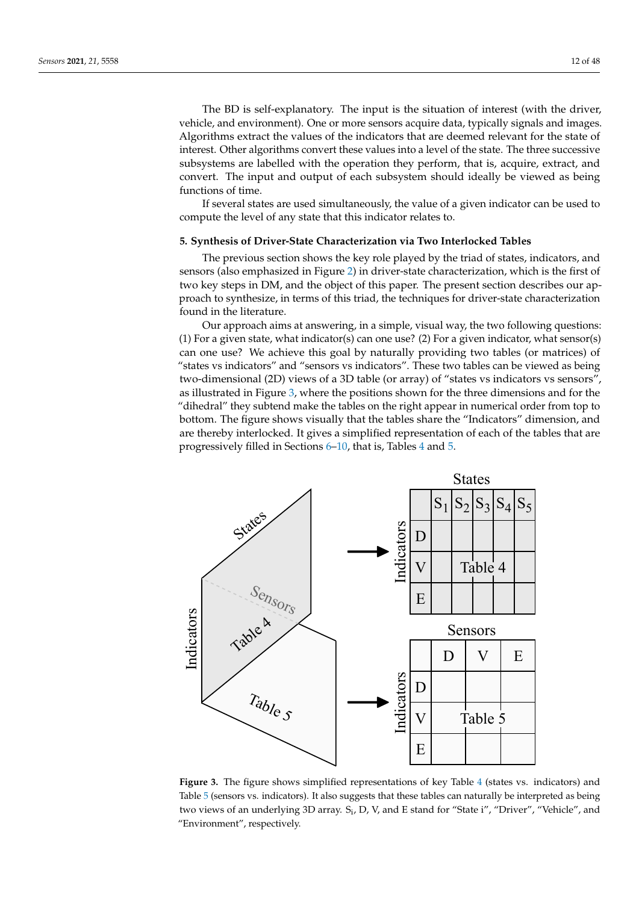The BD is self-explanatory. The input is the situation of interest (with the driver, vehicle, and environment). One or more sensors acquire data, typically signals and images. Algorithms extract the values of the indicators that are deemed relevant for the state of interest. Other algorithms convert these values into a level of the state. The three successive subsystems are labelled with the operation they perform, that is, acquire, extract, and convert. The input and output of each subsystem should ideally be viewed as being functions of time.

If several states are used simultaneously, the value of a given indicator can be used to compute the level of any state that this indicator relates to.

### <span id="page-11-0"></span>**5. Synthesis of Driver-State Characterization via Two Interlocked Tables**

The previous section shows the key role played by the triad of states, indicators, and sensors (also emphasized in Figure [2\)](#page-10-0) in driver-state characterization, which is the first of two key steps in DM, and the object of this paper. The present section describes our approach to synthesize, in terms of this triad, the techniques for driver-state characterization found in the literature.

Our approach aims at answering, in a simple, visual way, the two following questions: (1) For a given state, what indicator(s) can one use? (2) For a given indicator, what sensor(s) can one use? We achieve this goal by naturally providing two tables (or matrices) of "states vs indicators" and "sensors vs indicators". These two tables can be viewed as being two-dimensional (2D) views of a 3D table (or array) of "states vs indicators vs sensors", as illustrated in Figure [3,](#page-11-1) where the positions shown for the three dimensions and for the "dihedral" they subtend make the tables on the right appear in numerical order from top to bottom. The figure shows visually that the tables share the "Indicators" dimension, and are thereby interlocked. It gives a simplified representation of each of the tables that are progressively filled in Sections [6–](#page-13-0)[10,](#page-27-0) that is, Tables [4](#page-30-0) and [5.](#page-31-0)

<span id="page-11-1"></span>

**Figure 3.** The figure shows simplified representations of key Table [4](#page-30-0) (states vs. indicators) and Table [5](#page-31-0) (sensors vs. indicators). It also suggests that these tables can naturally be interpreted as being two views of an underlying 3D array.  $S_i$ , D, V, and E stand for "State i", "Driver", "Vehicle", and "Environment", respectively.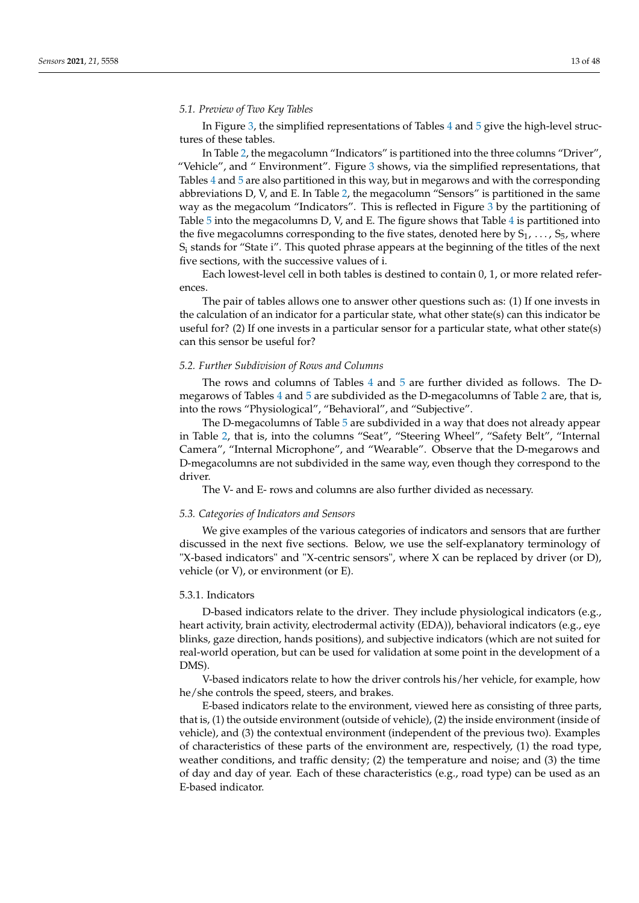### *5.1. Preview of Two Key Tables*

In Figure [3,](#page-11-1) the simplified representations of Tables [4](#page-30-0) and [5](#page-31-0) give the high-level structures of these tables.

In Table [2,](#page-5-0) the megacolumn "Indicators" is partitioned into the three columns "Driver", "Vehicle", and " Environment". Figure [3](#page-11-1) shows, via the simplified representations, that Tables [4](#page-30-0) and [5](#page-31-0) are also partitioned in this way, but in megarows and with the corresponding abbreviations D, V, and E. In Table [2,](#page-5-0) the megacolumn "Sensors" is partitioned in the same way as the megacolum "Indicators". This is reflected in Figure [3](#page-11-1) by the partitioning of Table [5](#page-31-0) into the megacolumns D, V, and E. The figure shows that Table [4](#page-30-0) is partitioned into the five megacolumns corresponding to the five states, denoted here by  $S_1, \ldots, S_5$ , where S<sup>i</sup> stands for "State i". This quoted phrase appears at the beginning of the titles of the next five sections, with the successive values of i.

Each lowest-level cell in both tables is destined to contain 0, 1, or more related references.

The pair of tables allows one to answer other questions such as: (1) If one invests in the calculation of an indicator for a particular state, what other state(s) can this indicator be useful for? (2) If one invests in a particular sensor for a particular state, what other state(s) can this sensor be useful for?

#### *5.2. Further Subdivision of Rows and Columns*

The rows and columns of Tables [4](#page-30-0) and [5](#page-31-0) are further divided as follows. The Dmegarows of Tables [4](#page-30-0) and [5](#page-31-0) are subdivided as the D-megacolumns of Table [2](#page-5-0) are, that is, into the rows "Physiological", "Behavioral", and "Subjective".

The D-megacolumns of Table [5](#page-31-0) are subdivided in a way that does not already appear in Table [2,](#page-5-0) that is, into the columns "Seat", "Steering Wheel", "Safety Belt", "Internal Camera", "Internal Microphone", and "Wearable". Observe that the D-megarows and D-megacolumns are not subdivided in the same way, even though they correspond to the driver.

The V- and E- rows and columns are also further divided as necessary.

#### <span id="page-12-0"></span>*5.3. Categories of Indicators and Sensors*

We give examples of the various categories of indicators and sensors that are further discussed in the next five sections. Below, we use the self-explanatory terminology of "X-based indicators" and "X-centric sensors", where X can be replaced by driver (or D), vehicle (or V), or environment (or E).

## 5.3.1. Indicators

D-based indicators relate to the driver. They include physiological indicators (e.g., heart activity, brain activity, electrodermal activity (EDA)), behavioral indicators (e.g., eye blinks, gaze direction, hands positions), and subjective indicators (which are not suited for real-world operation, but can be used for validation at some point in the development of a DMS).

V-based indicators relate to how the driver controls his/her vehicle, for example, how he/she controls the speed, steers, and brakes.

E-based indicators relate to the environment, viewed here as consisting of three parts, that is, (1) the outside environment (outside of vehicle), (2) the inside environment (inside of vehicle), and (3) the contextual environment (independent of the previous two). Examples of characteristics of these parts of the environment are, respectively, (1) the road type, weather conditions, and traffic density; (2) the temperature and noise; and (3) the time of day and day of year. Each of these characteristics (e.g., road type) can be used as an E-based indicator.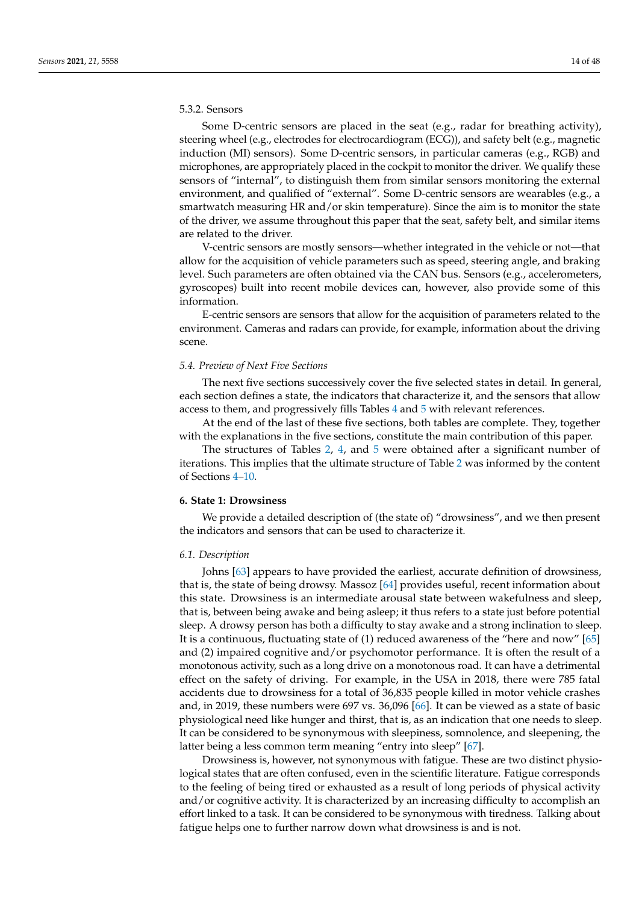# 5.3.2. Sensors

Some D-centric sensors are placed in the seat (e.g., radar for breathing activity), steering wheel (e.g., electrodes for electrocardiogram (ECG)), and safety belt (e.g., magnetic induction (MI) sensors). Some D-centric sensors, in particular cameras (e.g., RGB) and microphones, are appropriately placed in the cockpit to monitor the driver. We qualify these sensors of "internal", to distinguish them from similar sensors monitoring the external environment, and qualified of "external". Some D-centric sensors are wearables (e.g., a smartwatch measuring HR and/or skin temperature). Since the aim is to monitor the state of the driver, we assume throughout this paper that the seat, safety belt, and similar items are related to the driver.

V-centric sensors are mostly sensors—whether integrated in the vehicle or not—that allow for the acquisition of vehicle parameters such as speed, steering angle, and braking level. Such parameters are often obtained via the CAN bus. Sensors (e.g., accelerometers, gyroscopes) built into recent mobile devices can, however, also provide some of this information.

E-centric sensors are sensors that allow for the acquisition of parameters related to the environment. Cameras and radars can provide, for example, information about the driving scene.

#### *5.4. Preview of Next Five Sections*

The next five sections successively cover the five selected states in detail. In general, each section defines a state, the indicators that characterize it, and the sensors that allow access to them, and progressively fills Tables [4](#page-30-0) and [5](#page-31-0) with relevant references.

At the end of the last of these five sections, both tables are complete. They, together with the explanations in the five sections, constitute the main contribution of this paper.

The structures of Tables [2,](#page-5-0) [4,](#page-30-0) and [5](#page-31-0) were obtained after a significant number of iterations. This implies that the ultimate structure of Table [2](#page-5-0) was informed by the content of Sections [4](#page-9-0)[–10.](#page-27-0)

### <span id="page-13-0"></span>**6. State 1: Drowsiness**

We provide a detailed description of (the state of) "drowsiness", and we then present the indicators and sensors that can be used to characterize it.

#### *6.1. Description*

Johns [\[63\]](#page-40-24) appears to have provided the earliest, accurate definition of drowsiness, that is, the state of being drowsy. Massoz [\[64\]](#page-40-25) provides useful, recent information about this state. Drowsiness is an intermediate arousal state between wakefulness and sleep, that is, between being awake and being asleep; it thus refers to a state just before potential sleep. A drowsy person has both a difficulty to stay awake and a strong inclination to sleep. It is a continuous, fluctuating state of (1) reduced awareness of the "here and now" [\[65\]](#page-40-26) and (2) impaired cognitive and/or psychomotor performance. It is often the result of a monotonous activity, such as a long drive on a monotonous road. It can have a detrimental effect on the safety of driving. For example, in the USA in 2018, there were 785 fatal accidents due to drowsiness for a total of 36,835 people killed in motor vehicle crashes and, in 2019, these numbers were 697 vs. 36,096 [\[66\]](#page-40-27). It can be viewed as a state of basic physiological need like hunger and thirst, that is, as an indication that one needs to sleep. It can be considered to be synonymous with sleepiness, somnolence, and sleepening, the latter being a less common term meaning "entry into sleep" [\[67\]](#page-40-28).

Drowsiness is, however, not synonymous with fatigue. These are two distinct physiological states that are often confused, even in the scientific literature. Fatigue corresponds to the feeling of being tired or exhausted as a result of long periods of physical activity and/or cognitive activity. It is characterized by an increasing difficulty to accomplish an effort linked to a task. It can be considered to be synonymous with tiredness. Talking about fatigue helps one to further narrow down what drowsiness is and is not.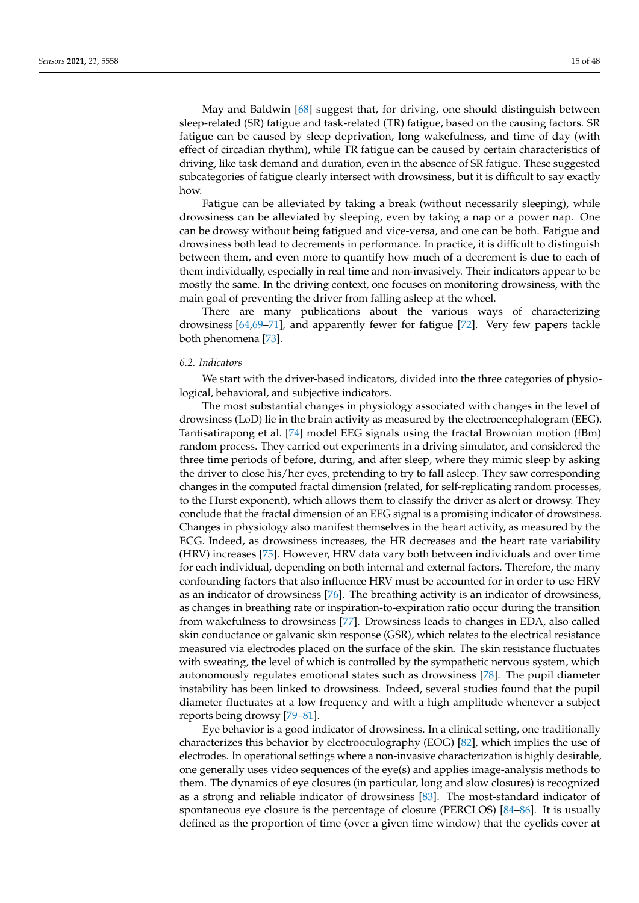May and Baldwin [\[68\]](#page-40-29) suggest that, for driving, one should distinguish between sleep-related (SR) fatigue and task-related (TR) fatigue, based on the causing factors. SR fatigue can be caused by sleep deprivation, long wakefulness, and time of day (with effect of circadian rhythm), while TR fatigue can be caused by certain characteristics of driving, like task demand and duration, even in the absence of SR fatigue. These suggested subcategories of fatigue clearly intersect with drowsiness, but it is difficult to say exactly how.

Fatigue can be alleviated by taking a break (without necessarily sleeping), while drowsiness can be alleviated by sleeping, even by taking a nap or a power nap. One can be drowsy without being fatigued and vice-versa, and one can be both. Fatigue and drowsiness both lead to decrements in performance. In practice, it is difficult to distinguish between them, and even more to quantify how much of a decrement is due to each of them individually, especially in real time and non-invasively. Their indicators appear to be mostly the same. In the driving context, one focuses on monitoring drowsiness, with the main goal of preventing the driver from falling asleep at the wheel.

There are many publications about the various ways of characterizing drowsiness [\[64](#page-40-25)[,69](#page-40-30)[–71\]](#page-41-0), and apparently fewer for fatigue [\[72\]](#page-41-1). Very few papers tackle both phenomena [\[73\]](#page-41-2).

#### *6.2. Indicators*

We start with the driver-based indicators, divided into the three categories of physiological, behavioral, and subjective indicators.

The most substantial changes in physiology associated with changes in the level of drowsiness (LoD) lie in the brain activity as measured by the electroencephalogram (EEG). Tantisatirapong et al. [\[74\]](#page-41-3) model EEG signals using the fractal Brownian motion (fBm) random process. They carried out experiments in a driving simulator, and considered the three time periods of before, during, and after sleep, where they mimic sleep by asking the driver to close his/her eyes, pretending to try to fall asleep. They saw corresponding changes in the computed fractal dimension (related, for self-replicating random processes, to the Hurst exponent), which allows them to classify the driver as alert or drowsy. They conclude that the fractal dimension of an EEG signal is a promising indicator of drowsiness. Changes in physiology also manifest themselves in the heart activity, as measured by the ECG. Indeed, as drowsiness increases, the HR decreases and the heart rate variability (HRV) increases [\[75\]](#page-41-4). However, HRV data vary both between individuals and over time for each individual, depending on both internal and external factors. Therefore, the many confounding factors that also influence HRV must be accounted for in order to use HRV as an indicator of drowsiness [\[76\]](#page-41-5). The breathing activity is an indicator of drowsiness, as changes in breathing rate or inspiration-to-expiration ratio occur during the transition from wakefulness to drowsiness [\[77\]](#page-41-6). Drowsiness leads to changes in EDA, also called skin conductance or galvanic skin response (GSR), which relates to the electrical resistance measured via electrodes placed on the surface of the skin. The skin resistance fluctuates with sweating, the level of which is controlled by the sympathetic nervous system, which autonomously regulates emotional states such as drowsiness [\[78\]](#page-41-7). The pupil diameter instability has been linked to drowsiness. Indeed, several studies found that the pupil diameter fluctuates at a low frequency and with a high amplitude whenever a subject reports being drowsy [\[79](#page-41-8)[–81\]](#page-41-9).

Eye behavior is a good indicator of drowsiness. In a clinical setting, one traditionally characterizes this behavior by electrooculography (EOG) [\[82\]](#page-41-10), which implies the use of electrodes. In operational settings where a non-invasive characterization is highly desirable, one generally uses video sequences of the eye(s) and applies image-analysis methods to them. The dynamics of eye closures (in particular, long and slow closures) is recognized as a strong and reliable indicator of drowsiness [\[83\]](#page-41-11). The most-standard indicator of spontaneous eye closure is the percentage of closure (PERCLOS) [\[84](#page-41-12)[–86\]](#page-41-13). It is usually defined as the proportion of time (over a given time window) that the eyelids cover at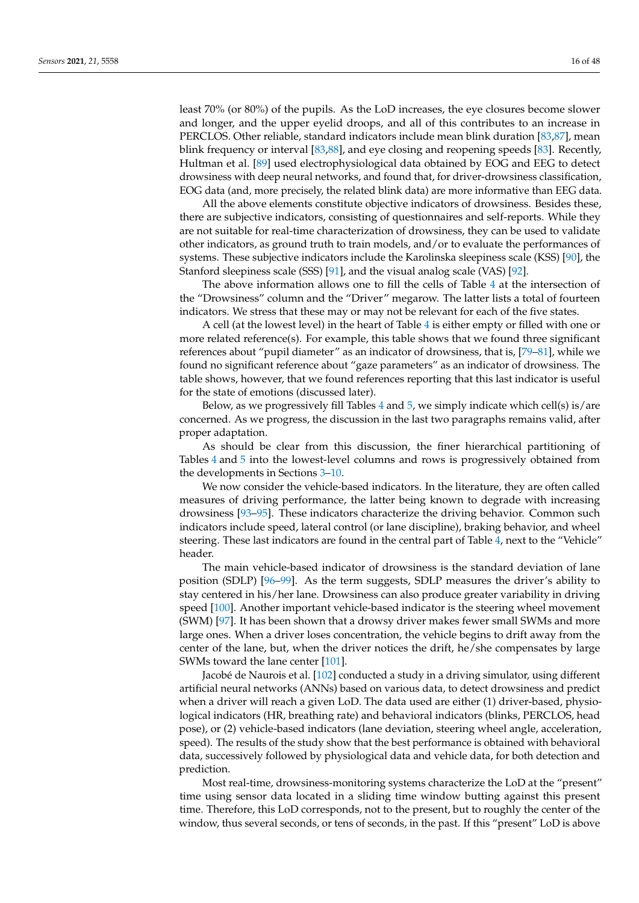least 70% (or 80%) of the pupils. As the LoD increases, the eye closures become slower and longer, and the upper eyelid droops, and all of this contributes to an increase in PERCLOS. Other reliable, standard indicators include mean blink duration [\[83,](#page-41-11)[87\]](#page-41-14), mean blink frequency or interval [\[83](#page-41-11)[,88\]](#page-41-15), and eye closing and reopening speeds [\[83\]](#page-41-11). Recently, Hultman et al. [\[89\]](#page-41-16) used electrophysiological data obtained by EOG and EEG to detect drowsiness with deep neural networks, and found that, for driver-drowsiness classification, EOG data (and, more precisely, the related blink data) are more informative than EEG data.

All the above elements constitute objective indicators of drowsiness. Besides these, there are subjective indicators, consisting of questionnaires and self-reports. While they are not suitable for real-time characterization of drowsiness, they can be used to validate other indicators, as ground truth to train models, and/or to evaluate the performances of systems. These subjective indicators include the Karolinska sleepiness scale (KSS) [\[90\]](#page-41-17), the Stanford sleepiness scale (SSS) [\[91\]](#page-41-18), and the visual analog scale (VAS) [\[92\]](#page-41-19).

The above information allows one to fill the cells of Table [4](#page-30-0) at the intersection of the "Drowsiness" column and the "Driver" megarow. The latter lists a total of fourteen indicators. We stress that these may or may not be relevant for each of the five states.

A cell (at the lowest level) in the heart of Table [4](#page-30-0) is either empty or filled with one or more related reference(s). For example, this table shows that we found three significant references about "pupil diameter" as an indicator of drowsiness, that is, [\[79](#page-41-8)[–81\]](#page-41-9), while we found no significant reference about "gaze parameters" as an indicator of drowsiness. The table shows, however, that we found references reporting that this last indicator is useful for the state of emotions (discussed later).

Below, as we progressively fill Tables  $4$  and  $5$ , we simply indicate which cell(s) is/are concerned. As we progress, the discussion in the last two paragraphs remains valid, after proper adaptation.

As should be clear from this discussion, the finer hierarchical partitioning of Tables [4](#page-30-0) and [5](#page-31-0) into the lowest-level columns and rows is progressively obtained from the developments in Sections [3](#page-3-0)[–10.](#page-27-0)

We now consider the vehicle-based indicators. In the literature, they are often called measures of driving performance, the latter being known to degrade with increasing drowsiness [\[93](#page-41-20)[–95\]](#page-41-21). These indicators characterize the driving behavior. Common such indicators include speed, lateral control (or lane discipline), braking behavior, and wheel steering. These last indicators are found in the central part of Table [4,](#page-30-0) next to the "Vehicle" header.

The main vehicle-based indicator of drowsiness is the standard deviation of lane position (SDLP) [\[96](#page-41-22)[–99\]](#page-42-0). As the term suggests, SDLP measures the driver's ability to stay centered in his/her lane. Drowsiness can also produce greater variability in driving speed [\[100\]](#page-42-1). Another important vehicle-based indicator is the steering wheel movement (SWM) [\[97\]](#page-41-23). It has been shown that a drowsy driver makes fewer small SWMs and more large ones. When a driver loses concentration, the vehicle begins to drift away from the center of the lane, but, when the driver notices the drift, he/she compensates by large SWMs toward the lane center [\[101\]](#page-42-2).

Jacobé de Naurois et al. [\[102\]](#page-42-3) conducted a study in a driving simulator, using different artificial neural networks (ANNs) based on various data, to detect drowsiness and predict when a driver will reach a given LoD. The data used are either (1) driver-based, physiological indicators (HR, breathing rate) and behavioral indicators (blinks, PERCLOS, head pose), or (2) vehicle-based indicators (lane deviation, steering wheel angle, acceleration, speed). The results of the study show that the best performance is obtained with behavioral data, successively followed by physiological data and vehicle data, for both detection and prediction.

Most real-time, drowsiness-monitoring systems characterize the LoD at the "present" time using sensor data located in a sliding time window butting against this present time. Therefore, this LoD corresponds, not to the present, but to roughly the center of the window, thus several seconds, or tens of seconds, in the past. If this "present" LoD is above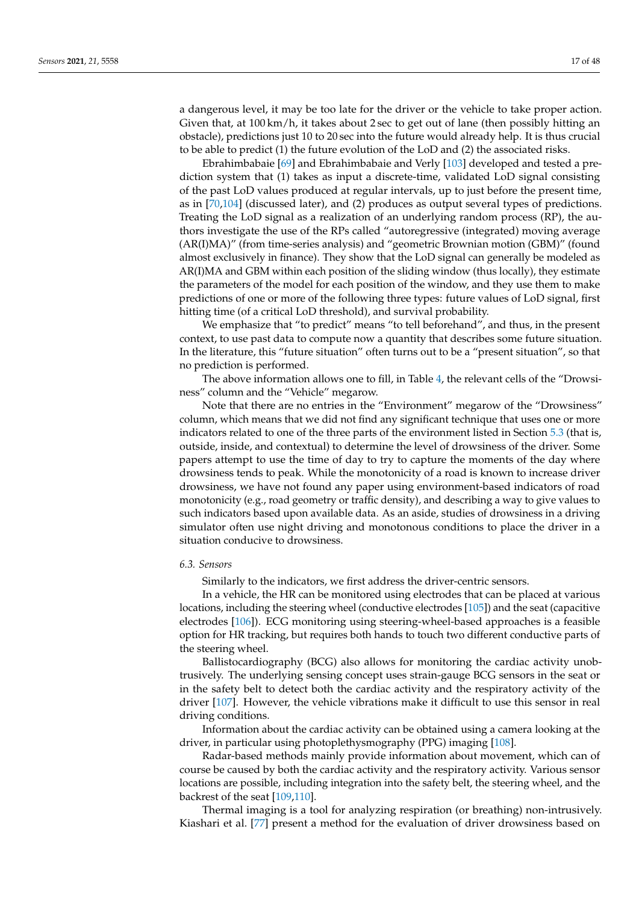a dangerous level, it may be too late for the driver or the vehicle to take proper action. Given that, at 100 km/h, it takes about 2 sec to get out of lane (then possibly hitting an obstacle), predictions just 10 to 20 sec into the future would already help. It is thus crucial to be able to predict (1) the future evolution of the LoD and (2) the associated risks.

Ebrahimbabaie [\[69\]](#page-40-30) and Ebrahimbabaie and Verly [\[103\]](#page-42-4) developed and tested a prediction system that (1) takes as input a discrete-time, validated LoD signal consisting of the past LoD values produced at regular intervals, up to just before the present time, as in [\[70](#page-41-24)[,104\]](#page-42-5) (discussed later), and (2) produces as output several types of predictions. Treating the LoD signal as a realization of an underlying random process (RP), the authors investigate the use of the RPs called "autoregressive (integrated) moving average (AR(I)MA)" (from time-series analysis) and "geometric Brownian motion (GBM)" (found almost exclusively in finance). They show that the LoD signal can generally be modeled as AR(I)MA and GBM within each position of the sliding window (thus locally), they estimate the parameters of the model for each position of the window, and they use them to make predictions of one or more of the following three types: future values of LoD signal, first hitting time (of a critical LoD threshold), and survival probability.

We emphasize that "to predict" means "to tell beforehand", and thus, in the present context, to use past data to compute now a quantity that describes some future situation. In the literature, this "future situation" often turns out to be a "present situation", so that no prediction is performed.

The above information allows one to fill, in Table [4,](#page-30-0) the relevant cells of the "Drowsiness" column and the "Vehicle" megarow.

Note that there are no entries in the "Environment" megarow of the "Drowsiness" column, which means that we did not find any significant technique that uses one or more indicators related to one of the three parts of the environment listed in Section [5.3](#page-12-0) (that is, outside, inside, and contextual) to determine the level of drowsiness of the driver. Some papers attempt to use the time of day to try to capture the moments of the day where drowsiness tends to peak. While the monotonicity of a road is known to increase driver drowsiness, we have not found any paper using environment-based indicators of road monotonicity (e.g., road geometry or traffic density), and describing a way to give values to such indicators based upon available data. As an aside, studies of drowsiness in a driving simulator often use night driving and monotonous conditions to place the driver in a situation conducive to drowsiness.

# *6.3. Sensors*

Similarly to the indicators, we first address the driver-centric sensors.

In a vehicle, the HR can be monitored using electrodes that can be placed at various locations, including the steering wheel (conductive electrodes [\[105\]](#page-42-6)) and the seat (capacitive electrodes [\[106\]](#page-42-7)). ECG monitoring using steering-wheel-based approaches is a feasible option for HR tracking, but requires both hands to touch two different conductive parts of the steering wheel.

Ballistocardiography (BCG) also allows for monitoring the cardiac activity unobtrusively. The underlying sensing concept uses strain-gauge BCG sensors in the seat or in the safety belt to detect both the cardiac activity and the respiratory activity of the driver [\[107\]](#page-42-8). However, the vehicle vibrations make it difficult to use this sensor in real driving conditions.

Information about the cardiac activity can be obtained using a camera looking at the driver, in particular using photoplethysmography (PPG) imaging [\[108\]](#page-42-9).

Radar-based methods mainly provide information about movement, which can of course be caused by both the cardiac activity and the respiratory activity. Various sensor locations are possible, including integration into the safety belt, the steering wheel, and the backrest of the seat [\[109,](#page-42-10)[110\]](#page-42-11).

Thermal imaging is a tool for analyzing respiration (or breathing) non-intrusively. Kiashari et al. [\[77\]](#page-41-6) present a method for the evaluation of driver drowsiness based on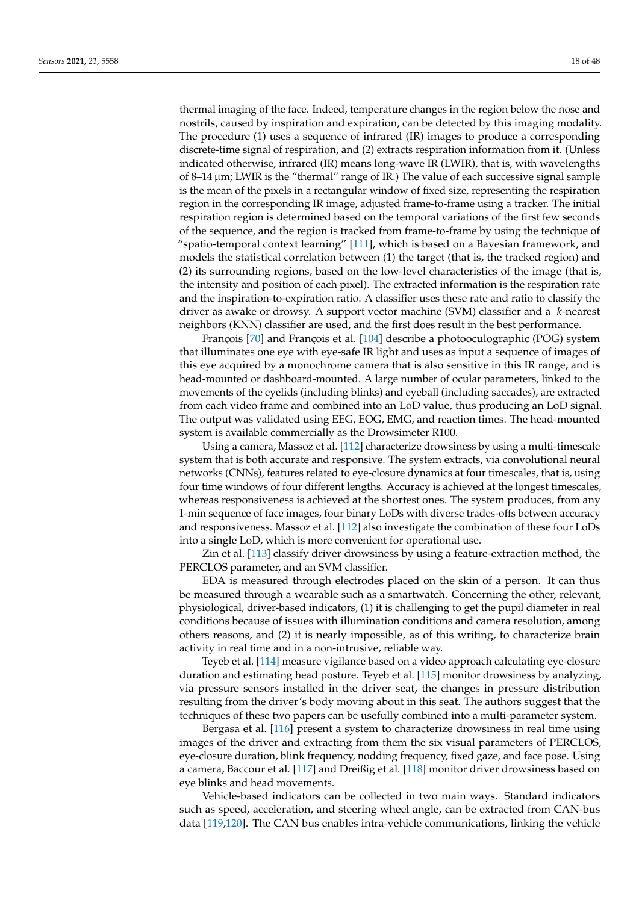thermal imaging of the face. Indeed, temperature changes in the region below the nose and nostrils, caused by inspiration and expiration, can be detected by this imaging modality. The procedure (1) uses a sequence of infrared (IR) images to produce a corresponding discrete-time signal of respiration, and (2) extracts respiration information from it. (Unless indicated otherwise, infrared (IR) means long-wave IR (LWIR), that is, with wavelengths of 8–14 µm; LWIR is the "thermal" range of IR.) The value of each successive signal sample is the mean of the pixels in a rectangular window of fixed size, representing the respiration region in the corresponding IR image, adjusted frame-to-frame using a tracker. The initial respiration region is determined based on the temporal variations of the first few seconds of the sequence, and the region is tracked from frame-to-frame by using the technique of "spatio-temporal context learning" [\[111\]](#page-42-12), which is based on a Bayesian framework, and models the statistical correlation between (1) the target (that is, the tracked region) and (2) its surrounding regions, based on the low-level characteristics of the image (that is, the intensity and position of each pixel). The extracted information is the respiration rate and the inspiration-to-expiration ratio. A classifier uses these rate and ratio to classify the driver as awake or drowsy. A support vector machine (SVM) classifier and a *k*-nearest neighbors (KNN) classifier are used, and the first does result in the best performance.

François [\[70\]](#page-41-24) and François et al. [\[104\]](#page-42-5) describe a photooculographic (POG) system that illuminates one eye with eye-safe IR light and uses as input a sequence of images of this eye acquired by a monochrome camera that is also sensitive in this IR range, and is head-mounted or dashboard-mounted. A large number of ocular parameters, linked to the movements of the eyelids (including blinks) and eyeball (including saccades), are extracted from each video frame and combined into an LoD value, thus producing an LoD signal. The output was validated using EEG, EOG, EMG, and reaction times. The head-mounted system is available commercially as the Drowsimeter R100.

Using a camera, Massoz et al. [\[112\]](#page-42-13) characterize drowsiness by using a multi-timescale system that is both accurate and responsive. The system extracts, via convolutional neural networks (CNNs), features related to eye-closure dynamics at four timescales, that is, using four time windows of four different lengths. Accuracy is achieved at the longest timescales, whereas responsiveness is achieved at the shortest ones. The system produces, from any 1-min sequence of face images, four binary LoDs with diverse trades-offs between accuracy and responsiveness. Massoz et al. [\[112\]](#page-42-13) also investigate the combination of these four LoDs into a single LoD, which is more convenient for operational use.

Zin et al. [\[113\]](#page-42-14) classify driver drowsiness by using a feature-extraction method, the PERCLOS parameter, and an SVM classifier.

EDA is measured through electrodes placed on the skin of a person. It can thus be measured through a wearable such as a smartwatch. Concerning the other, relevant, physiological, driver-based indicators, (1) it is challenging to get the pupil diameter in real conditions because of issues with illumination conditions and camera resolution, among others reasons, and (2) it is nearly impossible, as of this writing, to characterize brain activity in real time and in a non-intrusive, reliable way.

Teyeb et al. [\[114\]](#page-42-15) measure vigilance based on a video approach calculating eye-closure duration and estimating head posture. Teyeb et al. [\[115\]](#page-42-16) monitor drowsiness by analyzing, via pressure sensors installed in the driver seat, the changes in pressure distribution resulting from the driver's body moving about in this seat. The authors suggest that the techniques of these two papers can be usefully combined into a multi-parameter system.

Bergasa et al. [\[116\]](#page-42-17) present a system to characterize drowsiness in real time using images of the driver and extracting from them the six visual parameters of PERCLOS, eye-closure duration, blink frequency, nodding frequency, fixed gaze, and face pose. Using a camera, Baccour et al. [\[117\]](#page-42-18) and Dreißig et al. [\[118\]](#page-42-19) monitor driver drowsiness based on eye blinks and head movements.

Vehicle-based indicators can be collected in two main ways. Standard indicators such as speed, acceleration, and steering wheel angle, can be extracted from CAN-bus data [\[119,](#page-42-20)[120\]](#page-42-21). The CAN bus enables intra-vehicle communications, linking the vehicle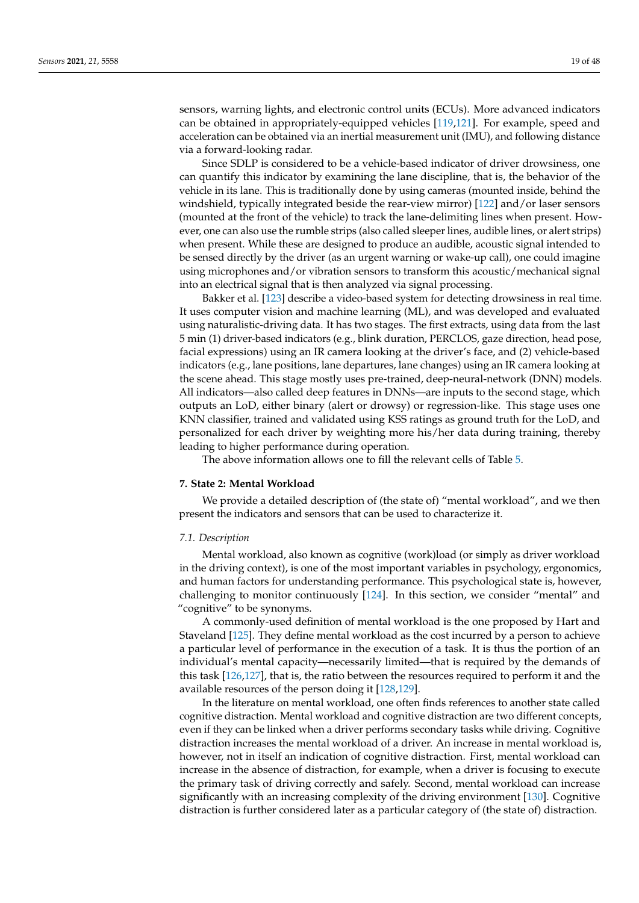sensors, warning lights, and electronic control units (ECUs). More advanced indicators can be obtained in appropriately-equipped vehicles [\[119](#page-42-20)[,121\]](#page-42-22). For example, speed and acceleration can be obtained via an inertial measurement unit (IMU), and following distance via a forward-looking radar.

Since SDLP is considered to be a vehicle-based indicator of driver drowsiness, one can quantify this indicator by examining the lane discipline, that is, the behavior of the vehicle in its lane. This is traditionally done by using cameras (mounted inside, behind the windshield, typically integrated beside the rear-view mirror) [\[122\]](#page-42-23) and/or laser sensors (mounted at the front of the vehicle) to track the lane-delimiting lines when present. However, one can also use the rumble strips (also called sleeper lines, audible lines, or alert strips) when present. While these are designed to produce an audible, acoustic signal intended to be sensed directly by the driver (as an urgent warning or wake-up call), one could imagine using microphones and/or vibration sensors to transform this acoustic/mechanical signal into an electrical signal that is then analyzed via signal processing.

Bakker et al. [\[123\]](#page-43-0) describe a video-based system for detecting drowsiness in real time. It uses computer vision and machine learning (ML), and was developed and evaluated using naturalistic-driving data. It has two stages. The first extracts, using data from the last 5 min (1) driver-based indicators (e.g., blink duration, PERCLOS, gaze direction, head pose, facial expressions) using an IR camera looking at the driver's face, and (2) vehicle-based indicators (e.g., lane positions, lane departures, lane changes) using an IR camera looking at the scene ahead. This stage mostly uses pre-trained, deep-neural-network (DNN) models. All indicators—also called deep features in DNNs—are inputs to the second stage, which outputs an LoD, either binary (alert or drowsy) or regression-like. This stage uses one KNN classifier, trained and validated using KSS ratings as ground truth for the LoD, and personalized for each driver by weighting more his/her data during training, thereby leading to higher performance during operation.

The above information allows one to fill the relevant cells of Table [5.](#page-31-0)

#### <span id="page-18-0"></span>**7. State 2: Mental Workload**

We provide a detailed description of (the state of) "mental workload", and we then present the indicators and sensors that can be used to characterize it.

#### *7.1. Description*

Mental workload, also known as cognitive (work)load (or simply as driver workload in the driving context), is one of the most important variables in psychology, ergonomics, and human factors for understanding performance. This psychological state is, however, challenging to monitor continuously [\[124\]](#page-43-1). In this section, we consider "mental" and "cognitive" to be synonyms.

A commonly-used definition of mental workload is the one proposed by Hart and Staveland [\[125\]](#page-43-2). They define mental workload as the cost incurred by a person to achieve a particular level of performance in the execution of a task. It is thus the portion of an individual's mental capacity—necessarily limited—that is required by the demands of this task [\[126](#page-43-3)[,127\]](#page-43-4), that is, the ratio between the resources required to perform it and the available resources of the person doing it [\[128,](#page-43-5)[129\]](#page-43-6).

In the literature on mental workload, one often finds references to another state called cognitive distraction. Mental workload and cognitive distraction are two different concepts, even if they can be linked when a driver performs secondary tasks while driving. Cognitive distraction increases the mental workload of a driver. An increase in mental workload is, however, not in itself an indication of cognitive distraction. First, mental workload can increase in the absence of distraction, for example, when a driver is focusing to execute the primary task of driving correctly and safely. Second, mental workload can increase significantly with an increasing complexity of the driving environment [\[130\]](#page-43-7). Cognitive distraction is further considered later as a particular category of (the state of) distraction.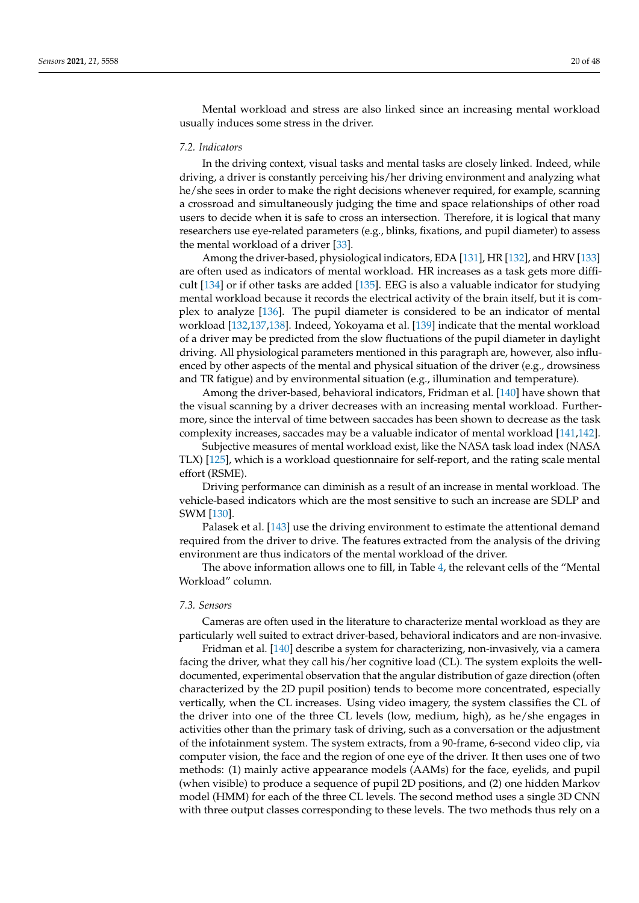Mental workload and stress are also linked since an increasing mental workload usually induces some stress in the driver.

### *7.2. Indicators*

In the driving context, visual tasks and mental tasks are closely linked. Indeed, while driving, a driver is constantly perceiving his/her driving environment and analyzing what he/she sees in order to make the right decisions whenever required, for example, scanning a crossroad and simultaneously judging the time and space relationships of other road users to decide when it is safe to cross an intersection. Therefore, it is logical that many researchers use eye-related parameters (e.g., blinks, fixations, and pupil diameter) to assess the mental workload of a driver [\[33\]](#page-39-33).

Among the driver-based, physiological indicators, EDA [\[131\]](#page-43-8), HR [\[132\]](#page-43-9), and HRV [\[133\]](#page-43-10) are often used as indicators of mental workload. HR increases as a task gets more difficult [\[134\]](#page-43-11) or if other tasks are added [\[135\]](#page-43-12). EEG is also a valuable indicator for studying mental workload because it records the electrical activity of the brain itself, but it is complex to analyze [\[136\]](#page-43-13). The pupil diameter is considered to be an indicator of mental workload [\[132](#page-43-9)[,137](#page-43-14)[,138\]](#page-43-15). Indeed, Yokoyama et al. [\[139\]](#page-43-16) indicate that the mental workload of a driver may be predicted from the slow fluctuations of the pupil diameter in daylight driving. All physiological parameters mentioned in this paragraph are, however, also influenced by other aspects of the mental and physical situation of the driver (e.g., drowsiness and TR fatigue) and by environmental situation (e.g., illumination and temperature).

Among the driver-based, behavioral indicators, Fridman et al. [\[140\]](#page-43-17) have shown that the visual scanning by a driver decreases with an increasing mental workload. Furthermore, since the interval of time between saccades has been shown to decrease as the task complexity increases, saccades may be a valuable indicator of mental workload [\[141](#page-43-18)[,142\]](#page-43-19).

Subjective measures of mental workload exist, like the NASA task load index (NASA TLX) [\[125\]](#page-43-2), which is a workload questionnaire for self-report, and the rating scale mental effort (RSME).

Driving performance can diminish as a result of an increase in mental workload. The vehicle-based indicators which are the most sensitive to such an increase are SDLP and SWM [\[130\]](#page-43-7).

Palasek et al. [\[143\]](#page-43-20) use the driving environment to estimate the attentional demand required from the driver to drive. The features extracted from the analysis of the driving environment are thus indicators of the mental workload of the driver.

The above information allows one to fill, in Table [4,](#page-30-0) the relevant cells of the "Mental Workload" column.

## *7.3. Sensors*

Cameras are often used in the literature to characterize mental workload as they are particularly well suited to extract driver-based, behavioral indicators and are non-invasive.

Fridman et al. [\[140\]](#page-43-17) describe a system for characterizing, non-invasively, via a camera facing the driver, what they call his/her cognitive load (CL). The system exploits the welldocumented, experimental observation that the angular distribution of gaze direction (often characterized by the 2D pupil position) tends to become more concentrated, especially vertically, when the CL increases. Using video imagery, the system classifies the CL of the driver into one of the three CL levels (low, medium, high), as he/she engages in activities other than the primary task of driving, such as a conversation or the adjustment of the infotainment system. The system extracts, from a 90-frame, 6-second video clip, via computer vision, the face and the region of one eye of the driver. It then uses one of two methods: (1) mainly active appearance models (AAMs) for the face, eyelids, and pupil (when visible) to produce a sequence of pupil 2D positions, and (2) one hidden Markov model (HMM) for each of the three CL levels. The second method uses a single 3D CNN with three output classes corresponding to these levels. The two methods thus rely on a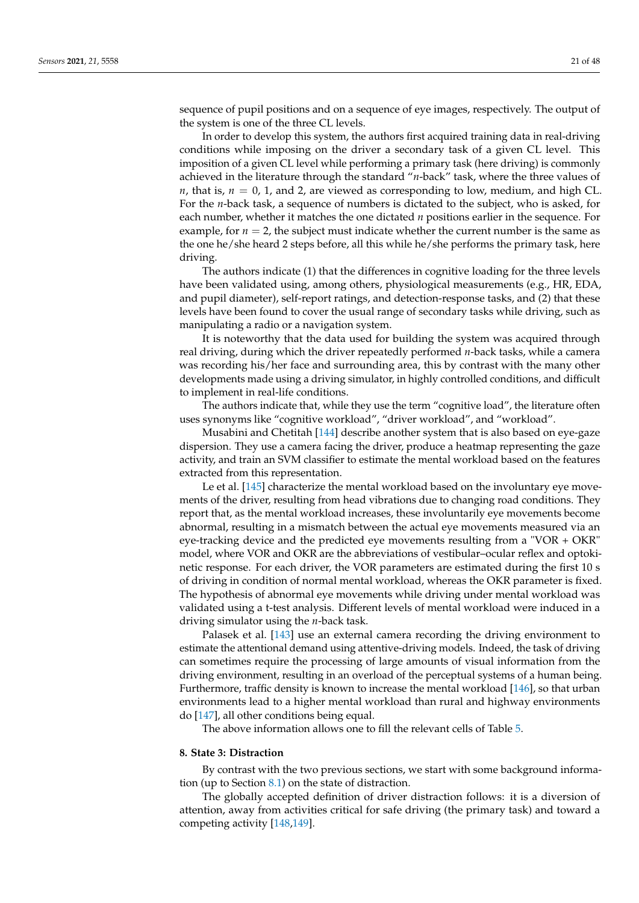sequence of pupil positions and on a sequence of eye images, respectively. The output of the system is one of the three CL levels.

In order to develop this system, the authors first acquired training data in real-driving conditions while imposing on the driver a secondary task of a given CL level. This imposition of a given CL level while performing a primary task (here driving) is commonly achieved in the literature through the standard "*n*-back" task, where the three values of *n*, that is,  $n = 0$ , 1, and 2, are viewed as corresponding to low, medium, and high CL. For the *n*-back task, a sequence of numbers is dictated to the subject, who is asked, for each number, whether it matches the one dictated *n* positions earlier in the sequence. For example, for  $n = 2$ , the subject must indicate whether the current number is the same as the one he/she heard 2 steps before, all this while he/she performs the primary task, here driving.

The authors indicate (1) that the differences in cognitive loading for the three levels have been validated using, among others, physiological measurements (e.g., HR, EDA, and pupil diameter), self-report ratings, and detection-response tasks, and (2) that these levels have been found to cover the usual range of secondary tasks while driving, such as manipulating a radio or a navigation system.

It is noteworthy that the data used for building the system was acquired through real driving, during which the driver repeatedly performed *n*-back tasks, while a camera was recording his/her face and surrounding area, this by contrast with the many other developments made using a driving simulator, in highly controlled conditions, and difficult to implement in real-life conditions.

The authors indicate that, while they use the term "cognitive load", the literature often uses synonyms like "cognitive workload", "driver workload", and "workload".

Musabini and Chetitah [\[144\]](#page-43-21) describe another system that is also based on eye-gaze dispersion. They use a camera facing the driver, produce a heatmap representing the gaze activity, and train an SVM classifier to estimate the mental workload based on the features extracted from this representation.

Le et al. [\[145\]](#page-43-22) characterize the mental workload based on the involuntary eye movements of the driver, resulting from head vibrations due to changing road conditions. They report that, as the mental workload increases, these involuntarily eye movements become abnormal, resulting in a mismatch between the actual eye movements measured via an eye-tracking device and the predicted eye movements resulting from a "VOR + OKR" model, where VOR and OKR are the abbreviations of vestibular–ocular reflex and optokinetic response. For each driver, the VOR parameters are estimated during the first 10 s of driving in condition of normal mental workload, whereas the OKR parameter is fixed. The hypothesis of abnormal eye movements while driving under mental workload was validated using a t-test analysis. Different levels of mental workload were induced in a driving simulator using the *n*-back task.

Palasek et al. [\[143\]](#page-43-20) use an external camera recording the driving environment to estimate the attentional demand using attentive-driving models. Indeed, the task of driving can sometimes require the processing of large amounts of visual information from the driving environment, resulting in an overload of the perceptual systems of a human being. Furthermore, traffic density is known to increase the mental workload [\[146\]](#page-43-23), so that urban environments lead to a higher mental workload than rural and highway environments do [\[147\]](#page-43-24), all other conditions being equal.

The above information allows one to fill the relevant cells of Table [5.](#page-31-0)

### **8. State 3: Distraction**

By contrast with the two previous sections, we start with some background information (up to Section [8.1\)](#page-22-0) on the state of distraction.

The globally accepted definition of driver distraction follows: it is a diversion of attention, away from activities critical for safe driving (the primary task) and toward a competing activity [\[148](#page-43-25)[,149\]](#page-43-26).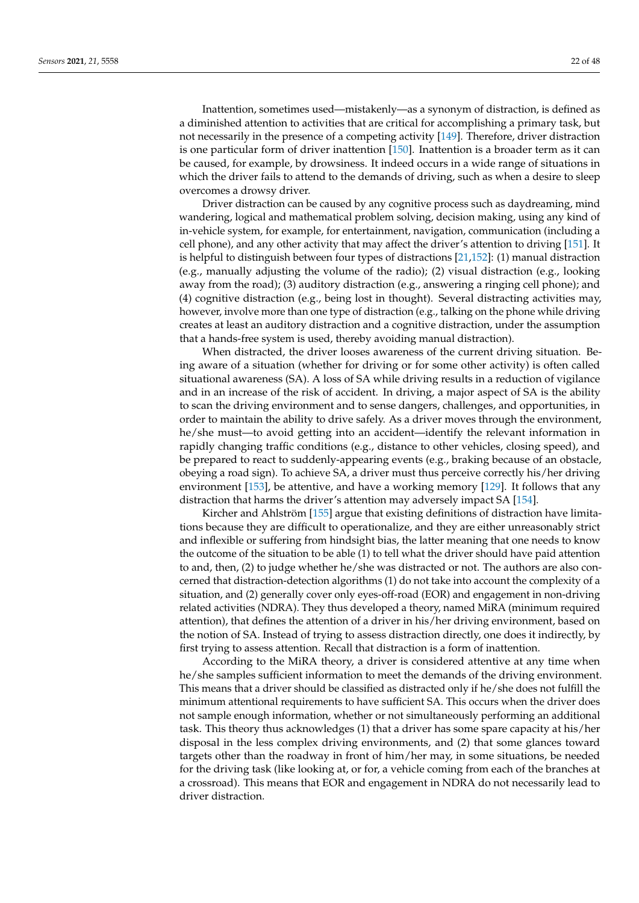Inattention, sometimes used—mistakenly—as a synonym of distraction, is defined as a diminished attention to activities that are critical for accomplishing a primary task, but not necessarily in the presence of a competing activity [\[149\]](#page-43-26). Therefore, driver distraction is one particular form of driver inattention [\[150\]](#page-44-0). Inattention is a broader term as it can be caused, for example, by drowsiness. It indeed occurs in a wide range of situations in which the driver fails to attend to the demands of driving, such as when a desire to sleep overcomes a drowsy driver.

Driver distraction can be caused by any cognitive process such as daydreaming, mind wandering, logical and mathematical problem solving, decision making, using any kind of in-vehicle system, for example, for entertainment, navigation, communication (including a cell phone), and any other activity that may affect the driver's attention to driving [\[151\]](#page-44-1). It is helpful to distinguish between four types of distractions [\[21](#page-39-26)[,152\]](#page-44-2): (1) manual distraction (e.g., manually adjusting the volume of the radio); (2) visual distraction (e.g., looking away from the road); (3) auditory distraction (e.g., answering a ringing cell phone); and (4) cognitive distraction (e.g., being lost in thought). Several distracting activities may, however, involve more than one type of distraction (e.g., talking on the phone while driving creates at least an auditory distraction and a cognitive distraction, under the assumption that a hands-free system is used, thereby avoiding manual distraction).

When distracted, the driver looses awareness of the current driving situation. Being aware of a situation (whether for driving or for some other activity) is often called situational awareness (SA). A loss of SA while driving results in a reduction of vigilance and in an increase of the risk of accident. In driving, a major aspect of SA is the ability to scan the driving environment and to sense dangers, challenges, and opportunities, in order to maintain the ability to drive safely. As a driver moves through the environment, he/she must—to avoid getting into an accident—identify the relevant information in rapidly changing traffic conditions (e.g., distance to other vehicles, closing speed), and be prepared to react to suddenly-appearing events (e.g., braking because of an obstacle, obeying a road sign). To achieve SA, a driver must thus perceive correctly his/her driving environment [\[153\]](#page-44-3), be attentive, and have a working memory [\[129\]](#page-43-6). It follows that any distraction that harms the driver's attention may adversely impact SA [\[154\]](#page-44-4).

Kircher and Ahlström [\[155\]](#page-44-5) argue that existing definitions of distraction have limitations because they are difficult to operationalize, and they are either unreasonably strict and inflexible or suffering from hindsight bias, the latter meaning that one needs to know the outcome of the situation to be able (1) to tell what the driver should have paid attention to and, then, (2) to judge whether he/she was distracted or not. The authors are also concerned that distraction-detection algorithms (1) do not take into account the complexity of a situation, and (2) generally cover only eyes-off-road (EOR) and engagement in non-driving related activities (NDRA). They thus developed a theory, named MiRA (minimum required attention), that defines the attention of a driver in his/her driving environment, based on the notion of SA. Instead of trying to assess distraction directly, one does it indirectly, by first trying to assess attention. Recall that distraction is a form of inattention.

According to the MiRA theory, a driver is considered attentive at any time when he/she samples sufficient information to meet the demands of the driving environment. This means that a driver should be classified as distracted only if he/she does not fulfill the minimum attentional requirements to have sufficient SA. This occurs when the driver does not sample enough information, whether or not simultaneously performing an additional task. This theory thus acknowledges (1) that a driver has some spare capacity at his/her disposal in the less complex driving environments, and (2) that some glances toward targets other than the roadway in front of him/her may, in some situations, be needed for the driving task (like looking at, or for, a vehicle coming from each of the branches at a crossroad). This means that EOR and engagement in NDRA do not necessarily lead to driver distraction.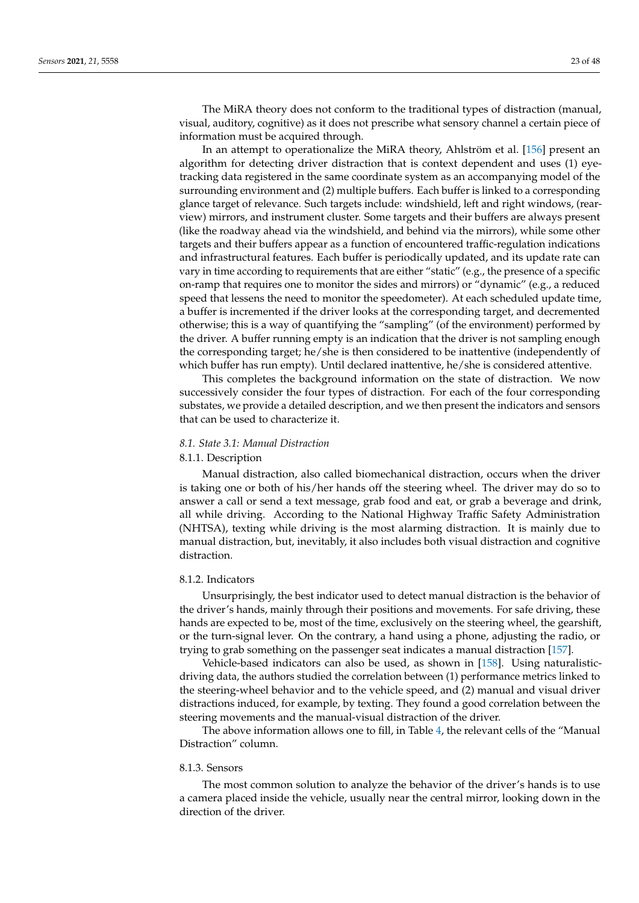The MiRA theory does not conform to the traditional types of distraction (manual, visual, auditory, cognitive) as it does not prescribe what sensory channel a certain piece of information must be acquired through.

In an attempt to operationalize the MiRA theory, Ahlström et al. [\[156\]](#page-44-6) present an algorithm for detecting driver distraction that is context dependent and uses (1) eyetracking data registered in the same coordinate system as an accompanying model of the surrounding environment and (2) multiple buffers. Each buffer is linked to a corresponding glance target of relevance. Such targets include: windshield, left and right windows, (rearview) mirrors, and instrument cluster. Some targets and their buffers are always present (like the roadway ahead via the windshield, and behind via the mirrors), while some other targets and their buffers appear as a function of encountered traffic-regulation indications and infrastructural features. Each buffer is periodically updated, and its update rate can vary in time according to requirements that are either "static" (e.g., the presence of a specific on-ramp that requires one to monitor the sides and mirrors) or "dynamic" (e.g., a reduced speed that lessens the need to monitor the speedometer). At each scheduled update time, a buffer is incremented if the driver looks at the corresponding target, and decremented otherwise; this is a way of quantifying the "sampling" (of the environment) performed by the driver. A buffer running empty is an indication that the driver is not sampling enough the corresponding target; he/she is then considered to be inattentive (independently of which buffer has run empty). Until declared inattentive, he/she is considered attentive.

This completes the background information on the state of distraction. We now successively consider the four types of distraction. For each of the four corresponding substates, we provide a detailed description, and we then present the indicators and sensors that can be used to characterize it.

## <span id="page-22-0"></span>*8.1. State 3.1: Manual Distraction*

#### 8.1.1. Description

Manual distraction, also called biomechanical distraction, occurs when the driver is taking one or both of his/her hands off the steering wheel. The driver may do so to answer a call or send a text message, grab food and eat, or grab a beverage and drink, all while driving. According to the National Highway Traffic Safety Administration (NHTSA), texting while driving is the most alarming distraction. It is mainly due to manual distraction, but, inevitably, it also includes both visual distraction and cognitive distraction.

### 8.1.2. Indicators

Unsurprisingly, the best indicator used to detect manual distraction is the behavior of the driver's hands, mainly through their positions and movements. For safe driving, these hands are expected to be, most of the time, exclusively on the steering wheel, the gearshift, or the turn-signal lever. On the contrary, a hand using a phone, adjusting the radio, or trying to grab something on the passenger seat indicates a manual distraction [\[157\]](#page-44-7).

Vehicle-based indicators can also be used, as shown in [\[158\]](#page-44-8). Using naturalisticdriving data, the authors studied the correlation between (1) performance metrics linked to the steering-wheel behavior and to the vehicle speed, and (2) manual and visual driver distractions induced, for example, by texting. They found a good correlation between the steering movements and the manual-visual distraction of the driver.

The above information allows one to fill, in Table [4,](#page-30-0) the relevant cells of the "Manual Distraction" column.

# 8.1.3. Sensors

The most common solution to analyze the behavior of the driver's hands is to use a camera placed inside the vehicle, usually near the central mirror, looking down in the direction of the driver.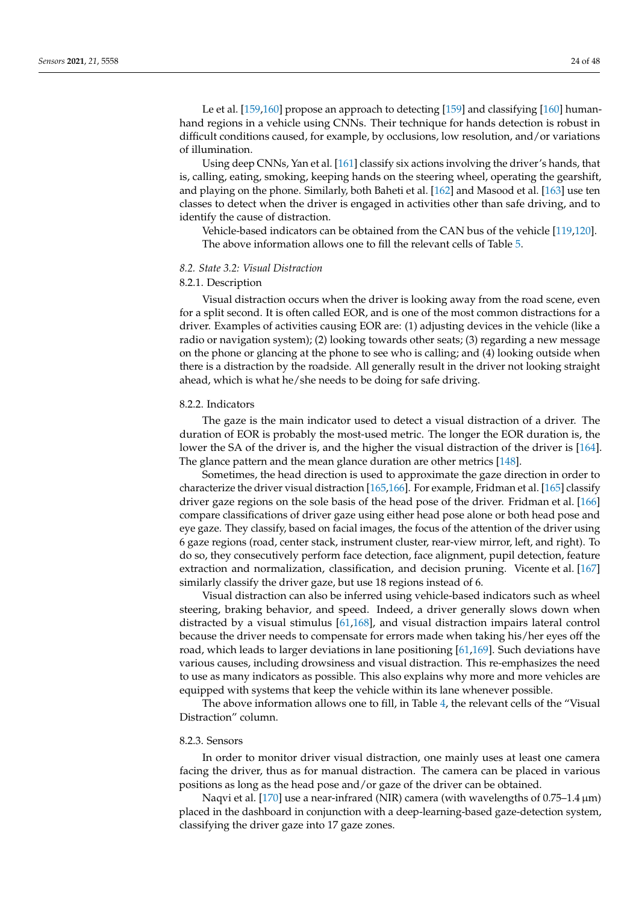Le et al. [\[159,](#page-44-9)[160\]](#page-44-10) propose an approach to detecting [\[159\]](#page-44-9) and classifying [\[160\]](#page-44-10) humanhand regions in a vehicle using CNNs. Their technique for hands detection is robust in difficult conditions caused, for example, by occlusions, low resolution, and/or variations of illumination.

Using deep CNNs, Yan et al. [\[161\]](#page-44-11) classify six actions involving the driver's hands, that is, calling, eating, smoking, keeping hands on the steering wheel, operating the gearshift, and playing on the phone. Similarly, both Baheti et al. [\[162\]](#page-44-12) and Masood et al. [\[163\]](#page-44-13) use ten classes to detect when the driver is engaged in activities other than safe driving, and to identify the cause of distraction.

Vehicle-based indicators can be obtained from the CAN bus of the vehicle [\[119,](#page-42-20)[120\]](#page-42-21). The above information allows one to fill the relevant cells of Table [5.](#page-31-0)

### *8.2. State 3.2: Visual Distraction*

# 8.2.1. Description

Visual distraction occurs when the driver is looking away from the road scene, even for a split second. It is often called EOR, and is one of the most common distractions for a driver. Examples of activities causing EOR are: (1) adjusting devices in the vehicle (like a radio or navigation system); (2) looking towards other seats; (3) regarding a new message on the phone or glancing at the phone to see who is calling; and (4) looking outside when there is a distraction by the roadside. All generally result in the driver not looking straight ahead, which is what he/she needs to be doing for safe driving.

### 8.2.2. Indicators

The gaze is the main indicator used to detect a visual distraction of a driver. The duration of EOR is probably the most-used metric. The longer the EOR duration is, the lower the SA of the driver is, and the higher the visual distraction of the driver is [\[164\]](#page-44-14). The glance pattern and the mean glance duration are other metrics [\[148\]](#page-43-25).

Sometimes, the head direction is used to approximate the gaze direction in order to characterize the driver visual distraction [\[165,](#page-44-15)[166\]](#page-44-16). For example, Fridman et al. [\[165\]](#page-44-15) classify driver gaze regions on the sole basis of the head pose of the driver. Fridman et al. [\[166\]](#page-44-16) compare classifications of driver gaze using either head pose alone or both head pose and eye gaze. They classify, based on facial images, the focus of the attention of the driver using 6 gaze regions (road, center stack, instrument cluster, rear-view mirror, left, and right). To do so, they consecutively perform face detection, face alignment, pupil detection, feature extraction and normalization, classification, and decision pruning. Vicente et al. [\[167\]](#page-44-17) similarly classify the driver gaze, but use 18 regions instead of 6.

Visual distraction can also be inferred using vehicle-based indicators such as wheel steering, braking behavior, and speed. Indeed, a driver generally slows down when distracted by a visual stimulus [\[61,](#page-40-31)[168\]](#page-44-18), and visual distraction impairs lateral control because the driver needs to compensate for errors made when taking his/her eyes off the road, which leads to larger deviations in lane positioning [\[61,](#page-40-31)[169\]](#page-44-19). Such deviations have various causes, including drowsiness and visual distraction. This re-emphasizes the need to use as many indicators as possible. This also explains why more and more vehicles are equipped with systems that keep the vehicle within its lane whenever possible.

The above information allows one to fill, in Table [4,](#page-30-0) the relevant cells of the "Visual Distraction" column.

#### 8.2.3. Sensors

In order to monitor driver visual distraction, one mainly uses at least one camera facing the driver, thus as for manual distraction. The camera can be placed in various positions as long as the head pose and/or gaze of the driver can be obtained.

Naqvi et al. [\[170\]](#page-44-20) use a near-infrared (NIR) camera (with wavelengths of 0.75–1.4 µm) placed in the dashboard in conjunction with a deep-learning-based gaze-detection system, classifying the driver gaze into 17 gaze zones.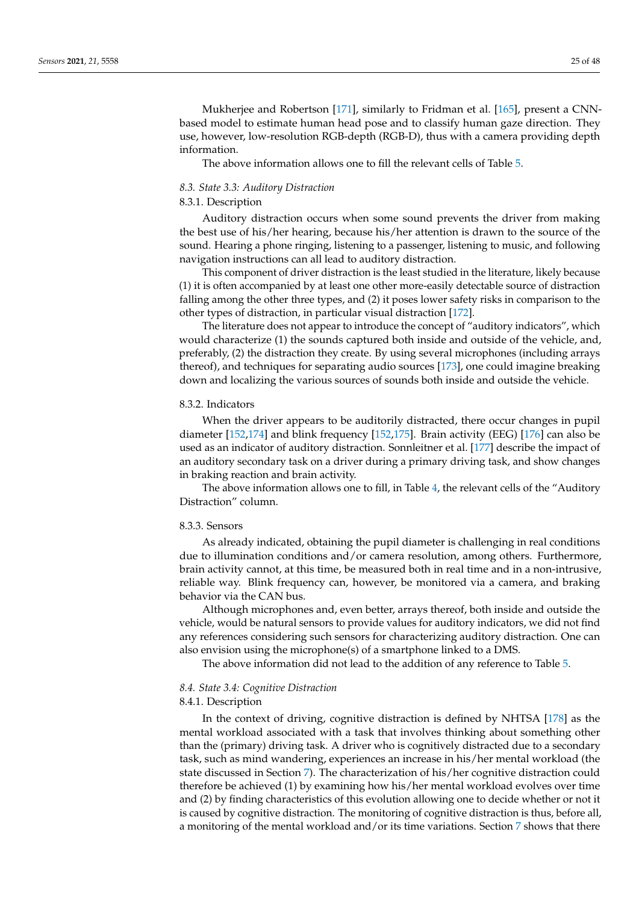Mukherjee and Robertson [\[171\]](#page-44-21), similarly to Fridman et al. [\[165\]](#page-44-15), present a CNNbased model to estimate human head pose and to classify human gaze direction. They use, however, low-resolution RGB-depth (RGB-D), thus with a camera providing depth information.

The above information allows one to fill the relevant cells of Table [5.](#page-31-0)

#### *8.3. State 3.3: Auditory Distraction*

#### 8.3.1. Description

Auditory distraction occurs when some sound prevents the driver from making the best use of his/her hearing, because his/her attention is drawn to the source of the sound. Hearing a phone ringing, listening to a passenger, listening to music, and following navigation instructions can all lead to auditory distraction.

This component of driver distraction is the least studied in the literature, likely because (1) it is often accompanied by at least one other more-easily detectable source of distraction falling among the other three types, and (2) it poses lower safety risks in comparison to the other types of distraction, in particular visual distraction [\[172\]](#page-44-22).

The literature does not appear to introduce the concept of "auditory indicators", which would characterize (1) the sounds captured both inside and outside of the vehicle, and, preferably, (2) the distraction they create. By using several microphones (including arrays thereof), and techniques for separating audio sources [\[173\]](#page-44-23), one could imagine breaking down and localizing the various sources of sounds both inside and outside the vehicle.

### 8.3.2. Indicators

When the driver appears to be auditorily distracted, there occur changes in pupil diameter [\[152,](#page-44-2)[174\]](#page-44-24) and blink frequency [\[152](#page-44-2)[,175\]](#page-44-25). Brain activity (EEG) [\[176\]](#page-44-26) can also be used as an indicator of auditory distraction. Sonnleitner et al. [\[177\]](#page-45-0) describe the impact of an auditory secondary task on a driver during a primary driving task, and show changes in braking reaction and brain activity.

The above information allows one to fill, in Table [4,](#page-30-0) the relevant cells of the "Auditory Distraction" column.

#### 8.3.3. Sensors

As already indicated, obtaining the pupil diameter is challenging in real conditions due to illumination conditions and/or camera resolution, among others. Furthermore, brain activity cannot, at this time, be measured both in real time and in a non-intrusive, reliable way. Blink frequency can, however, be monitored via a camera, and braking behavior via the CAN bus.

Although microphones and, even better, arrays thereof, both inside and outside the vehicle, would be natural sensors to provide values for auditory indicators, we did not find any references considering such sensors for characterizing auditory distraction. One can also envision using the microphone(s) of a smartphone linked to a DMS.

The above information did not lead to the addition of any reference to Table [5.](#page-31-0)

#### *8.4. State 3.4: Cognitive Distraction*

### 8.4.1. Description

In the context of driving, cognitive distraction is defined by NHTSA [\[178\]](#page-45-1) as the mental workload associated with a task that involves thinking about something other than the (primary) driving task. A driver who is cognitively distracted due to a secondary task, such as mind wandering, experiences an increase in his/her mental workload (the state discussed in Section [7\)](#page-18-0). The characterization of his/her cognitive distraction could therefore be achieved (1) by examining how his/her mental workload evolves over time and (2) by finding characteristics of this evolution allowing one to decide whether or not it is caused by cognitive distraction. The monitoring of cognitive distraction is thus, before all, a monitoring of the mental workload and/or its time variations. Section [7](#page-18-0) shows that there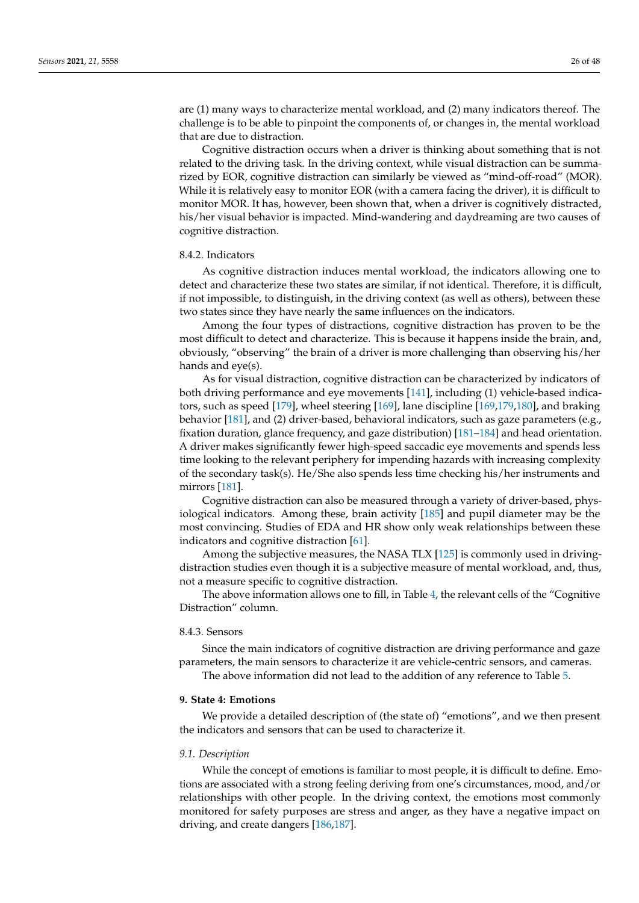are (1) many ways to characterize mental workload, and (2) many indicators thereof. The challenge is to be able to pinpoint the components of, or changes in, the mental workload that are due to distraction.

Cognitive distraction occurs when a driver is thinking about something that is not related to the driving task. In the driving context, while visual distraction can be summarized by EOR, cognitive distraction can similarly be viewed as "mind-off-road" (MOR). While it is relatively easy to monitor EOR (with a camera facing the driver), it is difficult to monitor MOR. It has, however, been shown that, when a driver is cognitively distracted, his/her visual behavior is impacted. Mind-wandering and daydreaming are two causes of cognitive distraction.

### 8.4.2. Indicators

As cognitive distraction induces mental workload, the indicators allowing one to detect and characterize these two states are similar, if not identical. Therefore, it is difficult, if not impossible, to distinguish, in the driving context (as well as others), between these two states since they have nearly the same influences on the indicators.

Among the four types of distractions, cognitive distraction has proven to be the most difficult to detect and characterize. This is because it happens inside the brain, and, obviously, "observing" the brain of a driver is more challenging than observing his/her hands and eye(s).

As for visual distraction, cognitive distraction can be characterized by indicators of both driving performance and eye movements [\[141\]](#page-43-18), including (1) vehicle-based indicators, such as speed [\[179\]](#page-45-2), wheel steering [\[169\]](#page-44-19), lane discipline [\[169](#page-44-19)[,179,](#page-45-2)[180\]](#page-45-3), and braking behavior [\[181\]](#page-45-4), and (2) driver-based, behavioral indicators, such as gaze parameters (e.g., fixation duration, glance frequency, and gaze distribution) [\[181–](#page-45-4)[184\]](#page-45-5) and head orientation. A driver makes significantly fewer high-speed saccadic eye movements and spends less time looking to the relevant periphery for impending hazards with increasing complexity of the secondary task(s). He/She also spends less time checking his/her instruments and mirrors [\[181\]](#page-45-4).

Cognitive distraction can also be measured through a variety of driver-based, physiological indicators. Among these, brain activity [\[185\]](#page-45-6) and pupil diameter may be the most convincing. Studies of EDA and HR show only weak relationships between these indicators and cognitive distraction [\[61\]](#page-40-31).

Among the subjective measures, the NASA TLX [\[125\]](#page-43-2) is commonly used in drivingdistraction studies even though it is a subjective measure of mental workload, and, thus, not a measure specific to cognitive distraction.

The above information allows one to fill, in Table [4,](#page-30-0) the relevant cells of the "Cognitive Distraction" column.

#### 8.4.3. Sensors

Since the main indicators of cognitive distraction are driving performance and gaze parameters, the main sensors to characterize it are vehicle-centric sensors, and cameras.

The above information did not lead to the addition of any reference to Table [5.](#page-31-0)

### **9. State 4: Emotions**

We provide a detailed description of (the state of) "emotions", and we then present the indicators and sensors that can be used to characterize it.

#### *9.1. Description*

While the concept of emotions is familiar to most people, it is difficult to define. Emotions are associated with a strong feeling deriving from one's circumstances, mood, and/or relationships with other people. In the driving context, the emotions most commonly monitored for safety purposes are stress and anger, as they have a negative impact on driving, and create dangers [\[186](#page-45-7)[,187\]](#page-45-8).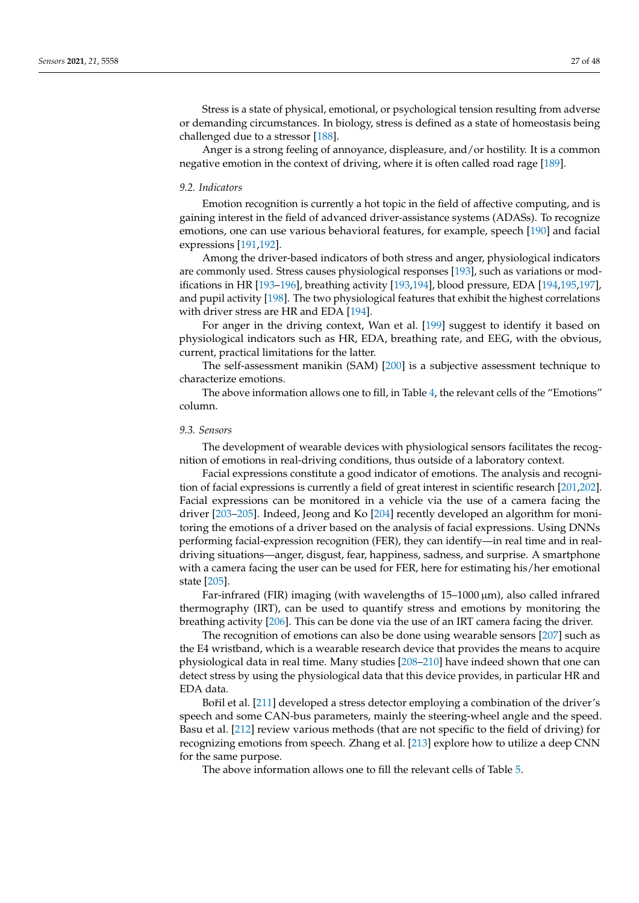Stress is a state of physical, emotional, or psychological tension resulting from adverse or demanding circumstances. In biology, stress is defined as a state of homeostasis being challenged due to a stressor [\[188\]](#page-45-9).

Anger is a strong feeling of annoyance, displeasure, and/or hostility. It is a common negative emotion in the context of driving, where it is often called road rage [\[189\]](#page-45-10).

#### *9.2. Indicators*

Emotion recognition is currently a hot topic in the field of affective computing, and is gaining interest in the field of advanced driver-assistance systems (ADASs). To recognize emotions, one can use various behavioral features, for example, speech [\[190\]](#page-45-11) and facial expressions [\[191](#page-45-12)[,192\]](#page-45-13).

Among the driver-based indicators of both stress and anger, physiological indicators are commonly used. Stress causes physiological responses [\[193\]](#page-45-14), such as variations or modifications in HR [\[193](#page-45-14)[–196\]](#page-45-15), breathing activity [\[193](#page-45-14)[,194\]](#page-45-16), blood pressure, EDA [\[194](#page-45-16)[,195](#page-45-17)[,197\]](#page-45-18), and pupil activity [\[198\]](#page-45-19). The two physiological features that exhibit the highest correlations with driver stress are HR and EDA [\[194\]](#page-45-16).

For anger in the driving context, Wan et al. [\[199\]](#page-45-20) suggest to identify it based on physiological indicators such as HR, EDA, breathing rate, and EEG, with the obvious, current, practical limitations for the latter.

The self-assessment manikin (SAM) [\[200\]](#page-45-21) is a subjective assessment technique to characterize emotions.

The above information allows one to fill, in Table [4,](#page-30-0) the relevant cells of the "Emotions" column.

#### *9.3. Sensors*

The development of wearable devices with physiological sensors facilitates the recognition of emotions in real-driving conditions, thus outside of a laboratory context.

Facial expressions constitute a good indicator of emotions. The analysis and recognition of facial expressions is currently a field of great interest in scientific research [\[201](#page-45-22)[,202\]](#page-45-23). Facial expressions can be monitored in a vehicle via the use of a camera facing the driver [\[203](#page-45-24)[–205\]](#page-46-0). Indeed, Jeong and Ko [\[204\]](#page-45-25) recently developed an algorithm for monitoring the emotions of a driver based on the analysis of facial expressions. Using DNNs performing facial-expression recognition (FER), they can identify—in real time and in realdriving situations—anger, disgust, fear, happiness, sadness, and surprise. A smartphone with a camera facing the user can be used for FER, here for estimating his/her emotional state [\[205\]](#page-46-0).

Far-infrared (FIR) imaging (with wavelengths of  $15-1000 \,\mu m$ ), also called infrared thermography (IRT), can be used to quantify stress and emotions by monitoring the breathing activity [\[206\]](#page-46-1). This can be done via the use of an IRT camera facing the driver.

The recognition of emotions can also be done using wearable sensors [\[207\]](#page-46-2) such as the E4 wristband, which is a wearable research device that provides the means to acquire physiological data in real time. Many studies [\[208](#page-46-3)[–210\]](#page-46-4) have indeed shown that one can detect stress by using the physiological data that this device provides, in particular HR and EDA data.

Bořil et al. [\[211\]](#page-46-5) developed a stress detector employing a combination of the driver's speech and some CAN-bus parameters, mainly the steering-wheel angle and the speed. Basu et al. [\[212\]](#page-46-6) review various methods (that are not specific to the field of driving) for recognizing emotions from speech. Zhang et al. [\[213\]](#page-46-7) explore how to utilize a deep CNN for the same purpose.

The above information allows one to fill the relevant cells of Table [5.](#page-31-0)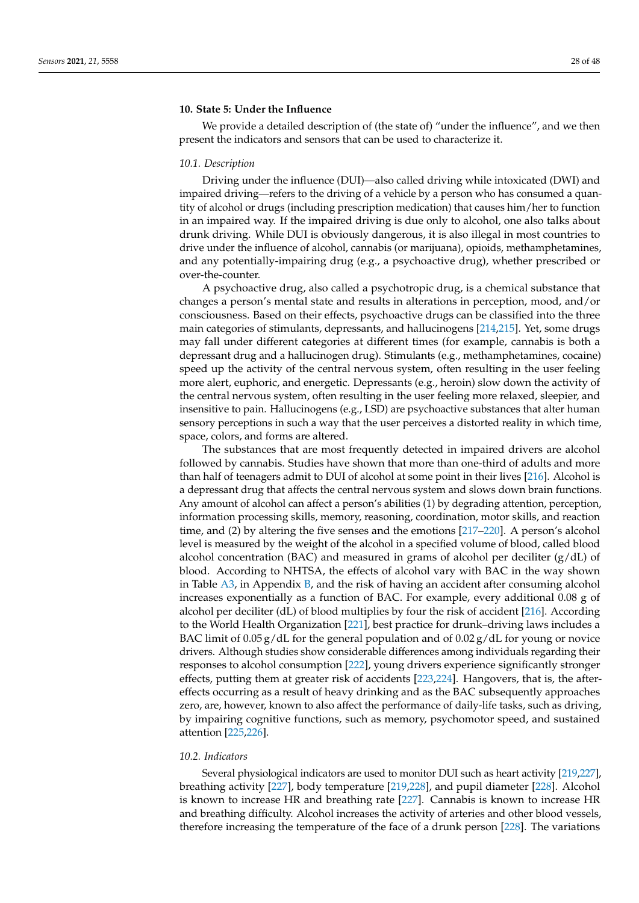### <span id="page-27-0"></span>**10. State 5: Under the Influence**

We provide a detailed description of (the state of) "under the influence", and we then present the indicators and sensors that can be used to characterize it.

#### *10.1. Description*

Driving under the influence (DUI)—also called driving while intoxicated (DWI) and impaired driving—refers to the driving of a vehicle by a person who has consumed a quantity of alcohol or drugs (including prescription medication) that causes him/her to function in an impaired way. If the impaired driving is due only to alcohol, one also talks about drunk driving. While DUI is obviously dangerous, it is also illegal in most countries to drive under the influence of alcohol, cannabis (or marijuana), opioids, methamphetamines, and any potentially-impairing drug (e.g., a psychoactive drug), whether prescribed or over-the-counter.

A psychoactive drug, also called a psychotropic drug, is a chemical substance that changes a person's mental state and results in alterations in perception, mood, and/or consciousness. Based on their effects, psychoactive drugs can be classified into the three main categories of stimulants, depressants, and hallucinogens [\[214,](#page-46-8)[215\]](#page-46-9). Yet, some drugs may fall under different categories at different times (for example, cannabis is both a depressant drug and a hallucinogen drug). Stimulants (e.g., methamphetamines, cocaine) speed up the activity of the central nervous system, often resulting in the user feeling more alert, euphoric, and energetic. Depressants (e.g., heroin) slow down the activity of the central nervous system, often resulting in the user feeling more relaxed, sleepier, and insensitive to pain. Hallucinogens (e.g., LSD) are psychoactive substances that alter human sensory perceptions in such a way that the user perceives a distorted reality in which time, space, colors, and forms are altered.

The substances that are most frequently detected in impaired drivers are alcohol followed by cannabis. Studies have shown that more than one-third of adults and more than half of teenagers admit to DUI of alcohol at some point in their lives [\[216\]](#page-46-10). Alcohol is a depressant drug that affects the central nervous system and slows down brain functions. Any amount of alcohol can affect a person's abilities (1) by degrading attention, perception, information processing skills, memory, reasoning, coordination, motor skills, and reaction time, and (2) by altering the five senses and the emotions [\[217–](#page-46-11)[220\]](#page-46-12). A person's alcohol level is measured by the weight of the alcohol in a specified volume of blood, called blood alcohol concentration (BAC) and measured in grams of alcohol per deciliter  $(g/dL)$  of blood. According to NHTSA, the effects of alcohol vary with BAC in the way shown in Table  $A3$ , in Appendix  $B$ , and the risk of having an accident after consuming alcohol increases exponentially as a function of BAC. For example, every additional 0.08 g of alcohol per deciliter (dL) of blood multiplies by four the risk of accident [\[216\]](#page-46-10). According to the World Health Organization [\[221\]](#page-46-13), best practice for drunk–driving laws includes a BAC limit of 0.05 g/dL for the general population and of 0.02 g/dL for young or novice drivers. Although studies show considerable differences among individuals regarding their responses to alcohol consumption [\[222\]](#page-46-14), young drivers experience significantly stronger effects, putting them at greater risk of accidents [\[223](#page-46-15)[,224\]](#page-46-16). Hangovers, that is, the aftereffects occurring as a result of heavy drinking and as the BAC subsequently approaches zero, are, however, known to also affect the performance of daily-life tasks, such as driving, by impairing cognitive functions, such as memory, psychomotor speed, and sustained attention [\[225](#page-46-17)[,226\]](#page-46-18).

# *10.2. Indicators*

Several physiological indicators are used to monitor DUI such as heart activity [\[219](#page-46-19)[,227\]](#page-46-20), breathing activity [\[227\]](#page-46-20), body temperature [\[219,](#page-46-19)[228\]](#page-46-21), and pupil diameter [\[228\]](#page-46-21). Alcohol is known to increase HR and breathing rate [\[227\]](#page-46-20). Cannabis is known to increase HR and breathing difficulty. Alcohol increases the activity of arteries and other blood vessels, therefore increasing the temperature of the face of a drunk person [\[228\]](#page-46-21). The variations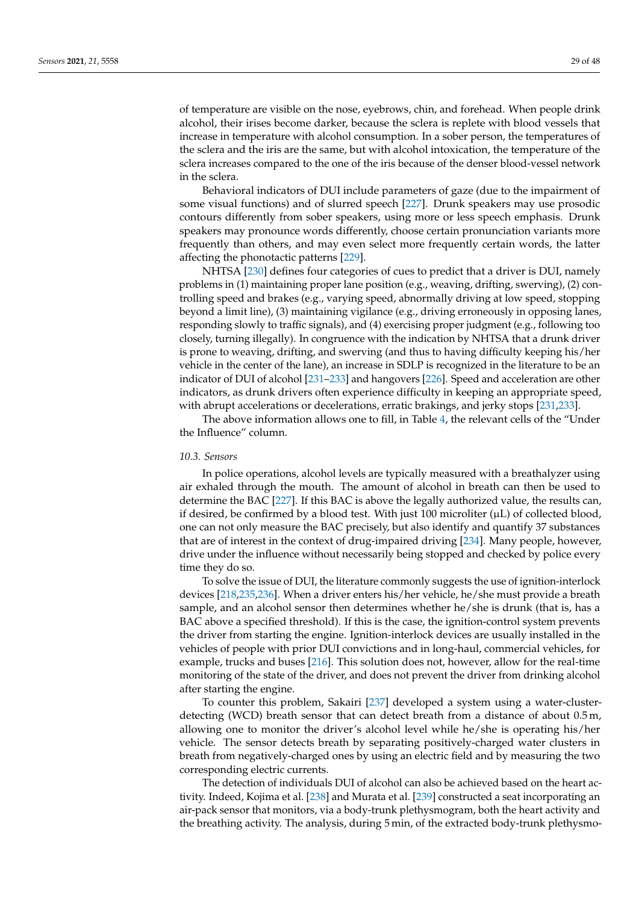of temperature are visible on the nose, eyebrows, chin, and forehead. When people drink alcohol, their irises become darker, because the sclera is replete with blood vessels that increase in temperature with alcohol consumption. In a sober person, the temperatures of the sclera and the iris are the same, but with alcohol intoxication, the temperature of the sclera increases compared to the one of the iris because of the denser blood-vessel network in the sclera.

Behavioral indicators of DUI include parameters of gaze (due to the impairment of some visual functions) and of slurred speech [\[227\]](#page-46-20). Drunk speakers may use prosodic contours differently from sober speakers, using more or less speech emphasis. Drunk speakers may pronounce words differently, choose certain pronunciation variants more frequently than others, and may even select more frequently certain words, the latter affecting the phonotactic patterns [\[229\]](#page-46-22).

NHTSA [\[230\]](#page-46-23) defines four categories of cues to predict that a driver is DUI, namely problems in (1) maintaining proper lane position (e.g., weaving, drifting, swerving), (2) controlling speed and brakes (e.g., varying speed, abnormally driving at low speed, stopping beyond a limit line), (3) maintaining vigilance (e.g., driving erroneously in opposing lanes, responding slowly to traffic signals), and (4) exercising proper judgment (e.g., following too closely, turning illegally). In congruence with the indication by NHTSA that a drunk driver is prone to weaving, drifting, and swerving (and thus to having difficulty keeping his/her vehicle in the center of the lane), an increase in SDLP is recognized in the literature to be an indicator of DUI of alcohol [\[231](#page-47-0)[–233\]](#page-47-1) and hangovers [\[226\]](#page-46-18). Speed and acceleration are other indicators, as drunk drivers often experience difficulty in keeping an appropriate speed, with abrupt accelerations or decelerations, erratic brakings, and jerky stops [\[231](#page-47-0)[,233\]](#page-47-1).

The above information allows one to fill, in Table [4,](#page-30-0) the relevant cells of the "Under the Influence" column.

#### *10.3. Sensors*

In police operations, alcohol levels are typically measured with a breathalyzer using air exhaled through the mouth. The amount of alcohol in breath can then be used to determine the BAC [\[227\]](#page-46-20). If this BAC is above the legally authorized value, the results can, if desired, be confirmed by a blood test. With just 100 microliter  $(\mu L)$  of collected blood, one can not only measure the BAC precisely, but also identify and quantify 37 substances that are of interest in the context of drug-impaired driving [\[234\]](#page-47-2). Many people, however, drive under the influence without necessarily being stopped and checked by police every time they do so.

To solve the issue of DUI, the literature commonly suggests the use of ignition-interlock devices [\[218](#page-46-24)[,235](#page-47-3)[,236\]](#page-47-4). When a driver enters his/her vehicle, he/she must provide a breath sample, and an alcohol sensor then determines whether he/she is drunk (that is, has a BAC above a specified threshold). If this is the case, the ignition-control system prevents the driver from starting the engine. Ignition-interlock devices are usually installed in the vehicles of people with prior DUI convictions and in long-haul, commercial vehicles, for example, trucks and buses [\[216\]](#page-46-10). This solution does not, however, allow for the real-time monitoring of the state of the driver, and does not prevent the driver from drinking alcohol after starting the engine.

To counter this problem, Sakairi [\[237\]](#page-47-5) developed a system using a water-clusterdetecting (WCD) breath sensor that can detect breath from a distance of about 0.5 m, allowing one to monitor the driver's alcohol level while he/she is operating his/her vehicle. The sensor detects breath by separating positively-charged water clusters in breath from negatively-charged ones by using an electric field and by measuring the two corresponding electric currents.

The detection of individuals DUI of alcohol can also be achieved based on the heart activity. Indeed, Kojima et al. [\[238\]](#page-47-6) and Murata et al. [\[239\]](#page-47-7) constructed a seat incorporating an air-pack sensor that monitors, via a body-trunk plethysmogram, both the heart activity and the breathing activity. The analysis, during 5 min, of the extracted body-trunk plethysmo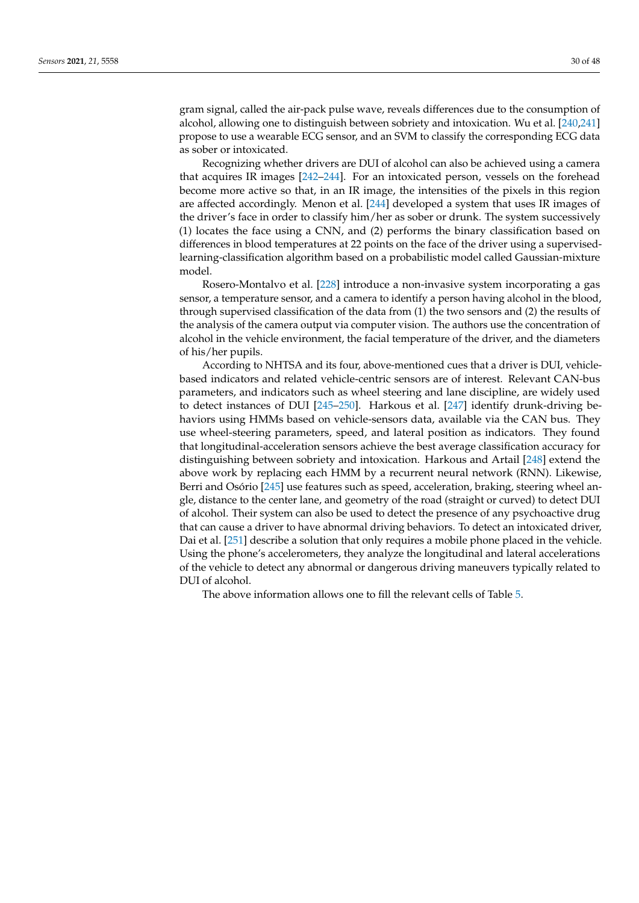gram signal, called the air-pack pulse wave, reveals differences due to the consumption of alcohol, allowing one to distinguish between sobriety and intoxication. Wu et al. [\[240,](#page-47-8)[241\]](#page-47-9) propose to use a wearable ECG sensor, and an SVM to classify the corresponding ECG data as sober or intoxicated.

Recognizing whether drivers are DUI of alcohol can also be achieved using a camera that acquires IR images [\[242–](#page-47-10)[244\]](#page-47-11). For an intoxicated person, vessels on the forehead become more active so that, in an IR image, the intensities of the pixels in this region are affected accordingly. Menon et al. [\[244\]](#page-47-11) developed a system that uses IR images of the driver's face in order to classify him/her as sober or drunk. The system successively (1) locates the face using a CNN, and (2) performs the binary classification based on differences in blood temperatures at 22 points on the face of the driver using a supervisedlearning-classification algorithm based on a probabilistic model called Gaussian-mixture model.

Rosero-Montalvo et al. [\[228\]](#page-46-21) introduce a non-invasive system incorporating a gas sensor, a temperature sensor, and a camera to identify a person having alcohol in the blood, through supervised classification of the data from (1) the two sensors and (2) the results of the analysis of the camera output via computer vision. The authors use the concentration of alcohol in the vehicle environment, the facial temperature of the driver, and the diameters of his/her pupils.

According to NHTSA and its four, above-mentioned cues that a driver is DUI, vehiclebased indicators and related vehicle-centric sensors are of interest. Relevant CAN-bus parameters, and indicators such as wheel steering and lane discipline, are widely used to detect instances of DUI [\[245–](#page-47-12)[250\]](#page-47-13). Harkous et al. [\[247\]](#page-47-14) identify drunk-driving behaviors using HMMs based on vehicle-sensors data, available via the CAN bus. They use wheel-steering parameters, speed, and lateral position as indicators. They found that longitudinal-acceleration sensors achieve the best average classification accuracy for distinguishing between sobriety and intoxication. Harkous and Artail [\[248\]](#page-47-15) extend the above work by replacing each HMM by a recurrent neural network (RNN). Likewise, Berri and Osório [\[245\]](#page-47-12) use features such as speed, acceleration, braking, steering wheel angle, distance to the center lane, and geometry of the road (straight or curved) to detect DUI of alcohol. Their system can also be used to detect the presence of any psychoactive drug that can cause a driver to have abnormal driving behaviors. To detect an intoxicated driver, Dai et al. [\[251\]](#page-47-16) describe a solution that only requires a mobile phone placed in the vehicle. Using the phone's accelerometers, they analyze the longitudinal and lateral accelerations of the vehicle to detect any abnormal or dangerous driving maneuvers typically related to DUI of alcohol.

The above information allows one to fill the relevant cells of Table [5.](#page-31-0)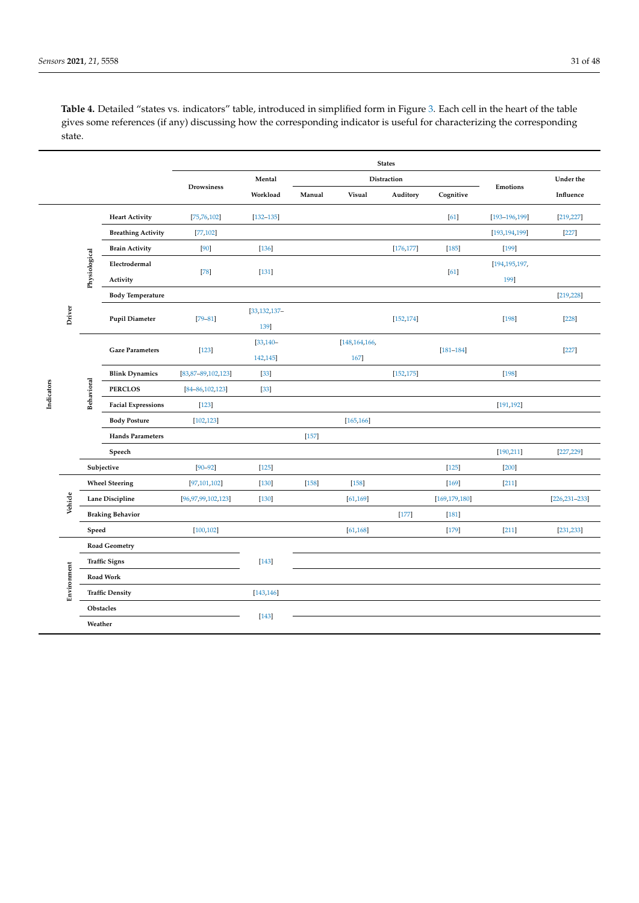<span id="page-30-0"></span>**Table 4.** Detailed "states vs. indicators" table, introduced in simplified form in Figure [3.](#page-11-1) Each cell in the heart of the table gives some references (if any) discussing how the corresponding indicator is useful for characterizing the corresponding state.

|            |             |                      |                           |                           |                   |         |               | <b>States</b> |                 |                    |                    |
|------------|-------------|----------------------|---------------------------|---------------------------|-------------------|---------|---------------|---------------|-----------------|--------------------|--------------------|
|            |             |                      |                           |                           | Mental            |         |               | Distraction   |                 |                    | Under the          |
|            |             |                      |                           | Drowsiness                | Workload          | Manual  | Visual        | Auditory      | Cognitive       | Emotions           | Influence          |
|            |             |                      | <b>Heart Activity</b>     | [75, 76, 102]             | $[132 - 135]$     |         |               |               | [61]            | $[193 - 196, 199]$ | [219, 227]         |
|            |             |                      | <b>Breathing Activity</b> | [77, 102]                 |                   |         |               |               |                 | [193, 194, 199]    | $[227]$            |
|            |             |                      | <b>Brain Activity</b>     | [90]                      | $[136]$           |         |               | [176, 177]    | $[185]$         | $[199]$            |                    |
|            |             | Physiological        | Electrodermal             | $[78]$                    | $[131]$           |         |               |               | [61]            | [194,195,197,      |                    |
|            |             |                      | Activity                  |                           |                   |         |               |               |                 | 199]               |                    |
|            |             |                      | <b>Body Temperature</b>   |                           |                   |         |               |               |                 |                    | [219, 228]         |
|            | Driver      |                      | <b>Pupil Diameter</b>     | $[79 - 81]$               | $[33, 132, 137 -$ |         |               | [152, 174]    |                 | $[198]$            | $[228]$            |
|            |             |                      |                           |                           | 139]              |         |               |               |                 |                    |                    |
|            |             |                      | <b>Gaze Parameters</b>    | $[123]$                   | $[33, 140 -$      |         | [148,164,166, |               | $[181 - 184]$   |                    | $[227]$            |
|            |             |                      |                           |                           | 142,145]          |         | 167]          |               |                 |                    |                    |
|            |             |                      | <b>Blink Dynamics</b>     | $[83, 87 - 89, 102, 123]$ | $[33]$            |         |               | [152, 175]    |                 | $[198]$            |                    |
| Indicators |             | Behavioral           | <b>PERCLOS</b>            | $[84 - 86, 102, 123]$     | $[33]$            |         |               |               |                 |                    |                    |
|            |             |                      | <b>Facial Expressions</b> | $[123]$                   |                   |         |               |               |                 | [191, 192]         |                    |
|            |             |                      | <b>Body Posture</b>       | [102, 123]                |                   |         | [165, 166]    |               |                 |                    |                    |
|            |             |                      | <b>Hands Parameters</b>   |                           |                   | $[157]$ |               |               |                 |                    |                    |
|            |             |                      | Speech                    |                           |                   |         |               |               |                 | [190, 211]         | [227, 229]         |
|            |             |                      | Subjective                | $[90 - 92]$               | $[125]$           |         |               |               | $[125]$         | $[200]$            |                    |
|            |             |                      | <b>Wheel Steering</b>     | [97, 101, 102]            | $[130]$           | $[158]$ | $[158]$       |               | $[169]$         | $[211]$            |                    |
|            | Vehicle     |                      | <b>Lane Discipline</b>    | [96, 97, 99, 102, 123]    | $[130]$           |         | [61, 169]     |               | [169, 179, 180] |                    | $[226, 231 - 233]$ |
|            |             |                      | <b>Braking Behavior</b>   |                           |                   |         |               | $[177]$       | $[181]$         |                    |                    |
|            |             | Speed                |                           | [100, 102]                |                   |         | [61, 168]     |               | $[179]$         | $[211]$            | [231, 233]         |
|            |             |                      | <b>Road Geometry</b>      |                           |                   |         |               |               |                 |                    |                    |
|            |             | <b>Traffic Signs</b> |                           |                           | $[143]$           |         |               |               |                 |                    |                    |
|            | Environment |                      | Road Work                 |                           |                   |         |               |               |                 |                    |                    |
|            |             |                      | <b>Traffic Density</b>    |                           | [143, 146]        |         |               |               |                 |                    |                    |
|            |             |                      | Obstacles                 |                           |                   |         |               |               |                 |                    |                    |
|            |             | Weather              |                           |                           | $[143]$           |         |               |               |                 |                    |                    |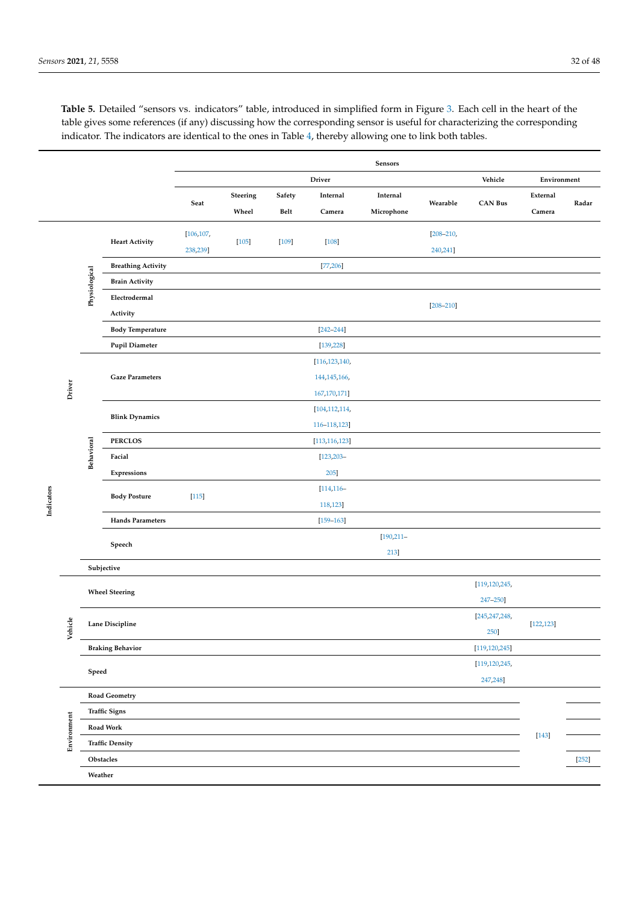|            |             |               |                           |            |          |         |                 | Sensors       |               |                 |             |         |
|------------|-------------|---------------|---------------------------|------------|----------|---------|-----------------|---------------|---------------|-----------------|-------------|---------|
|            |             |               |                           |            |          |         | <b>Driver</b>   |               |               | Vehicle         | Environment |         |
|            |             |               |                           | Seat       | Steering | Safety  | Internal        | Internal      | Wearable      | <b>CAN Bus</b>  | External    | Radar   |
|            |             |               |                           |            | Wheel    | Belt    | Camera          | Microphone    |               |                 | Camera      |         |
|            |             |               |                           | [106, 107, |          |         |                 |               | $[208 - 210,$ |                 |             |         |
|            |             |               | <b>Heart Activity</b>     | 238,239]   | $[105]$  | $[109]$ | $[108]$         |               | 240,241]      |                 |             |         |
|            |             |               | <b>Breathing Activity</b> |            |          |         | [77, 206]       |               |               |                 |             |         |
|            |             | Physiological | <b>Brain Activity</b>     |            |          |         |                 |               |               |                 |             |         |
|            |             |               | Electrodermal             |            |          |         |                 |               |               |                 |             |         |
|            |             |               | Activity                  |            |          |         |                 |               | $[208 - 210]$ |                 |             |         |
|            |             |               | <b>Body Temperature</b>   |            |          |         | $[242 - 244]$   |               |               |                 |             |         |
|            |             |               | <b>Pupil Diameter</b>     |            |          |         | [139, 228]      |               |               |                 |             |         |
|            |             |               |                           |            |          |         | [116, 123, 140, |               |               |                 |             |         |
|            |             |               | <b>Gaze Parameters</b>    |            |          |         | 144, 145, 166,  |               |               |                 |             |         |
|            | Driver      |               |                           |            |          |         | 167, 170, 171]  |               |               |                 |             |         |
|            |             |               | <b>Blink Dynamics</b>     |            |          |         | [104, 112, 114, |               |               |                 |             |         |
|            |             |               |                           |            |          |         | 116-118,123     |               |               |                 |             |         |
|            |             |               | <b>PERCLOS</b>            |            |          |         | [113, 116, 123] |               |               |                 |             |         |
|            |             | Behavioral    | Facial                    |            |          |         | $[123, 203 -$   |               |               |                 |             |         |
|            |             |               | Expressions               |            |          |         | 205]            |               |               |                 |             |         |
|            |             |               | <b>Body Posture</b>       | $[115]$    |          |         | $[114, 116 -$   |               |               |                 |             |         |
| Indicators |             |               |                           |            |          |         | 118,123]        |               |               |                 |             |         |
|            |             |               | <b>Hands Parameters</b>   |            |          |         | $[159 - 163]$   |               |               |                 |             |         |
|            |             |               | Speech                    |            |          |         |                 | $[190, 211 -$ |               |                 |             |         |
|            |             |               |                           |            |          |         |                 | 213           |               |                 |             |         |
|            |             |               | Subjective                |            |          |         |                 |               |               |                 |             |         |
|            |             |               | <b>Wheel Steering</b>     |            |          |         |                 |               |               | [119,120,245,   |             |         |
|            |             |               |                           |            |          |         |                 |               |               | 247-250]        |             |         |
|            | Vehicle     |               | Lane Discipline           |            |          |         |                 |               |               | [245,247,248,   | [122, 123]  |         |
|            |             |               |                           |            |          |         |                 |               |               | 250]            |             |         |
|            |             |               | <b>Braking Behavior</b>   |            |          |         |                 |               |               | [119, 120, 245] |             |         |
|            |             | Speed         |                           |            |          |         |                 |               |               | [119,120,245,   |             |         |
|            |             |               |                           |            |          |         |                 |               |               | 247,248]        |             |         |
|            |             |               | Road Geometry             |            |          |         |                 |               |               |                 |             |         |
|            |             |               | <b>Traffic Signs</b>      |            |          |         |                 |               |               |                 |             |         |
|            | Environment |               | Road Work                 |            |          |         |                 |               |               |                 | $[143]$     |         |
|            |             |               | <b>Traffic Density</b>    |            |          |         |                 |               |               |                 |             |         |
| Obstacles  |             |               |                           |            |          |         |                 |               |               |                 |             | $[252]$ |
|            |             | Weather       |                           |            |          |         |                 |               |               |                 |             |         |

<span id="page-31-0"></span>**Table 5.** Detailed "sensors vs. indicators" table, introduced in simplified form in Figure [3.](#page-11-1) Each cell in the heart of the table gives some references (if any) discussing how the corresponding sensor is useful for characterizing the corresponding indicator. The indicators are identical to the ones in Table [4,](#page-30-0) thereby allowing one to link both tables.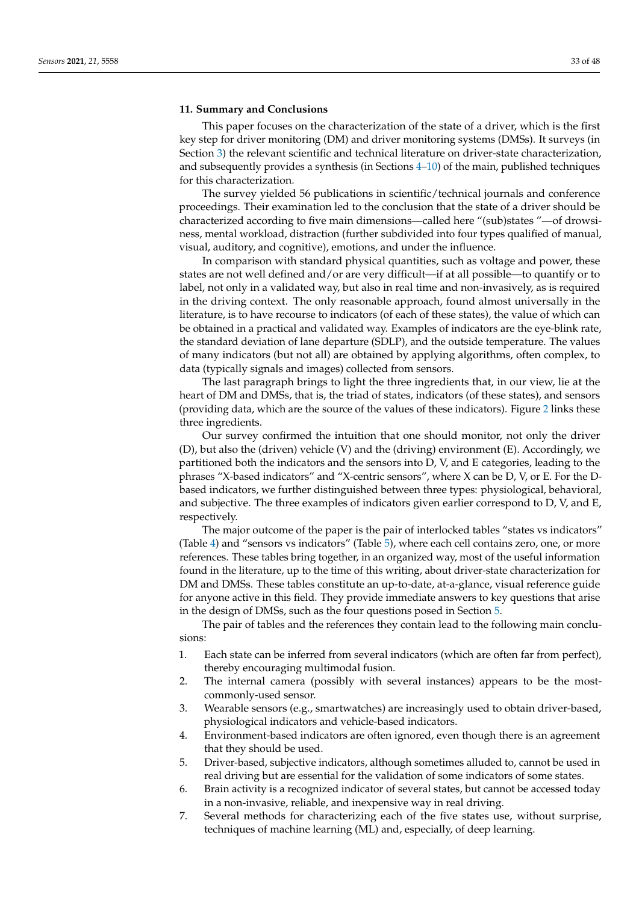### <span id="page-32-0"></span>**11. Summary and Conclusions**

This paper focuses on the characterization of the state of a driver, which is the first key step for driver monitoring (DM) and driver monitoring systems (DMSs). It surveys (in Section [3\)](#page-3-0) the relevant scientific and technical literature on driver-state characterization, and subsequently provides a synthesis (in Sections [4–](#page-9-0)[10\)](#page-27-0) of the main, published techniques for this characterization.

The survey yielded 56 publications in scientific/technical journals and conference proceedings. Their examination led to the conclusion that the state of a driver should be characterized according to five main dimensions—called here "(sub)states "—of drowsiness, mental workload, distraction (further subdivided into four types qualified of manual, visual, auditory, and cognitive), emotions, and under the influence.

In comparison with standard physical quantities, such as voltage and power, these states are not well defined and/or are very difficult—if at all possible—to quantify or to label, not only in a validated way, but also in real time and non-invasively, as is required in the driving context. The only reasonable approach, found almost universally in the literature, is to have recourse to indicators (of each of these states), the value of which can be obtained in a practical and validated way. Examples of indicators are the eye-blink rate, the standard deviation of lane departure (SDLP), and the outside temperature. The values of many indicators (but not all) are obtained by applying algorithms, often complex, to data (typically signals and images) collected from sensors.

The last paragraph brings to light the three ingredients that, in our view, lie at the heart of DM and DMSs, that is, the triad of states, indicators (of these states), and sensors (providing data, which are the source of the values of these indicators). Figure [2](#page-10-0) links these three ingredients.

Our survey confirmed the intuition that one should monitor, not only the driver (D), but also the (driven) vehicle (V) and the (driving) environment (E). Accordingly, we partitioned both the indicators and the sensors into D, V, and E categories, leading to the phrases "X-based indicators" and "X-centric sensors", where X can be D, V, or E. For the Dbased indicators, we further distinguished between three types: physiological, behavioral, and subjective. The three examples of indicators given earlier correspond to D, V, and E, respectively.

The major outcome of the paper is the pair of interlocked tables "states vs indicators" (Table [4\)](#page-30-0) and "sensors vs indicators" (Table [5\)](#page-31-0), where each cell contains zero, one, or more references. These tables bring together, in an organized way, most of the useful information found in the literature, up to the time of this writing, about driver-state characterization for DM and DMSs. These tables constitute an up-to-date, at-a-glance, visual reference guide for anyone active in this field. They provide immediate answers to key questions that arise in the design of DMSs, such as the four questions posed in Section [5.](#page-11-0)

The pair of tables and the references they contain lead to the following main conclusions:

- 1. Each state can be inferred from several indicators (which are often far from perfect), thereby encouraging multimodal fusion.
- 2. The internal camera (possibly with several instances) appears to be the mostcommonly-used sensor.
- 3. Wearable sensors (e.g., smartwatches) are increasingly used to obtain driver-based, physiological indicators and vehicle-based indicators.
- 4. Environment-based indicators are often ignored, even though there is an agreement that they should be used.
- 5. Driver-based, subjective indicators, although sometimes alluded to, cannot be used in real driving but are essential for the validation of some indicators of some states.
- 6. Brain activity is a recognized indicator of several states, but cannot be accessed today in a non-invasive, reliable, and inexpensive way in real driving.
- 7. Several methods for characterizing each of the five states use, without surprise, techniques of machine learning (ML) and, especially, of deep learning.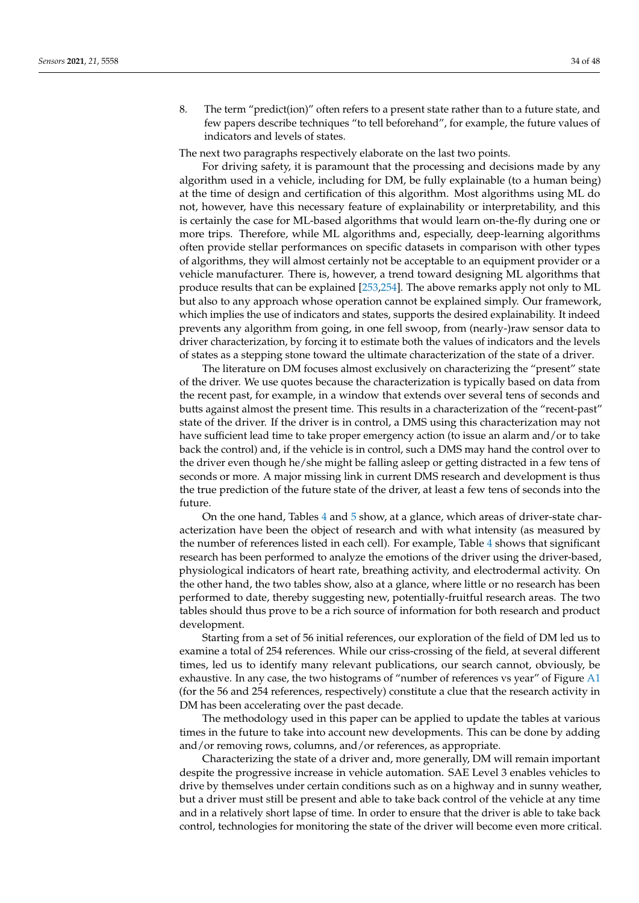<span id="page-33-0"></span>8. The term "predict(ion)" often refers to a present state rather than to a future state, and few papers describe techniques "to tell beforehand", for example, the future values of indicators and levels of states.

The next two paragraphs respectively elaborate on the last two points.

For driving safety, it is paramount that the processing and decisions made by any algorithm used in a vehicle, including for DM, be fully explainable (to a human being) at the time of design and certification of this algorithm. Most algorithms using ML do not, however, have this necessary feature of explainability or interpretability, and this is certainly the case for ML-based algorithms that would learn on-the-fly during one or more trips. Therefore, while ML algorithms and, especially, deep-learning algorithms often provide stellar performances on specific datasets in comparison with other types of algorithms, they will almost certainly not be acceptable to an equipment provider or a vehicle manufacturer. There is, however, a trend toward designing ML algorithms that produce results that can be explained [\[253](#page-47-18)[,254\]](#page-47-19). The above remarks apply not only to ML but also to any approach whose operation cannot be explained simply. Our framework, which implies the use of indicators and states, supports the desired explainability. It indeed prevents any algorithm from going, in one fell swoop, from (nearly-)raw sensor data to driver characterization, by forcing it to estimate both the values of indicators and the levels of states as a stepping stone toward the ultimate characterization of the state of a driver.

The literature on DM focuses almost exclusively on characterizing the "present" state of the driver. We use quotes because the characterization is typically based on data from the recent past, for example, in a window that extends over several tens of seconds and butts against almost the present time. This results in a characterization of the "recent-past" state of the driver. If the driver is in control, a DMS using this characterization may not have sufficient lead time to take proper emergency action (to issue an alarm and/or to take back the control) and, if the vehicle is in control, such a DMS may hand the control over to the driver even though he/she might be falling asleep or getting distracted in a few tens of seconds or more. A major missing link in current DMS research and development is thus the true prediction of the future state of the driver, at least a few tens of seconds into the future.

On the one hand, Tables [4](#page-30-0) and [5](#page-31-0) show, at a glance, which areas of driver-state characterization have been the object of research and with what intensity (as measured by the number of references listed in each cell). For example, Table [4](#page-30-0) shows that significant research has been performed to analyze the emotions of the driver using the driver-based, physiological indicators of heart rate, breathing activity, and electrodermal activity. On the other hand, the two tables show, also at a glance, where little or no research has been performed to date, thereby suggesting new, potentially-fruitful research areas. The two tables should thus prove to be a rich source of information for both research and product development.

Starting from a set of 56 initial references, our exploration of the field of DM led us to examine a total of 254 references. While our criss-crossing of the field, at several different times, led us to identify many relevant publications, our search cannot, obviously, be exhaustive. In any case, the two histograms of "number of references vs year" of Figure [A1](#page-38-17) (for the 56 and 254 references, respectively) constitute a clue that the research activity in DM has been accelerating over the past decade.

The methodology used in this paper can be applied to update the tables at various times in the future to take into account new developments. This can be done by adding and/or removing rows, columns, and/or references, as appropriate.

Characterizing the state of a driver and, more generally, DM will remain important despite the progressive increase in vehicle automation. SAE Level 3 enables vehicles to drive by themselves under certain conditions such as on a highway and in sunny weather, but a driver must still be present and able to take back control of the vehicle at any time and in a relatively short lapse of time. In order to ensure that the driver is able to take back control, technologies for monitoring the state of the driver will become even more critical.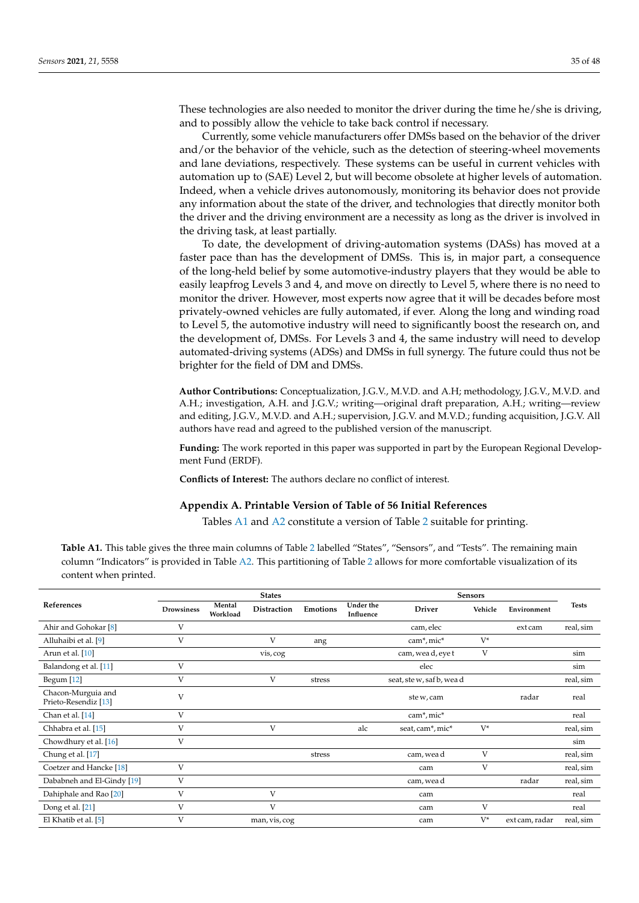These technologies are also needed to monitor the driver during the time he/she is driving, and to possibly allow the vehicle to take back control if necessary.

Currently, some vehicle manufacturers offer DMSs based on the behavior of the driver and/or the behavior of the vehicle, such as the detection of steering-wheel movements and lane deviations, respectively. These systems can be useful in current vehicles with automation up to (SAE) Level 2, but will become obsolete at higher levels of automation. Indeed, when a vehicle drives autonomously, monitoring its behavior does not provide any information about the state of the driver, and technologies that directly monitor both the driver and the driving environment are a necessity as long as the driver is involved in the driving task, at least partially.

To date, the development of driving-automation systems (DASs) has moved at a faster pace than has the development of DMSs. This is, in major part, a consequence of the long-held belief by some automotive-industry players that they would be able to easily leapfrog Levels 3 and 4, and move on directly to Level 5, where there is no need to monitor the driver. However, most experts now agree that it will be decades before most privately-owned vehicles are fully automated, if ever. Along the long and winding road to Level 5, the automotive industry will need to significantly boost the research on, and the development of, DMSs. For Levels 3 and 4, the same industry will need to develop automated-driving systems (ADSs) and DMSs in full synergy. The future could thus not be brighter for the field of DM and DMSs.

**Author Contributions:** Conceptualization, J.G.V., M.V.D. and A.H; methodology, J.G.V., M.V.D. and A.H.; investigation, A.H. and J.G.V.; writing—original draft preparation, A.H.; writing—review and editing, J.G.V., M.V.D. and A.H.; supervision, J.G.V. and M.V.D.; funding acquisition, J.G.V. All authors have read and agreed to the published version of the manuscript.

**Funding:** The work reported in this paper was supported in part by the European Regional Development Fund (ERDF).

**Conflicts of Interest:** The authors declare no conflict of interest.

### <span id="page-34-0"></span>**Appendix A. Printable Version of Table of 56 Initial References**

Tables [A1](#page-34-1) and [A2](#page-36-0) constitute a version of Table [2](#page-5-0) suitable for printing.

<span id="page-34-1"></span>**Table A1.** This table gives the three main columns of Table [2](#page-5-0) labelled "States", "Sensors", and "Tests". The remaining main column "Indicators" is provided in Table [A2.](#page-36-0) This partitioning of Table [2](#page-5-0) allows for more comfortable visualization of its content when printed.

|                                            |                   |                    | <b>States</b>      |          |                        |                                     | <b>Sensors</b> |                |              |
|--------------------------------------------|-------------------|--------------------|--------------------|----------|------------------------|-------------------------------------|----------------|----------------|--------------|
| References                                 | <b>Drowsiness</b> | Mental<br>Workload | <b>Distraction</b> | Emotions | Under the<br>Influence | <b>Driver</b>                       | Vehicle        | Environment    | <b>Tests</b> |
| Ahir and Gohokar <sup>[8]</sup>            | V                 |                    |                    |          |                        | cam, elec                           |                | ext cam        | real, sim    |
| Alluhaibi et al. [9]                       | V                 |                    | V                  | ang      |                        | cam*, mic*                          | $V^*$          |                |              |
| Arun et al. [10]                           |                   |                    | vis, cog           |          |                        | cam, wead, eye t                    | V              |                | sim          |
| Balandong et al. [11]                      | V                 |                    |                    |          |                        | elec                                |                |                | sim          |
| Begum [12]                                 | V                 |                    | V                  | stress   |                        | seat, ste w, saf b, wea d           |                |                | real, sim    |
| Chacon-Murguia and<br>Prieto-Resendiz [13] | V                 |                    |                    |          |                        | ste w, cam                          |                | radar          | real         |
| Chan et al. [14]                           | V                 |                    |                    |          |                        | cam <sup>*</sup> , mic <sup>*</sup> |                |                | real         |
| Chhabra et al. [15]                        | V                 |                    | V                  |          | alc                    | seat, cam*, mic*                    | $V^*$          |                | real, sim    |
| Chowdhury et al. [16]                      | V                 |                    |                    |          |                        |                                     |                |                | sim          |
| Chung et al. [17]                          |                   |                    |                    | stress   |                        | cam, wea d                          | V              |                | real, sim    |
| Coetzer and Hancke <sup>[18]</sup>         | V                 |                    |                    |          |                        | cam                                 | V              |                | real, sim    |
| Dababneh and El-Gindy [19]                 | V                 |                    |                    |          |                        | cam, wea d                          |                | radar          | real, sim    |
| Dahiphale and Rao [20]                     | V                 |                    | V                  |          |                        | cam                                 |                |                | real         |
| Dong et al. [21]                           | V                 |                    | $\overline{V}$     |          |                        | cam                                 | V              |                | real         |
| El Khatib et al. [5]                       | V                 |                    | man, vis, cog      |          |                        | cam                                 | $V^*$          | ext cam, radar | real, sim    |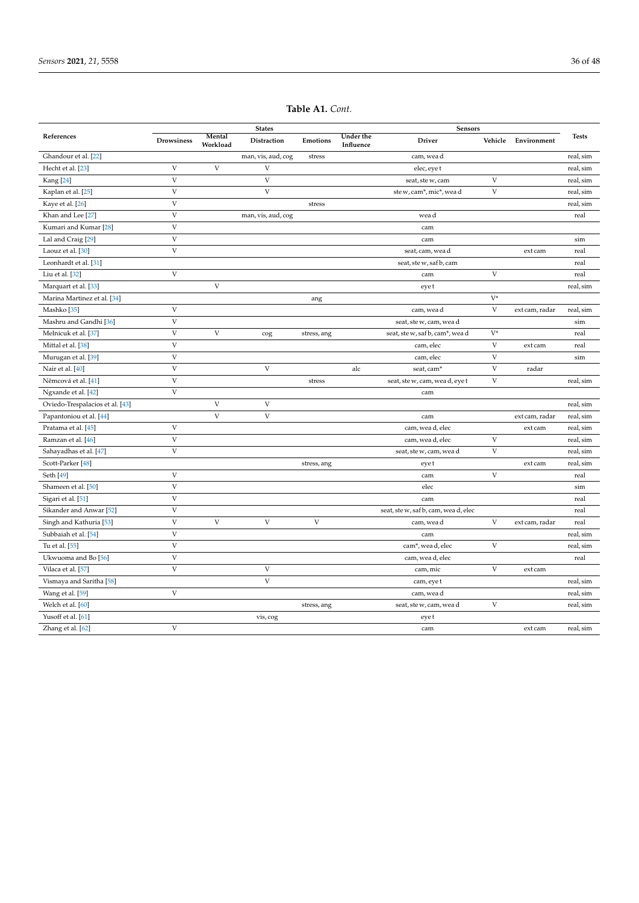|                                    |                           |                           | <b>States</b>             |              | Sensors                       |                                      |                           |                |              |
|------------------------------------|---------------------------|---------------------------|---------------------------|--------------|-------------------------------|--------------------------------------|---------------------------|----------------|--------------|
| References                         | <b>Drowsiness</b>         | Mental<br>Workload        | Distraction               | Emotions     | <b>Under the</b><br>Influence | <b>Driver</b>                        | Vehicle                   | Environment    | <b>Tests</b> |
| Ghandour et al. [22]               |                           |                           | man, vis, aud, cog        | stress       |                               | cam, wea d                           |                           |                | real, sim    |
| Hecht et al. [23]                  | $\ensuremath{\mathbf{V}}$ | $\ensuremath{\mathbf{V}}$ | V                         |              |                               | elec, eye t                          |                           |                | real, sim    |
| Kang <sup>[24]</sup>               | $\mathbf V$               |                           | V                         |              |                               | seat, ste w, cam                     | V                         |                | real, sim    |
| Kaplan et al. [25]                 | $\mathbf V$               |                           | V                         |              |                               | ste w, cam*, mic*, wea d             | V                         |                | real, sim    |
| Kaye et al. [26]                   | $\ensuremath{\mathsf{V}}$ |                           |                           | stress       |                               |                                      |                           |                | real, sim    |
| Khan and Lee [27]                  | $\mathbf V$               |                           | man, vis, aud, cog        |              |                               | wea d                                |                           |                | real         |
| Kumari and Kumar <sup>[28]</sup>   | $\mathbf{V}$              |                           |                           |              |                               | cam                                  |                           |                |              |
| Lal and Craig [29]                 | $\mathbf V$               |                           |                           |              |                               | cam                                  |                           |                | sim          |
| Laouz et al. [30]                  | $\mathbf V$               |                           |                           |              |                               | seat, cam, wead                      |                           | ext cam        | real         |
| Leonhardt et al. [31]              |                           |                           |                           |              |                               | seat, ste w, saf b, cam              |                           |                | real         |
| Liu et al. [32]                    | V                         |                           |                           |              |                               | cam                                  | V                         |                | real         |
| Marquart et al. [33]               |                           | $\mathbf V$               |                           |              |                               | eye t                                |                           |                | real, sim    |
| Marina Martinez et al. [34]        |                           |                           |                           | ang          |                               |                                      | $V^*$                     |                |              |
| Mashko <sup>[35]</sup>             | $\ensuremath{\mathbf{V}}$ |                           |                           |              |                               | cam, wea d                           | $\ensuremath{\mathbf{V}}$ | ext cam, radar | real, sim    |
| Mashru and Gandhi [36]             | $\ensuremath{\mathbf{V}}$ |                           |                           |              |                               | seat, ste w, cam, wea d              |                           |                | sim          |
| Melnicuk et al. [37]               | $\mathbf{V}$              | $\mathbf{V}$              | cog                       | stress, ang  |                               | seat, ste w, saf b, cam*, wea d      | $V^*$                     |                | real         |
| Mittal et al. [38]                 | $\ensuremath{\mathbf{V}}$ |                           |                           |              |                               | cam, elec                            | $\mathbf V$               | ext cam        | real         |
| Murugan et al. [39]                | V                         |                           |                           |              |                               | cam, elec                            | V                         |                | sim          |
| Nair et al. [40]                   | $\ensuremath{\mathbf{V}}$ |                           | V                         |              | alc                           | seat, cam*                           | $\ensuremath{\mathbf{V}}$ | radar          |              |
| Němcová et al. [41]                | $\ensuremath{\mathbf{V}}$ |                           |                           | stress       |                               | seat, ste w, cam, wea d, eye t       | V                         |                | real, sim    |
| Ngxande et al. [42]                | $\mathbf V$               |                           |                           |              |                               | cam                                  |                           |                |              |
| Oviedo-Trespalacios et al. [43]    |                           | V                         | V                         |              |                               |                                      |                           |                | real, sim    |
| Papantoniou et al. [44]            |                           | $\mathbf{V}$              | V                         |              |                               | cam                                  |                           | ext cam, radar | real, sim    |
| Pratama et al. [45]                | $\mathbf{V}$              |                           |                           |              |                               | cam, wea d, elec                     |                           | ext cam        | real, sim    |
| Ramzan et al. [46]                 | $\mathbf V$               |                           |                           |              |                               | cam, wea d, elec                     | V                         |                | real, sim    |
| Sahayadhas et al. [47]             | $\mathbf{V}$              |                           |                           |              |                               | seat, ste w, cam, wea d              | V                         |                | real, sim    |
| Scott-Parker <sup>[48]</sup>       |                           |                           |                           | stress, ang  |                               | eye t                                |                           | ext cam        | real, sim    |
| Seth [49]                          | $\mathbf{V}$              |                           |                           |              |                               | cam                                  | V                         |                | real         |
| Shameen et al. [50]                | $\ensuremath{\mathbf{V}}$ |                           |                           |              |                               | elec                                 |                           |                | sim          |
| Sigari et al. [51]                 | $\ensuremath{\mathbf{V}}$ |                           |                           |              |                               | cam                                  |                           |                | real         |
| Sikander and Anwar <sup>[52]</sup> | $\mathbf V$               |                           |                           |              |                               | seat, ste w, saf b, cam, wea d, elec |                           |                | real         |
| Singh and Kathuria <sup>[53]</sup> | $\mathbf V$               | $\ensuremath{\mathbf{V}}$ | $\ensuremath{\mathbf{V}}$ | $\mathbf{V}$ |                               | cam, wea d                           | $\mathbf V$               | ext cam, radar | real         |
| Subbaiah et al. [54]               | V                         |                           |                           |              |                               | cam                                  |                           |                | real, sim    |
| Tu et al. [55]                     | $\ensuremath{\mathbf{V}}$ |                           |                           |              |                               | cam*, wea d, elec                    | V                         |                | real, sim    |
| Ukwuoma and Bo <sup>[56]</sup>     | $\ensuremath{\mathbf{V}}$ |                           |                           |              |                               | cam, wea d, elec                     |                           |                | real         |
| Vilaca et al. [57]                 | $\mathbf V$               |                           | V                         |              |                               | cam, mic                             | V                         | ext cam        |              |
| Vismaya and Saritha [58]           |                           |                           | $\ensuremath{\mathbf{V}}$ |              |                               | cam, eye t                           |                           |                | real, sim    |
| Wang et al. [59]                   | $\mathbf{V}$              |                           |                           |              |                               | cam, wea d                           |                           |                | real, sim    |
| Welch et al. [60]                  |                           |                           |                           | stress, ang  |                               | seat, ste w, cam, wea d              | V                         |                | real, sim    |
| Yusoff et al. [61]                 |                           |                           | vis, cog                  |              |                               | eye t                                |                           |                |              |
| Zhang et al. [62]                  | $\mathbf{V}$              |                           |                           |              |                               | cam                                  |                           | ext cam        | real, sim    |

### **Table A1.** *Cont.*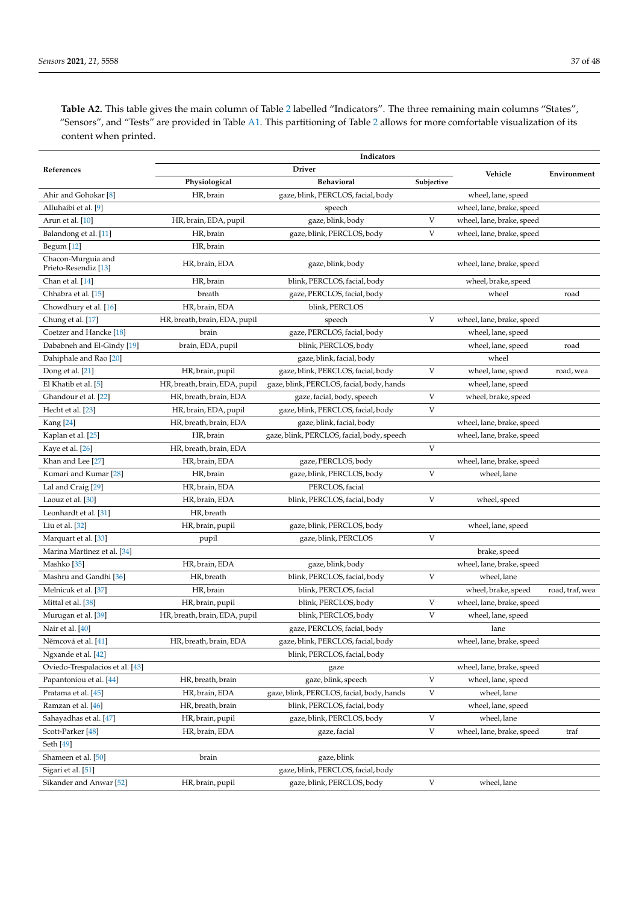<span id="page-36-0"></span>**Table A2.** This table gives the main column of Table [2](#page-5-0) labelled "Indicators". The three remaining main columns "States", "Sensors", and "Tests" are provided in Table [A1.](#page-34-1) This partitioning of Table [2](#page-5-0) allows for more comfortable visualization of its content when printed.

|                                            |                               | Indicators                                 |            |                           |                 |
|--------------------------------------------|-------------------------------|--------------------------------------------|------------|---------------------------|-----------------|
| References                                 |                               | <b>Driver</b>                              |            | Vehicle                   | Environment     |
|                                            | Physiological                 | <b>Behavioral</b>                          | Subjective |                           |                 |
| Ahir and Gohokar <sup>[8]</sup>            | HR, brain                     | gaze, blink, PERCLOS, facial, body         |            | wheel, lane, speed        |                 |
| Alluhaibi et al. [9]                       |                               | speech                                     |            | wheel, lane, brake, speed |                 |
| Arun et al. [10]                           | HR, brain, EDA, pupil         | gaze, blink, body                          | V          | wheel, lane, brake, speed |                 |
| Balandong et al. [11]                      | HR, brain                     | gaze, blink, PERCLOS, body                 | V          | wheel, lane, brake, speed |                 |
| Begum [12]                                 | HR, brain                     |                                            |            |                           |                 |
| Chacon-Murguia and<br>Prieto-Resendiz [13] | HR, brain, EDA                | gaze, blink, body                          |            | wheel, lane, brake, speed |                 |
| Chan et al. [14]                           | HR, brain                     | blink, PERCLOS, facial, body               |            | wheel, brake, speed       |                 |
| Chhabra et al. [15]                        | breath                        | gaze, PERCLOS, facial, body                |            | wheel                     | road            |
| Chowdhury et al. [16]                      | HR, brain, EDA                | blink, PERCLOS                             |            |                           |                 |
| Chung et al. [17]                          | HR, breath, brain, EDA, pupil | speech                                     | V          | wheel, lane, brake, speed |                 |
| Coetzer and Hancke [18]                    | brain                         | gaze, PERCLOS, facial, body                |            | wheel, lane, speed        |                 |
| Dababneh and El-Gindy [19]                 | brain, EDA, pupil             | blink, PERCLOS, body                       |            | wheel, lane, speed        | road            |
| Dahiphale and Rao [20]                     |                               | gaze, blink, facial, body                  |            | wheel                     |                 |
| Dong et al. [21]                           | HR, brain, pupil              | gaze, blink, PERCLOS, facial, body         | V          | wheel, lane, speed        | road, wea       |
| El Khatib et al. [5]                       | HR, breath, brain, EDA, pupil | gaze, blink, PERCLOS, facial, body, hands  |            | wheel, lane, speed        |                 |
| Ghandour et al. [22]                       | HR, breath, brain, EDA        | gaze, facial, body, speech                 | V          | wheel, brake, speed       |                 |
| Hecht et al. [23]                          | HR, brain, EDA, pupil         | gaze, blink, PERCLOS, facial, body         | V          |                           |                 |
| Kang [24]                                  | HR, breath, brain, EDA        | gaze, blink, facial, body                  |            | wheel, lane, brake, speed |                 |
| Kaplan et al. [25]                         | HR, brain                     | gaze, blink, PERCLOS, facial, body, speech |            | wheel, lane, brake, speed |                 |
| Kaye et al. [26]                           | HR, breath, brain, EDA        |                                            | V          |                           |                 |
| Khan and Lee [27]                          | HR, brain, EDA                | gaze, PERCLOS, body                        |            | wheel, lane, brake, speed |                 |
| Kumari and Kumar <sup>[28]</sup>           | HR, brain                     | gaze, blink, PERCLOS, body                 | V          | wheel, lane               |                 |
| Lal and Craig [29]                         | HR, brain, EDA                | PERCLOS, facial                            |            |                           |                 |
| Laouz et al. [30]                          | HR, brain, EDA                | blink, PERCLOS, facial, body               | V          | wheel, speed              |                 |
| Leonhardt et al. [31]                      | HR, breath                    |                                            |            |                           |                 |
| Liu et al. [32]                            | HR, brain, pupil              | gaze, blink, PERCLOS, body                 |            | wheel, lane, speed        |                 |
| Marquart et al. [33]                       | pupil                         | gaze, blink, PERCLOS                       | V          |                           |                 |
| Marina Martinez et al. [34]                |                               |                                            |            | brake, speed              |                 |
| Mashko [35]                                | HR, brain, EDA                | gaze, blink, body                          |            | wheel, lane, brake, speed |                 |
| Mashru and Gandhi <sup>[36]</sup>          | HR, breath                    | blink, PERCLOS, facial, body               | V          | wheel, lane               |                 |
| Melnicuk et al. [37]                       | HR, brain                     | blink, PERCLOS, facial                     |            | wheel, brake, speed       | road, traf, wea |
| Mittal et al. [38]                         | HR, brain, pupil              | blink, PERCLOS, body                       | V          | wheel, lane, brake, speed |                 |
| Murugan et al. [39]                        | HR, breath, brain, EDA, pupil | blink, PERCLOS, body                       | V          | wheel, lane, speed        |                 |
| Nair et al. [40]                           |                               | gaze, PERCLOS, facial, body                |            | lane                      |                 |
| Němcová et al. [41]                        | HR, breath, brain, EDA        | gaze, blink, PERCLOS, facial, body         |            | wheel, lane, brake, speed |                 |
| Ngxande et al. [42]                        |                               | blink, PERCLOS, facial, body               |            |                           |                 |
| Oviedo-Trespalacios et al. [43]            |                               | gaze                                       |            | wheel, lane, brake, speed |                 |
| Papantoniou et al. [44]                    | HR, breath, brain             | gaze, blink, speech                        | V          | wheel, lane, speed        |                 |
| Pratama et al. [45]                        | HR, brain, EDA                | gaze, blink, PERCLOS, facial, body, hands  | V          | wheel, lane               |                 |
| Ramzan et al. [46]                         | HR, breath, brain             | blink, PERCLOS, facial, body               |            | wheel, lane, speed        |                 |
| Sahayadhas et al. [47]                     | HR, brain, pupil              | gaze, blink, PERCLOS, body                 | V          | wheel, lane               |                 |
| Scott-Parker <sup>[48]</sup>               | HR, brain, EDA                | gaze, facial                               | V          | wheel, lane, brake, speed | traf            |
| Seth [49]                                  |                               |                                            |            |                           |                 |
| Shameen et al. [50]                        | brain                         | gaze, blink                                |            |                           |                 |
| Sigari et al. [51]                         |                               | gaze, blink, PERCLOS, facial, body         |            |                           |                 |
| Sikander and Anwar [52]                    | HR, brain, pupil              | gaze, blink, PERCLOS, body                 | V          | wheel, lane               |                 |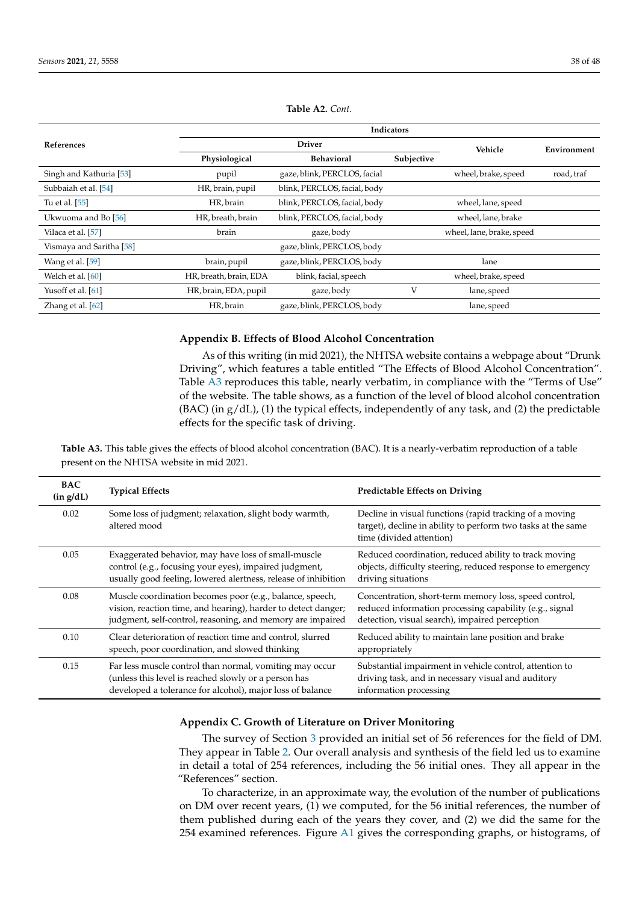|                          | Indicators             |                              |            |                           |             |  |  |  |  |
|--------------------------|------------------------|------------------------------|------------|---------------------------|-------------|--|--|--|--|
| <b>References</b>        |                        | <b>Driver</b>                |            | Vehicle                   | Environment |  |  |  |  |
|                          | Physiological          | <b>Behavioral</b>            | Subjective |                           |             |  |  |  |  |
| Singh and Kathuria [53]  | pupil                  | gaze, blink, PERCLOS, facial |            | wheel, brake, speed       | road, traf  |  |  |  |  |
| Subbaiah et al. [54]     | HR, brain, pupil       | blink, PERCLOS, facial, body |            |                           |             |  |  |  |  |
| Tu et al. [55]           | HR, brain              | blink, PERCLOS, facial, body |            | wheel, lane, speed        |             |  |  |  |  |
| Ukwuoma and Bo [56]      | HR, breath, brain      | blink, PERCLOS, facial, body |            | wheel, lane, brake        |             |  |  |  |  |
| Vilaca et al. [57]       | brain                  | gaze, body                   |            | wheel, lane, brake, speed |             |  |  |  |  |
| Vismaya and Saritha [58] |                        | gaze, blink, PERCLOS, body   |            |                           |             |  |  |  |  |
| Wang et al. [59]         | brain, pupil           | gaze, blink, PERCLOS, body   |            | lane                      |             |  |  |  |  |
| Welch et al. [60]        | HR, breath, brain, EDA | blink, facial, speech        |            | wheel, brake, speed       |             |  |  |  |  |
| Yusoff et al. [61]       | HR, brain, EDA, pupil  | gaze, body                   | V          | lane, speed               |             |  |  |  |  |
| Zhang et al. [62]        | HR, brain              | gaze, blink, PERCLOS, body   |            | lane, speed               |             |  |  |  |  |

**Table A2.** *Cont.*

### <span id="page-37-1"></span>**Appendix B. Effects of Blood Alcohol Concentration**

As of this writing (in mid 2021), the NHTSA website contains a webpage about "Drunk Driving", which features a table entitled "The Effects of Blood Alcohol Concentration". Table [A3](#page-37-0) reproduces this table, nearly verbatim, in compliance with the "Terms of Use" of the website. The table shows, as a function of the level of blood alcohol concentration  $(BAC)$  (in  $g/dL$ ), (1) the typical effects, independently of any task, and (2) the predictable effects for the specific task of driving.

<span id="page-37-0"></span>**Table A3.** This table gives the effects of blood alcohol concentration (BAC). It is a nearly-verbatim reproduction of a table present on the NHTSA website in mid 2021.

| <b>BAC</b><br>(in g/dL) | <b>Typical Effects</b>                                                                                                                                                                  | <b>Predictable Effects on Driving</b>                                                                                                                              |
|-------------------------|-----------------------------------------------------------------------------------------------------------------------------------------------------------------------------------------|--------------------------------------------------------------------------------------------------------------------------------------------------------------------|
| 0.02                    | Some loss of judgment; relaxation, slight body warmth,<br>altered mood                                                                                                                  | Decline in visual functions (rapid tracking of a moving<br>target), decline in ability to perform two tasks at the same<br>time (divided attention)                |
| 0.05                    | Exaggerated behavior, may have loss of small-muscle<br>control (e.g., focusing your eyes), impaired judgment,<br>usually good feeling, lowered alertness, release of inhibition         | Reduced coordination, reduced ability to track moving<br>objects, difficulty steering, reduced response to emergency<br>driving situations                         |
| 0.08                    | Muscle coordination becomes poor (e.g., balance, speech,<br>vision, reaction time, and hearing), harder to detect danger;<br>judgment, self-control, reasoning, and memory are impaired | Concentration, short-term memory loss, speed control,<br>reduced information processing capability (e.g., signal<br>detection, visual search), impaired perception |
| 0.10                    | Clear deterioration of reaction time and control, slurred<br>speech, poor coordination, and slowed thinking                                                                             | Reduced ability to maintain lane position and brake<br>appropriately                                                                                               |
| 0.15                    | Far less muscle control than normal, vomiting may occur<br>(unless this level is reached slowly or a person has<br>developed a tolerance for alcohol), major loss of balance            | Substantial impairment in vehicle control, attention to<br>driving task, and in necessary visual and auditory<br>information processing                            |

# **Appendix C. Growth of Literature on Driver Monitoring**

The survey of Section [3](#page-3-0) provided an initial set of 56 references for the field of DM. They appear in Table [2.](#page-5-0) Our overall analysis and synthesis of the field led us to examine in detail a total of 254 references, including the 56 initial ones. They all appear in the "References" section.

To characterize, in an approximate way, the evolution of the number of publications on DM over recent years, (1) we computed, for the 56 initial references, the number of them published during each of the years they cover, and (2) we did the same for the 254 examined references. Figure [A1](#page-38-17) gives the corresponding graphs, or histograms, of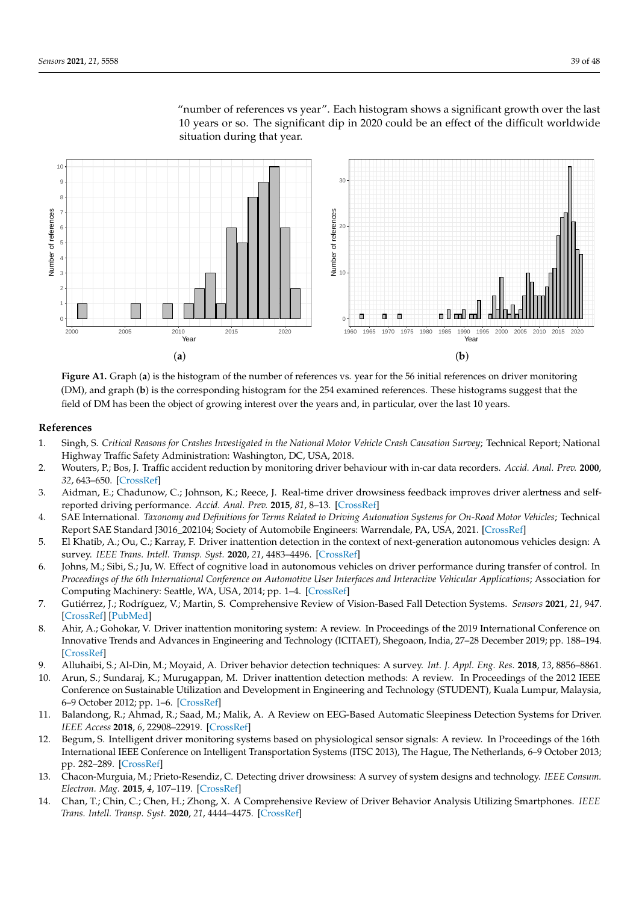<span id="page-38-17"></span>

"number of references vs year". Each histogram shows a significant growth over the last 10 years or so. The significant dip in 2020 could be an effect of the difficult worldwide situation during that year.

<span id="page-38-14"></span><span id="page-38-8"></span><span id="page-38-7"></span>**Figure A1.** Graph (**a**) is the histogram of the number of references vs. year for the 56 initial references on driver monitoring (DM), and graph (**b**) is the corresponding histogram for the 254 examined references. These histograms suggest that the field of DM has been the object of growing interest over the years and, in particular, over the last 10 years.

## <span id="page-38-9"></span>**References**

- <span id="page-38-10"></span><span id="page-38-0"></span>1. Singh, S. *Critical Reasons for Crashes Investigated in the National Motor Vehicle Crash Causation Survey*; Technical Report; National Highway Traffic Safety Administration: Washington, DC, USA, 2018.
- <span id="page-38-11"></span><span id="page-38-1"></span>2. Wouters, P.; Bos, J. Traffic accident reduction by monitoring driver behaviour with in-car data recorders. *Accid. Anal. Prev.* **2000**, *32*, 643–650. [\[CrossRef\]](http://doi.org/10.1016/S0001-4575(99)00095-0)
- <span id="page-38-2"></span>3. Aidman, E.; Chadunow, C.; Johnson, K.; Reece, J. Real-time driver drowsiness feedback improves driver alertness and selfreported driving performance. *Accid. Anal. Prev.* **2015**, *81*, 8–13. [\[CrossRef\]](http://dx.doi.org/10.1016/j.aap.2015.03.041)
- <span id="page-38-12"></span><span id="page-38-3"></span>4. SAE International. *Taxonomy and Definitions for Terms Related to Driving Automation Systems for On-Road Motor Vehicles*; Technical Report SAE Standard J3016\_202104; Society of Automobile Engineers: Warrendale, PA, USA, 2021. [\[CrossRef\]](http://dx.doi.org/10.4271/J3016_202104)
- <span id="page-38-13"></span><span id="page-38-4"></span>5. El Khatib, A.; Ou, C.; Karray, F. Driver inattention detection in the context of next-generation autonomous vehicles design: A survey. *IEEE Trans. Intell. Transp. Syst.* **2020**, *21*, 4483–4496. [\[CrossRef\]](http://dx.doi.org/10.1109/TITS.2019.2940874)
- <span id="page-38-5"></span>6. Johns, M.; Sibi, S.; Ju, W. Effect of cognitive load in autonomous vehicles on driver performance during transfer of control. In *Proceedings of the 6th International Conference on Automotive User Interfaces and Interactive Vehicular Applications*; Association for Computing Machinery: Seattle, WA, USA, 2014; pp. 1–4. [\[CrossRef\]](http://dx.doi.org/10.1145/2667239.2667296)
- <span id="page-38-6"></span>7. Gutiérrez, J.; Rodríguez, V.; Martin, S. Comprehensive Review of Vision-Based Fall Detection Systems. *Sensors* **2021**, *21*, 947. [\[CrossRef\]](http://dx.doi.org/10.3390/s21030947) [\[PubMed\]](http://www.ncbi.nlm.nih.gov/pubmed/33535373)
- <span id="page-38-18"></span>8. Ahir, A.; Gohokar, V. Driver inattention monitoring system: A review. In Proceedings of the 2019 International Conference on Innovative Trends and Advances in Engineering and Technology (ICITAET), Shegoaon, India, 27–28 December 2019; pp. 188–194. [\[CrossRef\]](http://dx.doi.org/10.1109/ICITAET47105.2019.9170249)
- <span id="page-38-15"></span>9. Alluhaibi, S.; Al-Din, M.; Moyaid, A. Driver behavior detection techniques: A survey. *Int. J. Appl. Eng. Res.* **2018**, *13*, 8856–8861.
- <span id="page-38-19"></span>10. Arun, S.; Sundaraj, K.; Murugappan, M. Driver inattention detection methods: A review. In Proceedings of the 2012 IEEE Conference on Sustainable Utilization and Development in Engineering and Technology (STUDENT), Kuala Lumpur, Malaysia, 6–9 October 2012; pp. 1–6. [\[CrossRef\]](http://dx.doi.org/10.1109/STUDENT.2012.6408351)
- <span id="page-38-20"></span>11. Balandong, R.; Ahmad, R.; Saad, M.; Malik, A. A Review on EEG-Based Automatic Sleepiness Detection Systems for Driver. *IEEE Access* **2018**, *6*, 22908–22919. [\[CrossRef\]](http://dx.doi.org/10.1109/ACCESS.2018.2811723)
- <span id="page-38-21"></span>12. Begum, S. Intelligent driver monitoring systems based on physiological sensor signals: A review. In Proceedings of the 16th International IEEE Conference on Intelligent Transportation Systems (ITSC 2013), The Hague, The Netherlands, 6–9 October 2013; pp. 282–289. [\[CrossRef\]](http://dx.doi.org/10.1109/ITSC.2013.6728246)
- <span id="page-38-22"></span>13. Chacon-Murguia, M.; Prieto-Resendiz, C. Detecting driver drowsiness: A survey of system designs and technology. *IEEE Consum. Electron. Mag.* **2015**, *4*, 107–119. [\[CrossRef\]](http://dx.doi.org/10.1109/MCE.2015.2463373)
- <span id="page-38-16"></span>14. Chan, T.; Chin, C.; Chen, H.; Zhong, X. A Comprehensive Review of Driver Behavior Analysis Utilizing Smartphones. *IEEE Trans. Intell. Transp. Syst.* **2020**, *21*, 4444–4475. [\[CrossRef\]](http://dx.doi.org/10.1109/TITS.2019.2940481)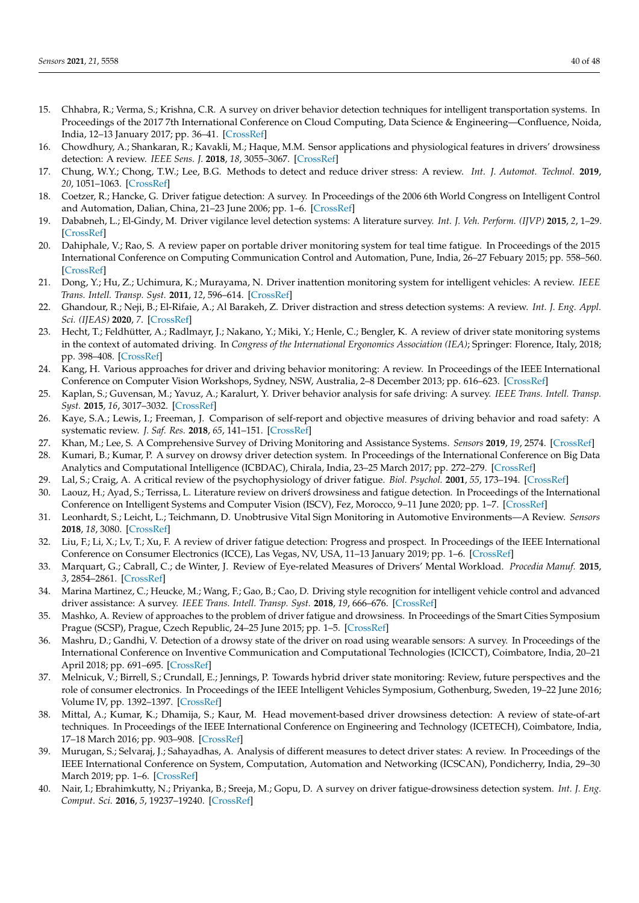- <span id="page-39-27"></span><span id="page-39-10"></span><span id="page-39-9"></span><span id="page-39-8"></span><span id="page-39-7"></span><span id="page-39-6"></span><span id="page-39-5"></span><span id="page-39-4"></span><span id="page-39-3"></span><span id="page-39-2"></span><span id="page-39-1"></span><span id="page-39-0"></span>15. Chhabra, R.; Verma, S.; Krishna, C.R. A survey on driver behavior detection techniques for intelligent transportation systems. In Proceedings of the 2017 7th International Conference on Cloud Computing, Data Science & Engineering—Confluence, Noida, India, 12–13 January 2017; pp. 36–41. [\[CrossRef\]](http://dx.doi.org/10.1109/CONFLUENCE.2017.7943120)
- <span id="page-39-34"></span><span id="page-39-11"></span>16. Chowdhury, A.; Shankaran, R.; Kavakli, M.; Haque, M.M. Sensor applications and physiological features in drivers' drowsiness detection: A review. *IEEE Sens. J.* **2018**, *18*, 3055–3067. [\[CrossRef\]](http://dx.doi.org/10.1109/JSEN.2018.2807245)
- <span id="page-39-35"></span><span id="page-39-12"></span>17. Chung, W.Y.; Chong, T.W.; Lee, B.G. Methods to detect and reduce driver stress: A review. *Int. J. Automot. Technol.* **2019**, *20*, 1051–1063. [\[CrossRef\]](http://dx.doi.org/10.1007/s12239-019-0099-3)
- <span id="page-39-36"></span><span id="page-39-13"></span>18. Coetzer, R.; Hancke, G. Driver fatigue detection: A survey. In Proceedings of the 2006 6th World Congress on Intelligent Control and Automation, Dalian, China, 21–23 June 2006; pp. 1–6. [\[CrossRef\]](http://dx.doi.org/10.1109/AFRCON.2009.5308101)
- <span id="page-39-37"></span><span id="page-39-15"></span><span id="page-39-14"></span>19. Dababneh, L.; El-Gindy, M. Driver vigilance level detection systems: A literature survey. *Int. J. Veh. Perform. (IJVP)* **2015**, *2*, 1–29. [\[CrossRef\]](http://dx.doi.org/10.1504/IJVP.2015.074120)
- <span id="page-39-38"></span><span id="page-39-16"></span>20. Dahiphale, V.; Rao, S. A review paper on portable driver monitoring system for teal time fatigue. In Proceedings of the 2015 International Conference on Computing Communication Control and Automation, Pune, India, 26–27 Febuary 2015; pp. 558–560. [\[CrossRef\]](http://dx.doi.org/10.1109/ICCUBEA.2015.115)
- <span id="page-39-26"></span><span id="page-39-17"></span>21. Dong, Y.; Hu, Z.; Uchimura, K.; Murayama, N. Driver inattention monitoring system for intelligent vehicles: A review. *IEEE Trans. Intell. Transp. Syst.* **2011**, *12*, 596–614. [\[CrossRef\]](http://dx.doi.org/10.1109/TITS.2010.2092770)
- <span id="page-39-39"></span><span id="page-39-18"></span>22. Ghandour, R.; Neji, B.; El-Rifaie, A.; Al Barakeh, Z. Driver distraction and stress detection systems: A review. *Int. J. Eng. Appl. Sci. (IJEAS)* **2020**, *7*. [\[CrossRef\]](http://dx.doi.org/10.31873/IJEAS.7.04.10)
- <span id="page-39-40"></span><span id="page-39-20"></span><span id="page-39-19"></span>23. Hecht, T.; Feldhütter, A.; Radlmayr, J.; Nakano, Y.; Miki, Y.; Henle, C.; Bengler, K. A review of driver state monitoring systems in the context of automated driving. In *Congress of the International Ergonomics Association (IEA)*; Springer: Florence, Italy, 2018; pp. 398–408. [\[CrossRef\]](http://dx.doi.org/10.1007/978-3-319-96074-6_43)
- <span id="page-39-28"></span><span id="page-39-21"></span>24. Kang, H. Various approaches for driver and driving behavior monitoring: A review. In Proceedings of the IEEE International Conference on Computer Vision Workshops, Sydney, NSW, Australia, 2–8 December 2013; pp. 616–623. [\[CrossRef\]](http://dx.doi.org/10.1109/ICCVW.2013.85)
- <span id="page-39-29"></span>25. Kaplan, S.; Guvensan, M.; Yavuz, A.; Karalurt, Y. Driver behavior analysis for safe driving: A survey. *IEEE Trans. Intell. Transp. Syst.* **2015**, *16*, 3017–3032. [\[CrossRef\]](http://dx.doi.org/10.1109/TITS.2015.2462084)
- <span id="page-39-41"></span><span id="page-39-22"></span>26. Kaye, S.A.; Lewis, I.; Freeman, J. Comparison of self-report and objective measures of driving behavior and road safety: A systematic review. *J. Saf. Res.* **2018**, *65*, 141–151. [\[CrossRef\]](http://dx.doi.org/10.1016/j.jsr.2018.02.012)
- <span id="page-39-42"></span><span id="page-39-23"></span>27. Khan, M.; Lee, S. A Comprehensive Survey of Driving Monitoring and Assistance Systems. *Sensors* **2019**, *19*, 2574. [\[CrossRef\]](http://dx.doi.org/10.3390/s19112574)
- <span id="page-39-43"></span>28. Kumari, B.; Kumar, P. A survey on drowsy driver detection system. In Proceedings of the International Conference on Big Data Analytics and Computational Intelligence (ICBDAC), Chirala, India, 23–25 March 2017; pp. 272–279. [\[CrossRef\]](http://dx.doi.org/10.1109/ICBDACI.2017.8070847)
- <span id="page-39-44"></span><span id="page-39-24"></span>29. Lal, S.; Craig, A. A critical review of the psychophysiology of driver fatigue. *Biol. Psychol.* **2001**, *55*, 173–194. [\[CrossRef\]](http://dx.doi.org/10.1016/S0301-0511(00)00085-5)
- <span id="page-39-45"></span>30. Laouz, H.; Ayad, S.; Terrissa, L. Literature review on drivers drowsiness and fatigue detection. In Proceedings of the International Conference on Intelligent Systems and Computer Vision (ISCV), Fez, Morocco, 9–11 June 2020; pp. 1–7. [\[CrossRef\]](http://dx.doi.org/10.1109/ISCV49265.2020.9204306)
- <span id="page-39-46"></span><span id="page-39-25"></span>31. Leonhardt, S.; Leicht, L.; Teichmann, D. Unobtrusive Vital Sign Monitoring in Automotive Environments—A Review. *Sensors* **2018**, *18*, 3080. [\[CrossRef\]](http://dx.doi.org/10.3390/s18093080)
- <span id="page-39-47"></span>32. Liu, F.; Li, X.; Lv, T.; Xu, F. A review of driver fatigue detection: Progress and prospect. In Proceedings of the IEEE International Conference on Consumer Electronics (ICCE), Las Vegas, NV, USA, 11–13 January 2019; pp. 1–6. [\[CrossRef\]](http://dx.doi.org/10.1109/ICCE.2019.8662098)
- <span id="page-39-33"></span>33. Marquart, G.; Cabrall, C.; de Winter, J. Review of Eye-related Measures of Drivers' Mental Workload. *Procedia Manuf.* **2015**, *3*, 2854–2861. [\[CrossRef\]](http://dx.doi.org/10.1016/j.promfg.2015.07.783)
- <span id="page-39-30"></span>34. Marina Martinez, C.; Heucke, M.; Wang, F.; Gao, B.; Cao, D. Driving style recognition for intelligent vehicle control and advanced driver assistance: A survey. *IEEE Trans. Intell. Transp. Syst.* **2018**, *19*, 666–676. [\[CrossRef\]](http://dx.doi.org/10.1109/TITS.2017.2706978)
- <span id="page-39-48"></span>35. Mashko, A. Review of approaches to the problem of driver fatigue and drowsiness. In Proceedings of the Smart Cities Symposium Prague (SCSP), Prague, Czech Republic, 24–25 June 2015; pp. 1–5. [\[CrossRef\]](http://dx.doi.org/10.1109/SCSP.2015.7181569)
- <span id="page-39-49"></span>36. Mashru, D.; Gandhi, V. Detection of a drowsy state of the driver on road using wearable sensors: A survey. In Proceedings of the International Conference on Inventive Communication and Computational Technologies (ICICCT), Coimbatore, India, 20–21 April 2018; pp. 691–695. [\[CrossRef\]](http://dx.doi.org/10.1109/ICICCT.2018.8473245)
- <span id="page-39-31"></span>37. Melnicuk, V.; Birrell, S.; Crundall, E.; Jennings, P. Towards hybrid driver state monitoring: Review, future perspectives and the role of consumer electronics. In Proceedings of the IEEE Intelligent Vehicles Symposium, Gothenburg, Sweden, 19–22 June 2016; Volume IV, pp. 1392–1397. [\[CrossRef\]](http://dx.doi.org/10.1109/IVS.2016.7535572)
- <span id="page-39-50"></span>38. Mittal, A.; Kumar, K.; Dhamija, S.; Kaur, M. Head movement-based driver drowsiness detection: A review of state-of-art techniques. In Proceedings of the IEEE International Conference on Engineering and Technology (ICETECH), Coimbatore, India, 17–18 March 2016; pp. 903–908. [\[CrossRef\]](http://dx.doi.org/10.1109/ICETECH.2016.7569378)
- <span id="page-39-51"></span>39. Murugan, S.; Selvaraj, J.; Sahayadhas, A. Analysis of different measures to detect driver states: A review. In Proceedings of the IEEE International Conference on System, Computation, Automation and Networking (ICSCAN), Pondicherry, India, 29–30 March 2019; pp. 1–6. [\[CrossRef\]](http://dx.doi.org/10.1109/ICSCAN.2019.8878844)
- <span id="page-39-32"></span>40. Nair, I.; Ebrahimkutty, N.; Priyanka, B.; Sreeja, M.; Gopu, D. A survey on driver fatigue-drowsiness detection system. *Int. J. Eng. Comput. Sci.* **2016**, *5*, 19237–19240. [\[CrossRef\]](http://dx.doi.org/10.18535/ijecs/v5i11.92)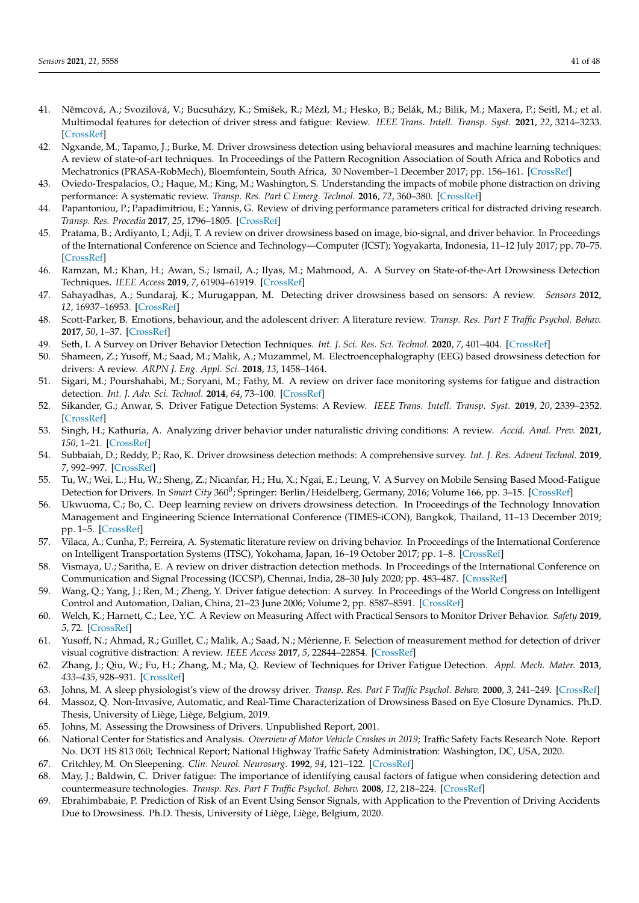- <span id="page-40-32"></span><span id="page-40-10"></span><span id="page-40-9"></span><span id="page-40-8"></span><span id="page-40-7"></span><span id="page-40-6"></span><span id="page-40-5"></span><span id="page-40-4"></span><span id="page-40-3"></span><span id="page-40-2"></span><span id="page-40-1"></span><span id="page-40-0"></span>41. Němcová, A.; Svozilová, V.; Bucsuházy, K.; Smišek, R.; Mézl, M.; Hesko, B.; Belák, M.; Bilik, M.; Maxera, P.; Seitl, M.; et al. Multimodal features for detection of driver stress and fatigue: Review. *IEEE Trans. Intell. Transp. Syst.* **2021**, *22*, 3214–3233. [\[CrossRef\]](http://dx.doi.org/10.1109/TITS.2020.2977762)
- <span id="page-40-33"></span><span id="page-40-12"></span><span id="page-40-11"></span>42. Ngxande, M.; Tapamo, J.; Burke, M. Driver drowsiness detection using behavioral measures and machine learning techniques: A review of state-of-art techniques. In Proceedings of the Pattern Recognition Association of South Africa and Robotics and Mechatronics (PRASA-RobMech), Bloemfontein, South Africa, 30 November–1 December 2017; pp. 156–161. [\[CrossRef\]](http://dx.doi.org/10.1109/RoboMech.2017.8261140)
- <span id="page-40-34"></span><span id="page-40-13"></span>43. Oviedo-Trespalacios, O.; Haque, M.; King, M.; Washington, S. Understanding the impacts of mobile phone distraction on driving performance: A systematic review. *Transp. Res. Part C Emerg. Technol.* **2016**, *72*, 360–380. [\[CrossRef\]](http://dx.doi.org/10.1016/j.trc.2016.10.006)
- <span id="page-40-35"></span><span id="page-40-14"></span>44. Papantoniou, P.; Papadimitriou, E.; Yannis, G. Review of driving performance parameters critical for distracted driving research. *Transp. Res. Procedia* **2017**, *25*, 1796–1805. [\[CrossRef\]](http://dx.doi.org/10.1016/j.trpro.2017.05.148)
- <span id="page-40-36"></span><span id="page-40-15"></span>45. Pratama, B.; Ardiyanto, I.; Adji, T. A review on driver drowsiness based on image, bio-signal, and driver behavior. In Proceedings of the International Conference on Science and Technology—Computer (ICST); Yogyakarta, Indonesia, 11–12 July 2017; pp. 70–75. [\[CrossRef\]](http://dx.doi.org/10.1109/ICSTC.2017.8011855)
- <span id="page-40-37"></span><span id="page-40-16"></span>46. Ramzan, M.; Khan, H.; Awan, S.; Ismail, A.; Ilyas, M.; Mahmood, A. A Survey on State-of-the-Art Drowsiness Detection Techniques. *IEEE Access* **2019**, *7*, 61904–61919. [\[CrossRef\]](http://dx.doi.org/10.1109/ACCESS.2019.2914373)
- <span id="page-40-22"></span><span id="page-40-17"></span>47. Sahayadhas, A.; Sundaraj, K.; Murugappan, M. Detecting driver drowsiness based on sensors: A review. *Sensors* **2012**, *12*, 16937–16953. [\[CrossRef\]](http://dx.doi.org/10.3390/s121216937)
- <span id="page-40-38"></span><span id="page-40-18"></span>48. Scott-Parker, B. Emotions, behaviour, and the adolescent driver: A literature review. *Transp. Res. Part F Traffic Psychol. Behav.* **2017**, *50*, 1–37. [\[CrossRef\]](http://dx.doi.org/10.1016/j.trf.2017.06.019)
- <span id="page-40-39"></span><span id="page-40-19"></span>49. Seth, I. A Survey on Driver Behavior Detection Techniques. *Int. J. Sci. Res. Sci. Technol.* **2020**, *7*, 401–404. [\[CrossRef\]](http://dx.doi.org/10.32628/IJSRST207384)
- <span id="page-40-40"></span>50. Shameen, Z.; Yusoff, M.; Saad, M.; Malik, A.; Muzammel, M. Electroencephalography (EEG) based drowsiness detection for drivers: A review. *ARPN J. Eng. Appl. Sci.* **2018**, *13*, 1458–1464.
- <span id="page-40-41"></span><span id="page-40-20"></span>51. Sigari, M.; Pourshahabi, M.; Soryani, M.; Fathy, M. A review on driver face monitoring systems for fatigue and distraction detection. *Int. J. Adv. Sci. Technol.* **2014**, *64*, 73–100. [\[CrossRef\]](http://dx.doi.org/10.14257/ijast.2014.64.07)
- <span id="page-40-42"></span><span id="page-40-21"></span>52. Sikander, G.; Anwar, S. Driver Fatigue Detection Systems: A Review. *IEEE Trans. Intell. Transp. Syst.* **2019**, *20*, 2339–2352. [\[CrossRef\]](http://dx.doi.org/10.1109/TITS.2018.2868499)
- <span id="page-40-43"></span>53. Singh, H.; Kathuria, A. Analyzing driver behavior under naturalistic driving conditions: A review. *Accid. Anal. Prev.* **2021**, *150*, 1–21. [\[CrossRef\]](http://dx.doi.org/10.1016/j.aap.2020.105908)
- <span id="page-40-44"></span>54. Subbaiah, D.; Reddy, P.; Rao, K. Driver drowsiness detection methods: A comprehensive survey. *Int. J. Res. Advent Technol.* **2019**, *7*, 992–997. [\[CrossRef\]](http://dx.doi.org/10.32622/ijrat.73201918)
- <span id="page-40-23"></span>55. Tu, W.; Wei, L.; Hu, W.; Sheng, Z.; Nicanfar, H.; Hu, X.; Ngai, E.; Leung, V. A Survey on Mobile Sensing Based Mood-Fatigue Detection for Drivers. In *Smart City* 360<sup>0</sup>; Springer: Berlin/Heidelberg, Germany, 2016; Volume 166, pp. 3–15. [\[CrossRef\]](http://dx.doi.org/10.1007/978-3-319-33681-7_1)
- <span id="page-40-45"></span>56. Ukwuoma, C.; Bo, C. Deep learning review on drivers drowsiness detection. In Proceedings of the Technology Innovation Management and Engineering Science International Conference (TIMES-iCON), Bangkok, Thailand, 11–13 December 2019; pp. 1–5. [\[CrossRef\]](http://dx.doi.org/10.1109/TIMES-iCON47539.2019.9024642)
- <span id="page-40-46"></span>57. Vilaca, A.; Cunha, P.; Ferreira, A. Systematic literature review on driving behavior. In Proceedings of the International Conference on Intelligent Transportation Systems (ITSC), Yokohama, Japan, 16–19 October 2017; pp. 1–8. [\[CrossRef\]](http://dx.doi.org/10.1109/ITSC.2017.8317786)
- <span id="page-40-47"></span>58. Vismaya, U.; Saritha, E. A review on driver distraction detection methods. In Proceedings of the International Conference on Communication and Signal Processing (ICCSP), Chennai, India, 28–30 July 2020; pp. 483–487. [\[CrossRef\]](http://dx.doi.org/10.1109/ICCSP48568.2020.9182316)
- <span id="page-40-48"></span>59. Wang, Q.; Yang, J.; Ren, M.; Zheng, Y. Driver fatigue detection: A survey. In Proceedings of the World Congress on Intelligent Control and Automation, Dalian, China, 21–23 June 2006; Volume 2, pp. 8587–8591. [\[CrossRef\]](http://dx.doi.org/10.1109/WCICA.2006.1713656)
- <span id="page-40-49"></span>60. Welch, K.; Harnett, C.; Lee, Y.C. A Review on Measuring Affect with Practical Sensors to Monitor Driver Behavior. *Safety* **2019**, *5*, 72. [\[CrossRef\]](http://dx.doi.org/10.3390/safety5040072)
- <span id="page-40-31"></span>61. Yusoff, N.; Ahmad, R.; Guillet, C.; Malik, A.; Saad, N.; Mérienne, F. Selection of measurement method for detection of driver visual cognitive distraction: A review. *IEEE Access* **2017**, *5*, 22844–22854. [\[CrossRef\]](http://dx.doi.org/10.1109/ACCESS.2017.2750743)
- <span id="page-40-50"></span>62. Zhang, J.; Qiu, W.; Fu, H.; Zhang, M.; Ma, Q. Review of Techniques for Driver Fatigue Detection. *Appl. Mech. Mater.* **2013**, *433–435*, 928–931. [\[CrossRef\]](http://dx.doi.org/10.4028/www.scientific.net/AMM.433-435.928)
- <span id="page-40-24"></span>63. Johns, M. A sleep physiologist's view of the drowsy driver. *Transp. Res. Part F Traffic Psychol. Behav.* **2000**, *3*, 241–249. [\[CrossRef\]](http://dx.doi.org/10.1016/S1369-8478(01)00008-0)
- <span id="page-40-25"></span>64. Massoz, Q. Non-Invasive, Automatic, and Real-Time Characterization of Drowsiness Based on Eye Closure Dynamics. Ph.D. Thesis, University of Liège, Liège, Belgium, 2019.
- <span id="page-40-26"></span>65. Johns, M. Assessing the Drowsiness of Drivers. Unpublished Report, 2001.
- <span id="page-40-27"></span>66. National Center for Statistics and Analysis. *Overview of Motor Vehicle Crashes in 2019*; Traffic Safety Facts Research Note. Report No. DOT HS 813 060; Technical Report; National Highway Traffic Safety Administration: Washington, DC, USA, 2020.
- <span id="page-40-28"></span>67. Critchley, M. On Sleepening. *Clin. Neurol. Neurosurg.* **1992**, *94*, 121–122. [\[CrossRef\]](http://dx.doi.org/10.1016/0303-8467(92)90044-4)
- <span id="page-40-29"></span>68. May, J.; Baldwin, C. Driver fatigue: The importance of identifying causal factors of fatigue when considering detection and countermeasure technologies. *Transp. Res. Part F Traffic Psychol. Behav.* **2008**, *12*, 218–224. [\[CrossRef\]](http://dx.doi.org/10.1016/j.trf.2008.11.005)
- <span id="page-40-30"></span>69. Ebrahimbabaie, P. Prediction of Risk of an Event Using Sensor Signals, with Application to the Prevention of Driving Accidents Due to Drowsiness. Ph.D. Thesis, University of Liège, Liège, Belgium, 2020.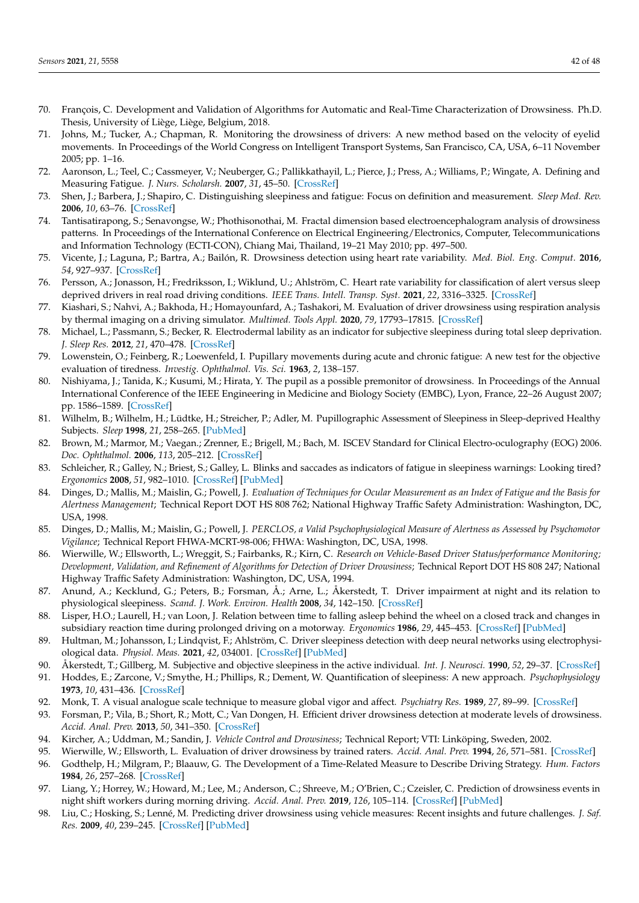- <span id="page-41-24"></span>70. François, C. Development and Validation of Algorithms for Automatic and Real-Time Characterization of Drowsiness. Ph.D. Thesis, University of Liège, Liège, Belgium, 2018.
- <span id="page-41-0"></span>71. Johns, M.; Tucker, A.; Chapman, R. Monitoring the drowsiness of drivers: A new method based on the velocity of eyelid movements. In Proceedings of the World Congress on Intelligent Transport Systems, San Francisco, CA, USA, 6–11 November 2005; pp. 1–16.
- <span id="page-41-1"></span>72. Aaronson, L.; Teel, C.; Cassmeyer, V.; Neuberger, G.; Pallikkathayil, L.; Pierce, J.; Press, A.; Williams, P.; Wingate, A. Defining and Measuring Fatigue. *J. Nurs. Scholarsh.* **2007**, *31*, 45–50. [\[CrossRef\]](http://dx.doi.org/10.1111/j.1547-5069.1999.tb00420.x)
- <span id="page-41-2"></span>73. Shen, J.; Barbera, J.; Shapiro, C. Distinguishing sleepiness and fatigue: Focus on definition and measurement. *Sleep Med. Rev.* **2006**, *10*, 63–76. [\[CrossRef\]](http://dx.doi.org/10.1016/j.smrv.2005.05.004)
- <span id="page-41-3"></span>74. Tantisatirapong, S.; Senavongse, W.; Phothisonothai, M. Fractal dimension based electroencephalogram analysis of drowsiness patterns. In Proceedings of the International Conference on Electrical Engineering/Electronics, Computer, Telecommunications and Information Technology (ECTI-CON), Chiang Mai, Thailand, 19–21 May 2010; pp. 497–500.
- <span id="page-41-4"></span>75. Vicente, J.; Laguna, P.; Bartra, A.; Bailón, R. Drowsiness detection using heart rate variability. *Med. Biol. Eng. Comput.* **2016**, *54*, 927–937. [\[CrossRef\]](http://dx.doi.org/10.1007/s11517-015-1448-7)
- <span id="page-41-5"></span>76. Persson, A.; Jonasson, H.; Fredriksson, I.; Wiklund, U.; Ahlström, C. Heart rate variability for classification of alert versus sleep deprived drivers in real road driving conditions. *IEEE Trans. Intell. Transp. Syst.* **2021**, *22*, 3316–3325. [\[CrossRef\]](http://dx.doi.org/10.1109/TITS.2020.2981941)
- <span id="page-41-6"></span>77. Kiashari, S.; Nahvi, A.; Bakhoda, H.; Homayounfard, A.; Tashakori, M. Evaluation of driver drowsiness using respiration analysis by thermal imaging on a driving simulator. *Multimed. Tools Appl.* **2020**, *79*, 17793–17815. [\[CrossRef\]](http://dx.doi.org/10.1007/s11042-020-08696-x)
- <span id="page-41-7"></span>78. Michael, L.; Passmann, S.; Becker, R. Electrodermal lability as an indicator for subjective sleepiness during total sleep deprivation. *J. Sleep Res.* **2012**, *21*, 470–478. [\[CrossRef\]](http://dx.doi.org/10.1111/j.1365-2869.2011.00984.x)
- <span id="page-41-8"></span>79. Lowenstein, O.; Feinberg, R.; Loewenfeld, I. Pupillary movements during acute and chronic fatigue: A new test for the objective evaluation of tiredness. *Investig. Ophthalmol. Vis. Sci.* **1963**, *2*, 138–157.
- 80. Nishiyama, J.; Tanida, K.; Kusumi, M.; Hirata, Y. The pupil as a possible premonitor of drowsiness. In Proceedings of the Annual International Conference of the IEEE Engineering in Medicine and Biology Society (EMBC), Lyon, France, 22–26 August 2007; pp. 1586–1589. [\[CrossRef\]](http://dx.doi.org/10.1109/IEMBS.2007.4352608)
- <span id="page-41-9"></span>81. Wilhelm, B.; Wilhelm, H.; Lüdtke, H.; Streicher, P.; Adler, M. Pupillographic Assessment of Sleepiness in Sleep-deprived Healthy Subjects. *Sleep* **1998**, *21*, 258–265. [\[PubMed\]](http://www.ncbi.nlm.nih.gov/pubmed/9595604)
- <span id="page-41-10"></span>82. Brown, M.; Marmor, M.; Vaegan.; Zrenner, E.; Brigell, M.; Bach, M. ISCEV Standard for Clinical Electro-oculography (EOG) 2006. *Doc. Ophthalmol.* **2006**, *113*, 205–212. [\[CrossRef\]](http://dx.doi.org/10.1007/s10633-006-9030-0)
- <span id="page-41-11"></span>83. Schleicher, R.; Galley, N.; Briest, S.; Galley, L. Blinks and saccades as indicators of fatigue in sleepiness warnings: Looking tired? *Ergonomics* **2008**, *51*, 982–1010. [\[CrossRef\]](http://dx.doi.org/10.1080/00140130701817062) [\[PubMed\]](http://www.ncbi.nlm.nih.gov/pubmed/18568959)
- <span id="page-41-12"></span>84. Dinges, D.; Mallis, M.; Maislin, G.; Powell, J. *Evaluation of Techniques for Ocular Measurement as an Index of Fatigue and the Basis for Alertness Management*; Technical Report DOT HS 808 762; National Highway Traffic Safety Administration: Washington, DC, USA, 1998.
- 85. Dinges, D.; Mallis, M.; Maislin, G.; Powell, J. *PERCLOS, a Valid Psychophysiological Measure of Alertness as Assessed by Psychomotor Vigilance*; Technical Report FHWA-MCRT-98-006; FHWA: Washington, DC, USA, 1998.
- <span id="page-41-13"></span>86. Wierwille, W.; Ellsworth, L.; Wreggit, S.; Fairbanks, R.; Kirn, C. *Research on Vehicle-Based Driver Status/performance Monitoring; Development, Validation, and Refinement of Algorithms for Detection of Driver Drowsiness*; Technical Report DOT HS 808 247; National Highway Traffic Safety Administration: Washington, DC, USA, 1994.
- <span id="page-41-14"></span>87. Anund, A.; Kecklund, G.; Peters, B.; Forsman, Å.; Arne, L.; Åkerstedt, T. Driver impairment at night and its relation to physiological sleepiness. *Scand. J. Work. Environ. Health* **2008**, *34*, 142–150. [\[CrossRef\]](http://dx.doi.org/10.5271/sjweh.1193)
- <span id="page-41-15"></span>88. Lisper, H.O.; Laurell, H.; van Loon, J. Relation between time to falling asleep behind the wheel on a closed track and changes in subsidiary reaction time during prolonged driving on a motorway. *Ergonomics* **1986**, *29*, 445–453. [\[CrossRef\]](http://dx.doi.org/10.1080/00140138608968278) [\[PubMed\]](http://www.ncbi.nlm.nih.gov/pubmed/3698972)
- <span id="page-41-16"></span>89. Hultman, M.; Johansson, I.; Lindqvist, F.; Ahlström, C. Driver sleepiness detection with deep neural networks using electrophysiological data. *Physiol. Meas.* **2021**, *42*, 034001. [\[CrossRef\]](http://dx.doi.org/10.1088/1361-6579/abe91e) [\[PubMed\]](http://www.ncbi.nlm.nih.gov/pubmed/33621961)
- <span id="page-41-17"></span>90. Åkerstedt, T.; Gillberg, M. Subjective and objective sleepiness in the active individual. *Int. J. Neurosci.* **1990**, *52*, 29–37. [\[CrossRef\]](http://dx.doi.org/10.3109/00207459008994241)
- <span id="page-41-18"></span>91. Hoddes, E.; Zarcone, V.; Smythe, H.; Phillips, R.; Dement, W. Quantification of sleepiness: A new approach. *Psychophysiology* **1973**, *10*, 431–436. [\[CrossRef\]](http://dx.doi.org/10.1111/j.1469-8986.1973.tb00801.x)
- <span id="page-41-19"></span>92. Monk, T. A visual analogue scale technique to measure global vigor and affect. *Psychiatry Res.* **1989**, *27*, 89–99. [\[CrossRef\]](http://dx.doi.org/10.1016/0165-1781(89)90013-9)
- <span id="page-41-20"></span>93. Forsman, P.; Vila, B.; Short, R.; Mott, C.; Van Dongen, H. Efficient driver drowsiness detection at moderate levels of drowsiness. *Accid. Anal. Prev.* **2013**, *50*, 341–350. [\[CrossRef\]](http://dx.doi.org/10.1016/j.aap.2012.05.005)
- 94. Kircher, A.; Uddman, M.; Sandin, J. *Vehicle Control and Drowsiness*; Technical Report; VTI: Linköping, Sweden, 2002.
- <span id="page-41-21"></span>95. Wierwille, W.; Ellsworth, L. Evaluation of driver drowsiness by trained raters. *Accid. Anal. Prev.* **1994**, *26*, 571–581. [\[CrossRef\]](http://dx.doi.org/10.1016/0001-4575(94)90019-1)
- <span id="page-41-22"></span>96. Godthelp, H.; Milgram, P.; Blaauw, G. The Development of a Time-Related Measure to Describe Driving Strategy. *Hum. Factors* **1984**, *26*, 257–268. [\[CrossRef\]](http://dx.doi.org/10.1177/001872088402600302)
- <span id="page-41-23"></span>97. Liang, Y.; Horrey, W.; Howard, M.; Lee, M.; Anderson, C.; Shreeve, M.; O'Brien, C.; Czeisler, C. Prediction of drowsiness events in night shift workers during morning driving. *Accid. Anal. Prev.* **2019**, *126*, 105–114. [\[CrossRef\]](http://dx.doi.org/10.1016/j.aap.2017.11.004) [\[PubMed\]](http://www.ncbi.nlm.nih.gov/pubmed/29126462)
- 98. Liu, C.; Hosking, S.; Lenné, M. Predicting driver drowsiness using vehicle measures: Recent insights and future challenges. *J. Saf. Res.* **2009**, *40*, 239–245. [\[CrossRef\]](http://dx.doi.org/10.1016/j.jsr.2009.04.005) [\[PubMed\]](http://www.ncbi.nlm.nih.gov/pubmed/19778647)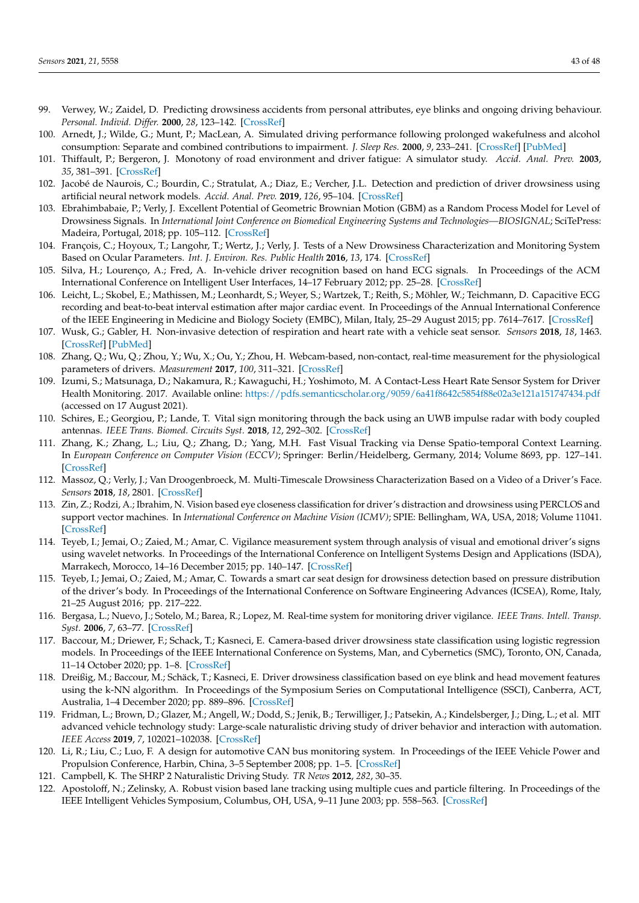- <span id="page-42-0"></span>99. Verwey, W.; Zaidel, D. Predicting drowsiness accidents from personal attributes, eye blinks and ongoing driving behaviour. *Personal. Individ. Differ.* **2000**, *28*, 123–142. [\[CrossRef\]](http://dx.doi.org/10.1016/S0191-8869(99)00089-6)
- <span id="page-42-1"></span>100. Arnedt, J.; Wilde, G.; Munt, P.; MacLean, A. Simulated driving performance following prolonged wakefulness and alcohol consumption: Separate and combined contributions to impairment. *J. Sleep Res.* **2000**, *9*, 233–241. [\[CrossRef\]](http://dx.doi.org/10.1046/j.1365-2869.2000.00216.x) [\[PubMed\]](http://www.ncbi.nlm.nih.gov/pubmed/11012861)
- <span id="page-42-2"></span>101. Thiffault, P.; Bergeron, J. Monotony of road environment and driver fatigue: A simulator study. *Accid. Anal. Prev.* **2003**, *35*, 381–391. [\[CrossRef\]](http://dx.doi.org/10.1016/S0001-4575(02)00014-3)
- <span id="page-42-3"></span>102. Jacobé de Naurois, C.; Bourdin, C.; Stratulat, A.; Diaz, E.; Vercher, J.L. Detection and prediction of driver drowsiness using artificial neural network models. *Accid. Anal. Prev.* **2019**, *126*, 95–104. [\[CrossRef\]](http://dx.doi.org/10.1016/j.aap.2017.11.038)
- <span id="page-42-4"></span>103. Ebrahimbabaie, P.; Verly, J. Excellent Potential of Geometric Brownian Motion (GBM) as a Random Process Model for Level of Drowsiness Signals. In *International Joint Conference on Biomedical Engineering Systems and Technologies—BIOSIGNAL*; SciTePress: Madeira, Portugal, 2018; pp. 105–112. [\[CrossRef\]](http://dx.doi.org/10.5220/0006545101050112)
- <span id="page-42-5"></span>104. François, C.; Hoyoux, T.; Langohr, T.; Wertz, J.; Verly, J. Tests of a New Drowsiness Characterization and Monitoring System Based on Ocular Parameters. *Int. J. Environ. Res. Public Health* **2016**, *13*, 174. [\[CrossRef\]](http://dx.doi.org/10.3390/ijerph13020174)
- <span id="page-42-6"></span>105. Silva, H.; Lourenço, A.; Fred, A. In-vehicle driver recognition based on hand ECG signals. In Proceedings of the ACM International Conference on Intelligent User Interfaces, 14–17 February 2012; pp. 25–28. [\[CrossRef\]](http://dx.doi.org/10.1145/2166966.2166971)
- <span id="page-42-7"></span>106. Leicht, L.; Skobel, E.; Mathissen, M.; Leonhardt, S.; Weyer, S.; Wartzek, T.; Reith, S.; Möhler, W.; Teichmann, D. Capacitive ECG recording and beat-to-beat interval estimation after major cardiac event. In Proceedings of the Annual International Conference of the IEEE Engineering in Medicine and Biology Society (EMBC), Milan, Italy, 25–29 August 2015; pp. 7614–7617. [\[CrossRef\]](http://dx.doi.org/10.1109/EMBC.2015.7320155)
- <span id="page-42-8"></span>107. Wusk, G.; Gabler, H. Non-invasive detection of respiration and heart rate with a vehicle seat sensor. *Sensors* **2018**, *18*, 1463. [\[CrossRef\]](http://dx.doi.org/10.3390/s18051463) [\[PubMed\]](http://www.ncbi.nlm.nih.gov/pubmed/29738456)
- <span id="page-42-9"></span>108. Zhang, Q.; Wu, Q.; Zhou, Y.; Wu, X.; Ou, Y.; Zhou, H. Webcam-based, non-contact, real-time measurement for the physiological parameters of drivers. *Measurement* **2017**, *100*, 311–321. [\[CrossRef\]](http://dx.doi.org/10.1016/j.measurement.2017.01.007)
- <span id="page-42-10"></span>109. Izumi, S.; Matsunaga, D.; Nakamura, R.; Kawaguchi, H.; Yoshimoto, M. A Contact-Less Heart Rate Sensor System for Driver Health Monitoring. 2017. Available online: <https://pdfs.semanticscholar.org/9059/6a41f8642c5854f88e02a3e121a151747434.pdf> (accessed on 17 August 2021).
- <span id="page-42-11"></span>110. Schires, E.; Georgiou, P.; Lande, T. Vital sign monitoring through the back using an UWB impulse radar with body coupled antennas. *IEEE Trans. Biomed. Circuits Syst.* **2018**, *12*, 292–302. [\[CrossRef\]](http://dx.doi.org/10.1109/TBCAS.2018.2799322)
- <span id="page-42-12"></span>111. Zhang, K.; Zhang, L.; Liu, Q.; Zhang, D.; Yang, M.H. Fast Visual Tracking via Dense Spatio-temporal Context Learning. In *European Conference on Computer Vision (ECCV)*; Springer: Berlin/Heidelberg, Germany, 2014; Volume 8693, pp. 127–141. [\[CrossRef\]](http://dx.doi.org/10.1007/978-3-319-10602-1_9)
- <span id="page-42-13"></span>112. Massoz, Q.; Verly, J.; Van Droogenbroeck, M. Multi-Timescale Drowsiness Characterization Based on a Video of a Driver's Face. *Sensors* **2018**, *18*, 2801. [\[CrossRef\]](http://dx.doi.org/10.3390/s18092801)
- <span id="page-42-14"></span>113. Zin, Z.; Rodzi, A.; Ibrahim, N. Vision based eye closeness classification for driver's distraction and drowsiness using PERCLOS and support vector machines. In *International Conference on Machine Vision (ICMV)*; SPIE: Bellingham, WA, USA, 2018; Volume 11041. [\[CrossRef\]](http://dx.doi.org/10.1117/12.2522949)
- <span id="page-42-15"></span>114. Teyeb, I.; Jemai, O.; Zaied, M.; Amar, C. Vigilance measurement system through analysis of visual and emotional driver's signs using wavelet networks. In Proceedings of the International Conference on Intelligent Systems Design and Applications (ISDA), Marrakech, Morocco, 14–16 December 2015; pp. 140–147. [\[CrossRef\]](http://dx.doi.org/10.1109/ISDA.2015.7489215)
- <span id="page-42-16"></span>115. Teyeb, I.; Jemai, O.; Zaied, M.; Amar, C. Towards a smart car seat design for drowsiness detection based on pressure distribution of the driver's body. In Proceedings of the International Conference on Software Engineering Advances (ICSEA), Rome, Italy, 21–25 August 2016; pp. 217–222.
- <span id="page-42-17"></span>116. Bergasa, L.; Nuevo, J.; Sotelo, M.; Barea, R.; Lopez, M. Real-time system for monitoring driver vigilance. *IEEE Trans. Intell. Transp. Syst.* **2006**, *7*, 63–77. [\[CrossRef\]](http://dx.doi.org/10.1109/TITS.2006.869598)
- <span id="page-42-18"></span>117. Baccour, M.; Driewer, F.; Schack, T.; Kasneci, E. Camera-based driver drowsiness state classification using logistic regression models. In Proceedings of the IEEE International Conference on Systems, Man, and Cybernetics (SMC), Toronto, ON, Canada, 11–14 October 2020; pp. 1–8. [\[CrossRef\]](http://dx.doi.org/10.1109/SMC42975.2020.9282918)
- <span id="page-42-19"></span>118. Dreißig, M.; Baccour, M.; Schäck, T.; Kasneci, E. Driver drowsiness classification based on eye blink and head movement features using the k-NN algorithm. In Proceedings of the Symposium Series on Computational Intelligence (SSCI), Canberra, ACT, Australia, 1–4 December 2020; pp. 889–896. [\[CrossRef\]](http://dx.doi.org/10.1109/SSCI47803.2020.9308133)
- <span id="page-42-20"></span>119. Fridman, L.; Brown, D.; Glazer, M.; Angell, W.; Dodd, S.; Jenik, B.; Terwilliger, J.; Patsekin, A.; Kindelsberger, J.; Ding, L.; et al. MIT advanced vehicle technology study: Large-scale naturalistic driving study of driver behavior and interaction with automation. *IEEE Access* **2019**, *7*, 102021–102038. [\[CrossRef\]](http://dx.doi.org/10.1109/ACCESS.2019.2926040)
- <span id="page-42-21"></span>120. Li, R.; Liu, C.; Luo, F. A design for automotive CAN bus monitoring system. In Proceedings of the IEEE Vehicle Power and Propulsion Conference, Harbin, China, 3–5 September 2008; pp. 1–5. [\[CrossRef\]](http://dx.doi.org/10.1109/VPPC.2008.4677544)
- <span id="page-42-22"></span>121. Campbell, K. The SHRP 2 Naturalistic Driving Study. *TR News* **2012**, *282*, 30–35.
- <span id="page-42-23"></span>122. Apostoloff, N.; Zelinsky, A. Robust vision based lane tracking using multiple cues and particle filtering. In Proceedings of the IEEE Intelligent Vehicles Symposium, Columbus, OH, USA, 9–11 June 2003; pp. 558–563. [\[CrossRef\]](http://dx.doi.org/10.1109/IVS.2003.1212973)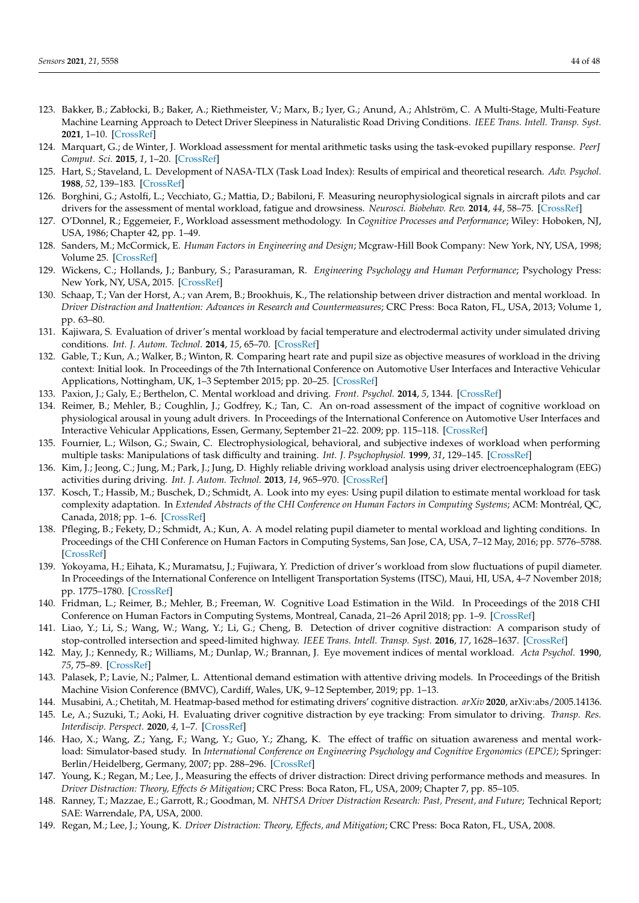- <span id="page-43-0"></span>123. Bakker, B.; Zabłocki, B.; Baker, A.; Riethmeister, V.; Marx, B.; Iyer, G.; Anund, A.; Ahlström, C. A Multi-Stage, Multi-Feature Machine Learning Approach to Detect Driver Sleepiness in Naturalistic Road Driving Conditions. *IEEE Trans. Intell. Transp. Syst.* **2021**, 1–10. [\[CrossRef\]](http://dx.doi.org/10.1109/TITS.2021.3090272)
- <span id="page-43-1"></span>124. Marquart, G.; de Winter, J. Workload assessment for mental arithmetic tasks using the task-evoked pupillary response. *PeerJ Comput. Sci.* **2015**, *1*, 1–20. [\[CrossRef\]](http://dx.doi.org/10.7717/peerj-cs.16)
- <span id="page-43-2"></span>125. Hart, S.; Staveland, L. Development of NASA-TLX (Task Load Index): Results of empirical and theoretical research. *Adv. Psychol.* **1988**, *52*, 139–183. [\[CrossRef\]](http://dx.doi.org/10.1016/s0166-4115(08)62386-9)
- <span id="page-43-3"></span>126. Borghini, G.; Astolfi, L.; Vecchiato, G.; Mattia, D.; Babiloni, F. Measuring neurophysiological signals in aircraft pilots and car drivers for the assessment of mental workload, fatigue and drowsiness. *Neurosci. Biobehav. Rev.* **2014**, *44*, 58–75. [\[CrossRef\]](http://dx.doi.org/10.1016/j.neubiorev.2012.10.003)
- <span id="page-43-4"></span>127. O'Donnel, R.; Eggemeier, F., Workload assessment methodology. In *Cognitive Processes and Performance*; Wiley: Hoboken, NJ, USA, 1986; Chapter 42, pp. 1–49.
- <span id="page-43-5"></span>128. Sanders, M.; McCormick, E. *Human Factors in Engineering and Design*; Mcgraw-Hill Book Company: New York, NY, USA, 1998; Volume 25. [\[CrossRef\]](http://dx.doi.org/10.1108/ir.1998.25.2.153.2)
- <span id="page-43-6"></span>129. Wickens, C.; Hollands, J.; Banbury, S.; Parasuraman, R. *Engineering Psychology and Human Performance*; Psychology Press: New York, NY, USA, 2015. [\[CrossRef\]](http://dx.doi.org/10.4324/9781315665177)
- <span id="page-43-7"></span>130. Schaap, T.; Van der Horst, A.; van Arem, B.; Brookhuis, K., The relationship between driver distraction and mental workload. In *Driver Distraction and Inattention: Advances in Research and Countermeasures*; CRC Press: Boca Raton, FL, USA, 2013; Volume 1, pp. 63–80.
- <span id="page-43-8"></span>131. Kajiwara, S. Evaluation of driver's mental workload by facial temperature and electrodermal activity under simulated driving conditions. *Int. J. Autom. Technol.* **2014**, *15*, 65–70. [\[CrossRef\]](http://dx.doi.org/10.1007/s12239-014-0007-9)
- <span id="page-43-9"></span>132. Gable, T.; Kun, A.; Walker, B.; Winton, R. Comparing heart rate and pupil size as objective measures of workload in the driving context: Initial look. In Proceedings of the 7th International Conference on Automotive User Interfaces and Interactive Vehicular Applications, Nottingham, UK, 1–3 September 2015; pp. 20–25. [\[CrossRef\]](http://dx.doi.org/10.1145/2809730.2809745)
- <span id="page-43-10"></span>133. Paxion, J.; Galy, E.; Berthelon, C. Mental workload and driving. *Front. Psychol.* **2014**, *5*, 1344. [\[CrossRef\]](http://dx.doi.org/10.3389/fpsyg.2014.01344)
- <span id="page-43-11"></span>134. Reimer, B.; Mehler, B.; Coughlin, J.; Godfrey, K.; Tan, C. An on-road assessment of the impact of cognitive workload on physiological arousal in young adult drivers. In Proceedings of the International Conference on Automotive User Interfaces and Interactive Vehicular Applications, Essen, Germany, September 21–22. 2009; pp. 115–118. [\[CrossRef\]](http://dx.doi.org/10.1145/1620509.1620531)
- <span id="page-43-12"></span>135. Fournier, L.; Wilson, G.; Swain, C. Electrophysiological, behavioral, and subjective indexes of workload when performing multiple tasks: Manipulations of task difficulty and training. *Int. J. Psychophysiol.* **1999**, *31*, 129–145. [\[CrossRef\]](http://dx.doi.org/10.1016/S0167-8760(98)00049-X)
- <span id="page-43-13"></span>136. Kim, J.; Jeong, C.; Jung, M.; Park, J.; Jung, D. Highly reliable driving workload analysis using driver electroencephalogram (EEG) activities during driving. *Int. J. Autom. Technol.* **2013**, *14*, 965–970. [\[CrossRef\]](http://dx.doi.org/10.1007/s12239-013-0106-z)
- <span id="page-43-14"></span>137. Kosch, T.; Hassib, M.; Buschek, D.; Schmidt, A. Look into my eyes: Using pupil dilation to estimate mental workload for task complexity adaptation. In *Extended Abstracts of the CHI Conference on Human Factors in Computing Systems*; ACM: Montréal, QC, Canada, 2018; pp. 1–6. [\[CrossRef\]](http://dx.doi.org/10.1145/3170427.3188643)
- <span id="page-43-15"></span>138. Pfleging, B.; Fekety, D.; Schmidt, A.; Kun, A. A model relating pupil diameter to mental workload and lighting conditions. In Proceedings of the CHI Conference on Human Factors in Computing Systems, San Jose, CA, USA, 7–12 May, 2016; pp. 5776–5788. [\[CrossRef\]](http://dx.doi.org/10.1145/2858036.2858117)
- <span id="page-43-16"></span>139. Yokoyama, H.; Eihata, K.; Muramatsu, J.; Fujiwara, Y. Prediction of driver's workload from slow fluctuations of pupil diameter. In Proceedings of the International Conference on Intelligent Transportation Systems (ITSC), Maui, HI, USA, 4–7 November 2018; pp. 1775–1780. [\[CrossRef\]](http://dx.doi.org/10.1109/ITSC.2018.8569279)
- <span id="page-43-17"></span>140. Fridman, L.; Reimer, B.; Mehler, B.; Freeman, W. Cognitive Load Estimation in the Wild. In Proceedings of the 2018 CHI Conference on Human Factors in Computing Systems, Montreal, Canada, 21–26 April 2018; pp. 1–9. [\[CrossRef\]](http://dx.doi.org/10.1145/3173574.3174226)
- <span id="page-43-18"></span>141. Liao, Y.; Li, S.; Wang, W.; Wang, Y.; Li, G.; Cheng, B. Detection of driver cognitive distraction: A comparison study of stop-controlled intersection and speed-limited highway. *IEEE Trans. Intell. Transp. Syst.* **2016**, *17*, 1628–1637. [\[CrossRef\]](http://dx.doi.org/10.1109/TITS.2015.2506602)
- <span id="page-43-19"></span>142. May, J.; Kennedy, R.; Williams, M.; Dunlap, W.; Brannan, J. Eye movement indices of mental workload. *Acta Psychol.* **1990**, *75*, 75–89. [\[CrossRef\]](http://dx.doi.org/10.1016/0001-6918(90)90067-P)
- <span id="page-43-20"></span>143. Palasek, P.; Lavie, N.; Palmer, L. Attentional demand estimation with attentive driving models. In Proceedings of the British Machine Vision Conference (BMVC), Cardiff, Wales, UK, 9–12 September, 2019; pp. 1–13.
- <span id="page-43-21"></span>144. Musabini, A.; Chetitah, M. Heatmap-based method for estimating drivers' cognitive distraction. *arXiv* **2020**, arXiv:abs/2005.14136.
- <span id="page-43-22"></span>145. Le, A.; Suzuki, T.; Aoki, H. Evaluating driver cognitive distraction by eye tracking: From simulator to driving. *Transp. Res. Interdiscip. Perspect.* **2020**, *4*, 1–7. [\[CrossRef\]](http://dx.doi.org/10.1016/j.trip.2019.100087)
- <span id="page-43-23"></span>146. Hao, X.; Wang, Z.; Yang, F.; Wang, Y.; Guo, Y.; Zhang, K. The effect of traffic on situation awareness and mental workload: Simulator-based study. In *International Conference on Engineering Psychology and Cognitive Ergonomics (EPCE)*; Springer: Berlin/Heidelberg, Germany, 2007; pp. 288–296. [\[CrossRef\]](http://dx.doi.org/10.1007/978-3-540-73331-7_31)
- <span id="page-43-24"></span>147. Young, K.; Regan, M.; Lee, J., Measuring the effects of driver distraction: Direct driving performance methods and measures. In *Driver Distraction: Theory, Effects & Mitigation*; CRC Press: Boca Raton, FL, USA, 2009; Chapter 7, pp. 85–105.
- <span id="page-43-25"></span>148. Ranney, T.; Mazzae, E.; Garrott, R.; Goodman, M. *NHTSA Driver Distraction Research: Past, Present, and Future*; Technical Report; SAE: Warrendale, PA, USA, 2000.
- <span id="page-43-26"></span>149. Regan, M.; Lee, J.; Young, K. *Driver Distraction: Theory, Effects, and Mitigation*; CRC Press: Boca Raton, FL, USA, 2008.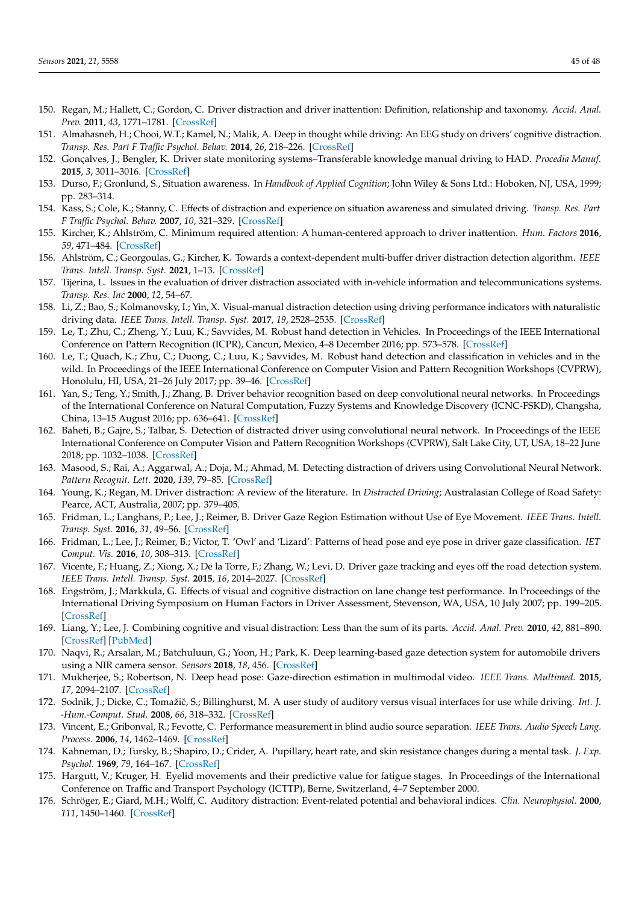- <span id="page-44-0"></span>150. Regan, M.; Hallett, C.; Gordon, C. Driver distraction and driver inattention: Definition, relationship and taxonomy. *Accid. Anal. Prev.* **2011**, *43*, 1771–1781. [\[CrossRef\]](http://dx.doi.org/10.1016/j.aap.2011.04.008)
- <span id="page-44-1"></span>151. Almahasneh, H.; Chooi, W.T.; Kamel, N.; Malik, A. Deep in thought while driving: An EEG study on drivers' cognitive distraction. *Transp. Res. Part F Traffic Psychol. Behav.* **2014**, *26*, 218–226. [\[CrossRef\]](http://dx.doi.org/10.1016/j.trf.2014.08.001)
- <span id="page-44-2"></span>152. Gonçalves, J.; Bengler, K. Driver state monitoring systems–Transferable knowledge manual driving to HAD. *Procedia Manuf.* **2015**, *3*, 3011–3016. [\[CrossRef\]](http://dx.doi.org/10.1016/j.promfg.2015.07.845)
- <span id="page-44-3"></span>153. Durso, F.; Gronlund, S., Situation awareness. In *Handbook of Applied Cognition*; John Wiley & Sons Ltd.: Hoboken, NJ, USA, 1999; pp. 283–314.
- <span id="page-44-4"></span>154. Kass, S.; Cole, K.; Stanny, C. Effects of distraction and experience on situation awareness and simulated driving. *Transp. Res. Part F Traffic Psychol. Behav.* **2007**, *10*, 321–329. [\[CrossRef\]](http://dx.doi.org/10.1016/j.trf.2006.12.002)
- <span id="page-44-5"></span>155. Kircher, K.; Ahlström, C. Minimum required attention: A human-centered approach to driver inattention. *Hum. Factors* **2016**, *59*, 471–484. [\[CrossRef\]](http://dx.doi.org/10.1177/0018720816672756)
- <span id="page-44-6"></span>156. Ahlström, C.; Georgoulas, G.; Kircher, K. Towards a context-dependent multi-buffer driver distraction detection algorithm. *IEEE Trans. Intell. Transp. Syst.* **2021**, 1–13. [\[CrossRef\]](http://dx.doi.org/10.1109/TITS.2021.3060168)
- <span id="page-44-7"></span>157. Tijerina, L. Issues in the evaluation of driver distraction associated with in-vehicle information and telecommunications systems. *Transp. Res. Inc* **2000**, *12*, 54–67.
- <span id="page-44-8"></span>158. Li, Z.; Bao, S.; Kolmanovsky, I.; Yin, X. Visual-manual distraction detection using driving performance indicators with naturalistic driving data. *IEEE Trans. Intell. Transp. Syst.* **2017**, *19*, 2528–2535. [\[CrossRef\]](http://dx.doi.org/10.1109/TITS.2017.2754467)
- <span id="page-44-9"></span>159. Le, T.; Zhu, C.; Zheng, Y.; Luu, K.; Savvides, M. Robust hand detection in Vehicles. In Proceedings of the IEEE International Conference on Pattern Recognition (ICPR), Cancun, Mexico, 4–8 December 2016; pp. 573–578. [\[CrossRef\]](http://dx.doi.org/10.1109/ICPR.2016.7899695)
- <span id="page-44-10"></span>160. Le, T.; Quach, K.; Zhu, C.; Duong, C.; Luu, K.; Savvides, M. Robust hand detection and classification in vehicles and in the wild. In Proceedings of the IEEE International Conference on Computer Vision and Pattern Recognition Workshops (CVPRW), Honolulu, HI, USA, 21–26 July 2017; pp. 39–46. [\[CrossRef\]](http://dx.doi.org/10.1109/CVPRW.2017.159)
- <span id="page-44-11"></span>161. Yan, S.; Teng, Y.; Smith, J.; Zhang, B. Driver behavior recognition based on deep convolutional neural networks. In Proceedings of the International Conference on Natural Computation, Fuzzy Systems and Knowledge Discovery (ICNC-FSKD), Changsha, China, 13–15 August 2016; pp. 636–641. [\[CrossRef\]](http://dx.doi.org/10.1109/FSKD.2016.7603248)
- <span id="page-44-12"></span>162. Baheti, B.; Gajre, S.; Talbar, S. Detection of distracted driver using convolutional neural network. In Proceedings of the IEEE International Conference on Computer Vision and Pattern Recognition Workshops (CVPRW), Salt Lake City, UT, USA, 18–22 June 2018; pp. 1032–1038. [\[CrossRef\]](http://dx.doi.org/10.1109/CVPRW.2018.00150)
- <span id="page-44-13"></span>163. Masood, S.; Rai, A.; Aggarwal, A.; Doja, M.; Ahmad, M. Detecting distraction of drivers using Convolutional Neural Network. *Pattern Recognit. Lett.* **2020**, *139*, 79–85. [\[CrossRef\]](http://dx.doi.org/10.1016/j.patrec.2017.12.023)
- <span id="page-44-14"></span>164. Young, K.; Regan, M. Driver distraction: A review of the literature. In *Distracted Driving*; Australasian College of Road Safety: Pearce, ACT, Australia, 2007; pp. 379–405.
- <span id="page-44-15"></span>165. Fridman, L.; Langhans, P.; Lee, J.; Reimer, B. Driver Gaze Region Estimation without Use of Eye Movement. *IEEE Trans. Intell. Transp. Syst.* **2016**, *31*, 49–56. [\[CrossRef\]](http://dx.doi.org/10.1109/MIS.2016.47)
- <span id="page-44-16"></span>166. Fridman, L.; Lee, J.; Reimer, B.; Victor, T. 'Owl' and 'Lizard': Patterns of head pose and eye pose in driver gaze classification. *IET Comput. Vis.* **2016**, *10*, 308–313. [\[CrossRef\]](http://dx.doi.org/10.1049/iet-cvi.2015.0296)
- <span id="page-44-17"></span>167. Vicente, F.; Huang, Z.; Xiong, X.; De la Torre, F.; Zhang, W.; Levi, D. Driver gaze tracking and eyes off the road detection system. *IEEE Trans. Intell. Transp. Syst.* **2015**, *16*, 2014–2027. [\[CrossRef\]](http://dx.doi.org/10.1109/TITS.2015.2396031)
- <span id="page-44-18"></span>168. Engström, J.; Markkula, G. Effects of visual and cognitive distraction on lane change test performance. In Proceedings of the International Driving Symposium on Human Factors in Driver Assessment, Stevenson, WA, USA, 10 July 2007; pp. 199–205. [\[CrossRef\]](http://dx.doi.org/10.17077/drivingassessment.1237)
- <span id="page-44-19"></span>169. Liang, Y.; Lee, J. Combining cognitive and visual distraction: Less than the sum of its parts. *Accid. Anal. Prev.* **2010**, *42*, 881–890. [\[CrossRef\]](http://dx.doi.org/10.1016/j.aap.2009.05.001) [\[PubMed\]](http://www.ncbi.nlm.nih.gov/pubmed/20380916)
- <span id="page-44-20"></span>170. Naqvi, R.; Arsalan, M.; Batchuluun, G.; Yoon, H.; Park, K. Deep learning-based gaze detection system for automobile drivers using a NIR camera sensor. *Sensors* **2018**, *18*, 456. [\[CrossRef\]](http://dx.doi.org/10.3390/s18020456)
- <span id="page-44-21"></span>171. Mukherjee, S.; Robertson, N. Deep head pose: Gaze-direction estimation in multimodal video. *IEEE Trans. Multimed.* **2015**, *17*, 2094–2107. [\[CrossRef\]](http://dx.doi.org/10.1109/TMM.2015.2482819)
- <span id="page-44-22"></span>172. Sodnik, J.; Dicke, C.; Tomažič, S.; Billinghurst, M. A user study of auditory versus visual interfaces for use while driving. *Int.* J. *-Hum.-Comput. Stud.* **2008**, *66*, 318–332. [\[CrossRef\]](http://dx.doi.org/10.1016/j.ijhcs.2007.11.001)
- <span id="page-44-23"></span>173. Vincent, E.; Gribonval, R.; Fevotte, C. Performance measurement in blind audio source separation. *IEEE Trans. Audio Speech Lang. Process.* **2006**, *14*, 1462–1469. [\[CrossRef\]](http://dx.doi.org/10.1109/TSA.2005.858005)
- <span id="page-44-24"></span>174. Kahneman, D.; Tursky, B.; Shapiro, D.; Crider, A. Pupillary, heart rate, and skin resistance changes during a mental task. *J. Exp. Psychol.* **1969**, *79*, 164–167. [\[CrossRef\]](http://dx.doi.org/10.1037/h0026952)
- <span id="page-44-25"></span>175. Hargutt, V.; Kruger, H. Eyelid movements and their predictive value for fatigue stages. In Proceedings of the International Conference on Traffic and Transport Psychology (ICTTP), Berne, Switzerland, 4–7 September 2000.
- <span id="page-44-26"></span>176. Schröger, E.; Giard, M.H.; Wolff, C. Auditory distraction: Event-related potential and behavioral indices. *Clin. Neurophysiol.* **2000**, *111*, 1450–1460. [\[CrossRef\]](http://dx.doi.org/10.1016/S1388-2457(00)00337-0)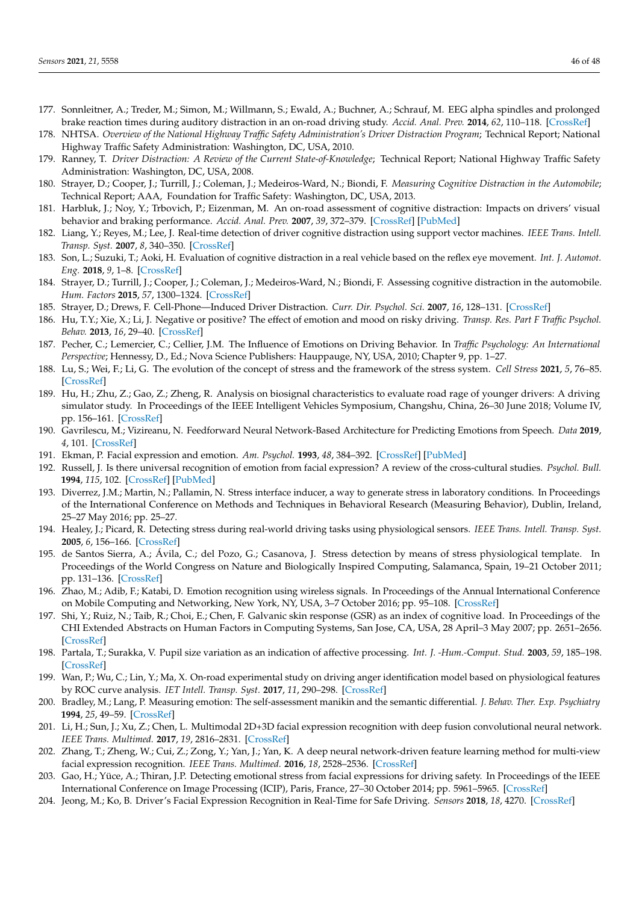- <span id="page-45-0"></span>177. Sonnleitner, A.; Treder, M.; Simon, M.; Willmann, S.; Ewald, A.; Buchner, A.; Schrauf, M. EEG alpha spindles and prolonged brake reaction times during auditory distraction in an on-road driving study. *Accid. Anal. Prev.* **2014**, *62*, 110–118. [\[CrossRef\]](http://dx.doi.org/10.1016/j.aap.2013.08.026)
- <span id="page-45-1"></span>178. NHTSA. *Overview of the National Highway Traffic Safety Administration's Driver Distraction Program*; Technical Report; National Highway Traffic Safety Administration: Washington, DC, USA, 2010.
- <span id="page-45-2"></span>179. Ranney, T. *Driver Distraction: A Review of the Current State-of-Knowledge*; Technical Report; National Highway Traffic Safety Administration: Washington, DC, USA, 2008.
- <span id="page-45-3"></span>180. Strayer, D.; Cooper, J.; Turrill, J.; Coleman, J.; Medeiros-Ward, N.; Biondi, F. *Measuring Cognitive Distraction in the Automobile*; Technical Report; AAA, Foundation for Traffic Safety: Washington, DC, USA, 2013.
- <span id="page-45-4"></span>181. Harbluk, J.; Noy, Y.; Trbovich, P.; Eizenman, M. An on-road assessment of cognitive distraction: Impacts on drivers' visual behavior and braking performance. *Accid. Anal. Prev.* **2007**, *39*, 372–379. [\[CrossRef\]](http://dx.doi.org/10.1016/j.aap.2006.08.013) [\[PubMed\]](http://www.ncbi.nlm.nih.gov/pubmed/17054894)
- 182. Liang, Y.; Reyes, M.; Lee, J. Real-time detection of driver cognitive distraction using support vector machines. *IEEE Trans. Intell. Transp. Syst.* **2007**, *8*, 340–350. [\[CrossRef\]](http://dx.doi.org/10.1109/TITS.2007.895298)
- 183. Son, L.; Suzuki, T.; Aoki, H. Evaluation of cognitive distraction in a real vehicle based on the reflex eye movement. *Int. J. Automot. Eng.* **2018**, *9*, 1–8. [\[CrossRef\]](http://dx.doi.org/10.20485/jsaeijae.9.1_1)
- <span id="page-45-5"></span>184. Strayer, D.; Turrill, J.; Cooper, J.; Coleman, J.; Medeiros-Ward, N.; Biondi, F. Assessing cognitive distraction in the automobile. *Hum. Factors* **2015**, *57*, 1300–1324. [\[CrossRef\]](http://dx.doi.org/10.1177/0018720815575149)
- <span id="page-45-6"></span>185. Strayer, D.; Drews, F. Cell-Phone—Induced Driver Distraction. *Curr. Dir. Psychol. Sci.* **2007**, *16*, 128–131. [\[CrossRef\]](http://dx.doi.org/10.1111/j.1467-8721.2007.00489.x)
- <span id="page-45-7"></span>186. Hu, T.Y.; Xie, X.; Li, J. Negative or positive? The effect of emotion and mood on risky driving. *Transp. Res. Part F Traffic Psychol. Behav.* **2013**, *16*, 29–40. [\[CrossRef\]](http://dx.doi.org/10.1016/j.trf.2012.08.009)
- <span id="page-45-8"></span>187. Pecher, C.; Lemercier, C.; Cellier, J.M. The Influence of Emotions on Driving Behavior. In *Traffic Psychology: An International Perspective*; Hennessy, D., Ed.; Nova Science Publishers: Hauppauge, NY, USA, 2010; Chapter 9, pp. 1–27.
- <span id="page-45-9"></span>188. Lu, S.; Wei, F.; Li, G. The evolution of the concept of stress and the framework of the stress system. *Cell Stress* **2021**, *5*, 76–85. [\[CrossRef\]](http://dx.doi.org/10.15698/cst2021.06.250)
- <span id="page-45-10"></span>189. Hu, H.; Zhu, Z.; Gao, Z.; Zheng, R. Analysis on biosignal characteristics to evaluate road rage of younger drivers: A driving simulator study. In Proceedings of the IEEE Intelligent Vehicles Symposium, Changshu, China, 26–30 June 2018; Volume IV, pp. 156–161. [\[CrossRef\]](http://dx.doi.org/10.1109/IVS.2018.8500444)
- <span id="page-45-11"></span>190. Gavrilescu, M.; Vizireanu, N. Feedforward Neural Network-Based Architecture for Predicting Emotions from Speech. *Data* **2019**, *4*, 101. [\[CrossRef\]](http://dx.doi.org/10.3390/data4030101)
- <span id="page-45-12"></span>191. Ekman, P. Facial expression and emotion. *Am. Psychol.* **1993**, *48*, 384–392. [\[CrossRef\]](http://dx.doi.org/10.1037/0003-066X.48.4.384) [\[PubMed\]](http://www.ncbi.nlm.nih.gov/pubmed/8512154)
- <span id="page-45-13"></span>192. Russell, J. Is there universal recognition of emotion from facial expression? A review of the cross-cultural studies. *Psychol. Bull.* **1994**, *115*, 102. [\[CrossRef\]](http://dx.doi.org/10.1037/0033-2909.115.1.102) [\[PubMed\]](http://www.ncbi.nlm.nih.gov/pubmed/8202574)
- <span id="page-45-14"></span>193. Diverrez, J.M.; Martin, N.; Pallamin, N. Stress interface inducer, a way to generate stress in laboratory conditions. In Proceedings of the International Conference on Methods and Techniques in Behavioral Research (Measuring Behavior), Dublin, Ireland, 25–27 May 2016; pp. 25–27.
- <span id="page-45-16"></span>194. Healey, J.; Picard, R. Detecting stress during real-world driving tasks using physiological sensors. *IEEE Trans. Intell. Transp. Syst.* **2005**, *6*, 156–166. [\[CrossRef\]](http://dx.doi.org/10.1109/TITS.2005.848368)
- <span id="page-45-17"></span>195. de Santos Sierra, A.; Ávila, C.; del Pozo, G.; Casanova, J. Stress detection by means of stress physiological template. In Proceedings of the World Congress on Nature and Biologically Inspired Computing, Salamanca, Spain, 19–21 October 2011; pp. 131–136. [\[CrossRef\]](http://dx.doi.org/10.1109/NaBIC.2011.6089448)
- <span id="page-45-15"></span>196. Zhao, M.; Adib, F.; Katabi, D. Emotion recognition using wireless signals. In Proceedings of the Annual International Conference on Mobile Computing and Networking, New York, NY, USA, 3–7 October 2016; pp. 95–108. [\[CrossRef\]](http://dx.doi.org/10.1145/2973750.2973762)
- <span id="page-45-18"></span>197. Shi, Y.; Ruiz, N.; Taib, R.; Choi, E.; Chen, F. Galvanic skin response (GSR) as an index of cognitive load. In Proceedings of the CHI Extended Abstracts on Human Factors in Computing Systems, San Jose, CA, USA, 28 April–3 May 2007; pp. 2651–2656. [\[CrossRef\]](http://dx.doi.org/10.1145/1240866.1241057)
- <span id="page-45-19"></span>198. Partala, T.; Surakka, V. Pupil size variation as an indication of affective processing. *Int. J. -Hum.-Comput. Stud.* **2003**, *59*, 185–198. [\[CrossRef\]](http://dx.doi.org/10.1016/S1071-5819(03)00017-X)
- <span id="page-45-20"></span>199. Wan, P.; Wu, C.; Lin, Y.; Ma, X. On-road experimental study on driving anger identification model based on physiological features by ROC curve analysis. *IET Intell. Transp. Syst.* **2017**, *11*, 290–298. [\[CrossRef\]](http://dx.doi.org/10.1049/iet-its.2016.0127)
- <span id="page-45-21"></span>200. Bradley, M.; Lang, P. Measuring emotion: The self-assessment manikin and the semantic differential. *J. Behav. Ther. Exp. Psychiatry* **1994**, *25*, 49–59. [\[CrossRef\]](http://dx.doi.org/10.1016/0005-7916(94)90063-9)
- <span id="page-45-22"></span>201. Li, H.; Sun, J.; Xu, Z.; Chen, L. Multimodal 2D+3D facial expression recognition with deep fusion convolutional neural network. *IEEE Trans. Multimed.* **2017**, *19*, 2816–2831. [\[CrossRef\]](http://dx.doi.org/10.1109/TMM.2017.2713408)
- <span id="page-45-23"></span>202. Zhang, T.; Zheng, W.; Cui, Z.; Zong, Y.; Yan, J.; Yan, K. A deep neural network-driven feature learning method for multi-view facial expression recognition. *IEEE Trans. Multimed.* **2016**, *18*, 2528–2536. [\[CrossRef\]](http://dx.doi.org/10.1109/TMM.2016.2598092)
- <span id="page-45-24"></span>203. Gao, H.; Yüce, A.; Thiran, J.P. Detecting emotional stress from facial expressions for driving safety. In Proceedings of the IEEE International Conference on Image Processing (ICIP), Paris, France, 27–30 October 2014; pp. 5961–5965. [\[CrossRef\]](http://dx.doi.org/10.1109/ICIP.2014.7026203)
- <span id="page-45-25"></span>204. Jeong, M.; Ko, B. Driver's Facial Expression Recognition in Real-Time for Safe Driving. *Sensors* **2018**, *18*, 4270. [\[CrossRef\]](http://dx.doi.org/10.3390/s18124270)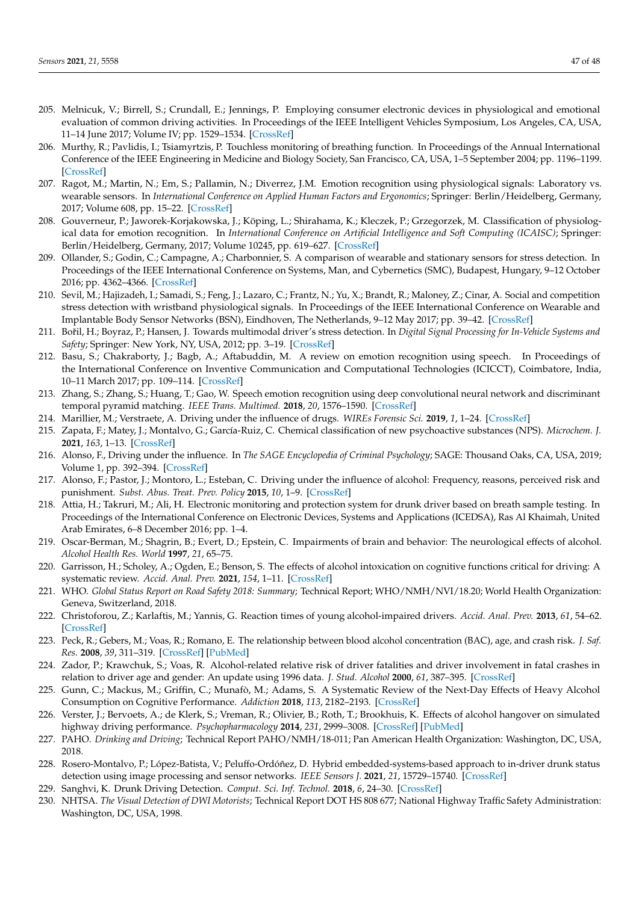- <span id="page-46-0"></span>205. Melnicuk, V.; Birrell, S.; Crundall, E.; Jennings, P. Employing consumer electronic devices in physiological and emotional evaluation of common driving activities. In Proceedings of the IEEE Intelligent Vehicles Symposium, Los Angeles, CA, USA, 11–14 June 2017; Volume IV; pp. 1529–1534. [\[CrossRef\]](http://dx.doi.org/10.1109/IVS.2017.7995926)
- <span id="page-46-1"></span>206. Murthy, R.; Pavlidis, I.; Tsiamyrtzis, P. Touchless monitoring of breathing function. In Proceedings of the Annual International Conference of the IEEE Engineering in Medicine and Biology Society, San Francisco, CA, USA, 1–5 September 2004; pp. 1196–1199. [\[CrossRef\]](http://dx.doi.org/10.1109/IEMBS.2004.1403382)
- <span id="page-46-2"></span>207. Ragot, M.; Martin, N.; Em, S.; Pallamin, N.; Diverrez, J.M. Emotion recognition using physiological signals: Laboratory vs. wearable sensors. In *International Conference on Applied Human Factors and Ergonomics*; Springer: Berlin/Heidelberg, Germany, 2017; Volume 608, pp. 15–22. [\[CrossRef\]](http://dx.doi.org/10.1007/978-3-319-60639-2_2)
- <span id="page-46-3"></span>208. Gouverneur, P.; Jaworek-Korjakowska, J.; Köping, L.; Shirahama, K.; Kleczek, P.; Grzegorzek, M. Classification of physiological data for emotion recognition. In *International Conference on Artificial Intelligence and Soft Computing (ICAISC)*; Springer: Berlin/Heidelberg, Germany, 2017; Volume 10245, pp. 619–627. [\[CrossRef\]](http://dx.doi.org/10.1007/978-3-319-59063-9_55)
- 209. Ollander, S.; Godin, C.; Campagne, A.; Charbonnier, S. A comparison of wearable and stationary sensors for stress detection. In Proceedings of the IEEE International Conference on Systems, Man, and Cybernetics (SMC), Budapest, Hungary, 9–12 October 2016; pp. 4362–4366. [\[CrossRef\]](http://dx.doi.org/10.1109/SMC.2016.7844917)
- <span id="page-46-4"></span>210. Sevil, M.; Hajizadeh, I.; Samadi, S.; Feng, J.; Lazaro, C.; Frantz, N.; Yu, X.; Brandt, R.; Maloney, Z.; Cinar, A. Social and competition stress detection with wristband physiological signals. In Proceedings of the IEEE International Conference on Wearable and Implantable Body Sensor Networks (BSN), Eindhoven, The Netherlands, 9–12 May 2017; pp. 39–42. [\[CrossRef\]](http://dx.doi.org/10.1109/BSN.2017.7936002)
- <span id="page-46-5"></span>211. Bořil, H.; Boyraz, P.; Hansen, J. Towards multimodal driver's stress detection. In *Digital Signal Processing for In-Vehicle Systems and Safety*; Springer: New York, NY, USA, 2012; pp. 3–19. [\[CrossRef\]](http://dx.doi.org/10.1007/978-1-4419-9607-7_1)
- <span id="page-46-6"></span>212. Basu, S.; Chakraborty, J.; Bagb, A.; Aftabuddin, M. A review on emotion recognition using speech. In Proceedings of the International Conference on Inventive Communication and Computational Technologies (ICICCT), Coimbatore, India, 10–11 March 2017; pp. 109–114. [\[CrossRef\]](http://dx.doi.org/10.1109/ICICCT.2017.7975169)
- <span id="page-46-7"></span>213. Zhang, S.; Zhang, S.; Huang, T.; Gao, W. Speech emotion recognition using deep convolutional neural network and discriminant temporal pyramid matching. *IEEE Trans. Multimed.* **2018**, *20*, 1576–1590. [\[CrossRef\]](http://dx.doi.org/10.1109/TMM.2017.2766843)
- <span id="page-46-8"></span>214. Marillier, M.; Verstraete, A. Driving under the influence of drugs. *WIREs Forensic Sci.* **2019**, *1*, 1–24. [\[CrossRef\]](http://dx.doi.org/10.1002/wfs2.1326)
- <span id="page-46-9"></span>215. Zapata, F.; Matey, J.; Montalvo, G.; García-Ruiz, C. Chemical classification of new psychoactive substances (NPS). *Microchem. J.* **2021**, *163*, 1–13. [\[CrossRef\]](http://dx.doi.org/10.1016/j.microc.2020.105877)
- <span id="page-46-10"></span>216. Alonso, F., Driving under the influence. In *The SAGE Encyclopedia of Criminal Psychology*; SAGE: Thousand Oaks, CA, USA, 2019; Volume 1, pp. 392–394. [\[CrossRef\]](http://dx.doi.org/10.4135/9781483392240.n130)
- <span id="page-46-11"></span>217. Alonso, F.; Pastor, J.; Montoro, L.; Esteban, C. Driving under the influence of alcohol: Frequency, reasons, perceived risk and punishment. *Subst. Abus. Treat. Prev. Policy* **2015**, *10*, 1–9. [\[CrossRef\]](http://dx.doi.org/10.1186/s13011-015-0007-4)
- <span id="page-46-24"></span>218. Attia, H.; Takruri, M.; Ali, H. Electronic monitoring and protection system for drunk driver based on breath sample testing. In Proceedings of the International Conference on Electronic Devices, Systems and Applications (ICEDSA), Ras Al Khaimah, United Arab Emirates, 6–8 December 2016; pp. 1–4.
- <span id="page-46-19"></span>219. Oscar-Berman, M.; Shagrin, B.; Evert, D.; Epstein, C. Impairments of brain and behavior: The neurological effects of alcohol. *Alcohol Health Res. World* **1997**, *21*, 65–75.
- <span id="page-46-12"></span>220. Garrisson, H.; Scholey, A.; Ogden, E.; Benson, S. The effects of alcohol intoxication on cognitive functions critical for driving: A systematic review. *Accid. Anal. Prev.* **2021**, *154*, 1–11. [\[CrossRef\]](http://dx.doi.org/10.1016/j.aap.2021.106052)
- <span id="page-46-13"></span>221. WHO. *Global Status Report on Road Safety 2018: Summary*; Technical Report; WHO/NMH/NVI/18.20; World Health Organization: Geneva, Switzerland, 2018.
- <span id="page-46-14"></span>222. Christoforou, Z.; Karlaftis, M.; Yannis, G. Reaction times of young alcohol-impaired drivers. *Accid. Anal. Prev.* **2013**, *61*, 54–62. [\[CrossRef\]](http://dx.doi.org/10.1016/j.aap.2012.12.030)
- <span id="page-46-15"></span>223. Peck, R.; Gebers, M.; Voas, R.; Romano, E. The relationship between blood alcohol concentration (BAC), age, and crash risk. *J. Saf. Res.* **2008**, *39*, 311–319. [\[CrossRef\]](http://dx.doi.org/10.1016/j.jsr.2008.02.030) [\[PubMed\]](http://www.ncbi.nlm.nih.gov/pubmed/18571573)
- <span id="page-46-16"></span>224. Zador, P.; Krawchuk, S.; Voas, R. Alcohol-related relative risk of driver fatalities and driver involvement in fatal crashes in relation to driver age and gender: An update using 1996 data. *J. Stud. Alcohol* **2000**, *61*, 387–395. [\[CrossRef\]](http://dx.doi.org/10.15288/jsa.2000.61.387)
- <span id="page-46-17"></span>225. Gunn, C.; Mackus, M.; Griffin, C.; Munafò, M.; Adams, S. A Systematic Review of the Next-Day Effects of Heavy Alcohol Consumption on Cognitive Performance. *Addiction* **2018**, *113*, 2182–2193. [\[CrossRef\]](http://dx.doi.org/10.1111/add.14404)
- <span id="page-46-18"></span>226. Verster, J.; Bervoets, A.; de Klerk, S.; Vreman, R.; Olivier, B.; Roth, T.; Brookhuis, K. Effects of alcohol hangover on simulated highway driving performance. *Psychopharmacology* **2014**, *231*, 2999–3008. [\[CrossRef\]](http://dx.doi.org/10.1007/s00213-014-3474-9) [\[PubMed\]](http://www.ncbi.nlm.nih.gov/pubmed/24563184)
- <span id="page-46-20"></span>227. PAHO. *Drinking and Driving*; Technical Report PAHO/NMH/18-011; Pan American Health Organization: Washington, DC, USA, 2018.
- <span id="page-46-21"></span>228. Rosero-Montalvo, P.; López-Batista, V.; Peluffo-Ordóñez, D. Hybrid embedded-systems-based approach to in-driver drunk status detection using image processing and sensor networks. *IEEE Sensors J.* **2021**, *21*, 15729–15740. [\[CrossRef\]](http://dx.doi.org/10.1109/JSEN.2020.3038143)
- <span id="page-46-22"></span>229. Sanghvi, K. Drunk Driving Detection. *Comput. Sci. Inf. Technol.* **2018**, *6*, 24–30. [\[CrossRef\]](http://dx.doi.org/10.13189/csit.2018.060202)
- <span id="page-46-23"></span>230. NHTSA. *The Visual Detection of DWI Motorists*; Technical Report DOT HS 808 677; National Highway Traffic Safety Administration: Washington, DC, USA, 1998.